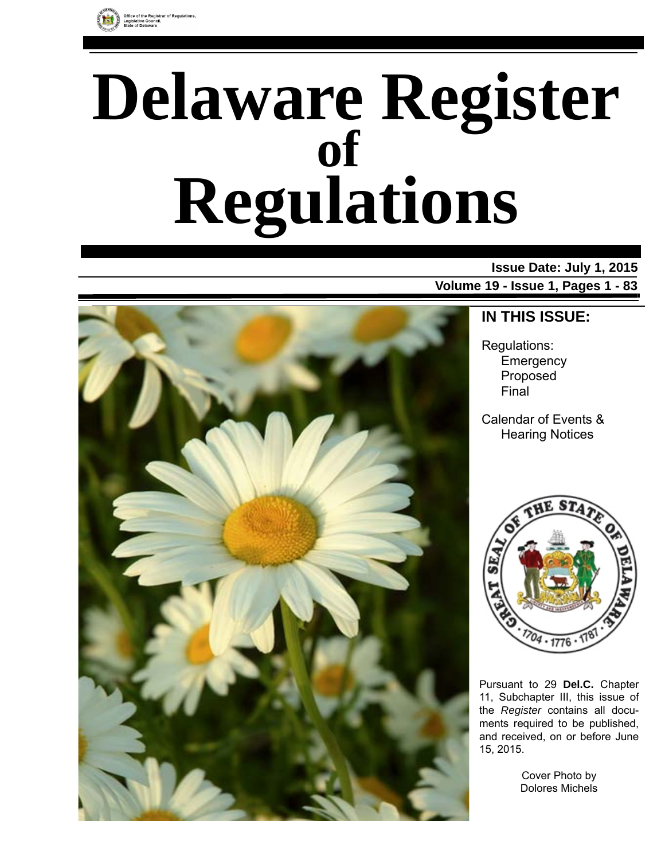

# **Delaware Register Regulations of**

### **Issue Date: July 1, 2015 Volume 19 - Issue 1, Pages 1 - 83**



# **IN THIS ISSUE:**

Regulations: Emergency Proposed Final

Calendar of Events & Hearing Notices



Pursuant to 29 **Del.C.** Chapter 11, Subchapter III, this issue of the *Register* contains all documents required to be published, and received, on or before June 15, 2015.

> Cover Photo by Dolores Michels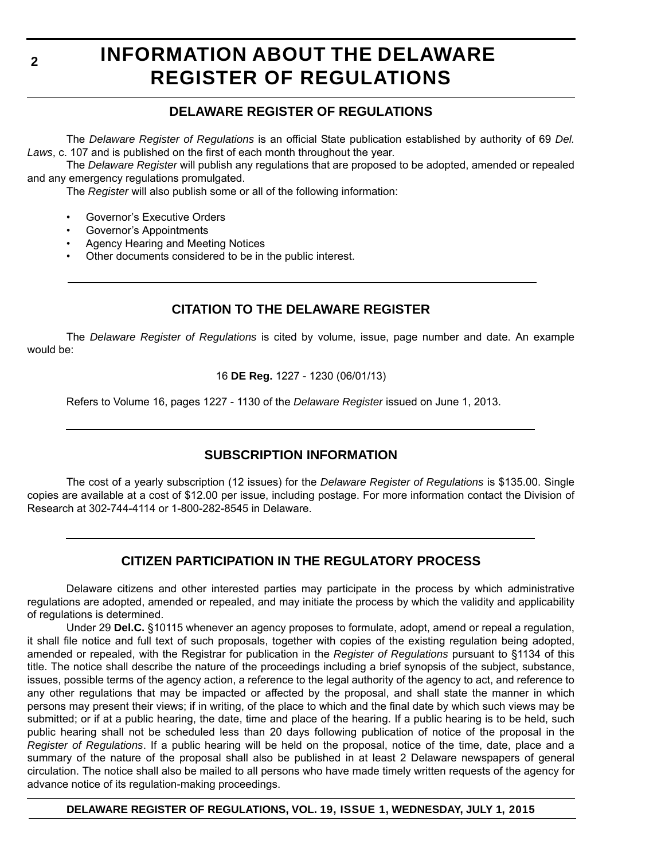# **INFORMATION ABOUT THE DELAWARE REGISTER OF REGULATIONS**

### **DELAWARE REGISTER OF REGULATIONS**

The *Delaware Register of Regulations* is an official State publication established by authority of 69 *Del. Laws*, c. 107 and is published on the first of each month throughout the year.

The *Delaware Register* will publish any regulations that are proposed to be adopted, amended or repealed and any emergency regulations promulgated.

The *Register* will also publish some or all of the following information:

- Governor's Executive Orders
- Governor's Appointments
- Agency Hearing and Meeting Notices
- Other documents considered to be in the public interest.

### **CITATION TO THE DELAWARE REGISTER**

The *Delaware Register of Regulations* is cited by volume, issue, page number and date. An example would be:

16 **DE Reg.** 1227 - 1230 (06/01/13)

Refers to Volume 16, pages 1227 - 1130 of the *Delaware Register* issued on June 1, 2013.

### **SUBSCRIPTION INFORMATION**

The cost of a yearly subscription (12 issues) for the *Delaware Register of Regulations* is \$135.00. Single copies are available at a cost of \$12.00 per issue, including postage. For more information contact the Division of Research at 302-744-4114 or 1-800-282-8545 in Delaware.

### **CITIZEN PARTICIPATION IN THE REGULATORY PROCESS**

Delaware citizens and other interested parties may participate in the process by which administrative regulations are adopted, amended or repealed, and may initiate the process by which the validity and applicability of regulations is determined.

Under 29 **Del.C.** §10115 whenever an agency proposes to formulate, adopt, amend or repeal a regulation, it shall file notice and full text of such proposals, together with copies of the existing regulation being adopted, amended or repealed, with the Registrar for publication in the *Register of Regulations* pursuant to §1134 of this title. The notice shall describe the nature of the proceedings including a brief synopsis of the subject, substance, issues, possible terms of the agency action, a reference to the legal authority of the agency to act, and reference to any other regulations that may be impacted or affected by the proposal, and shall state the manner in which persons may present their views; if in writing, of the place to which and the final date by which such views may be submitted; or if at a public hearing, the date, time and place of the hearing. If a public hearing is to be held, such public hearing shall not be scheduled less than 20 days following publication of notice of the proposal in the *Register of Regulations*. If a public hearing will be held on the proposal, notice of the time, date, place and a summary of the nature of the proposal shall also be published in at least 2 Delaware newspapers of general circulation. The notice shall also be mailed to all persons who have made timely written requests of the agency for advance notice of its regulation-making proceedings.

**DELAWARE REGISTER OF REGULATIONS, VOL. 19, ISSUE 1, WEDNESDAY, JULY 1, 2015**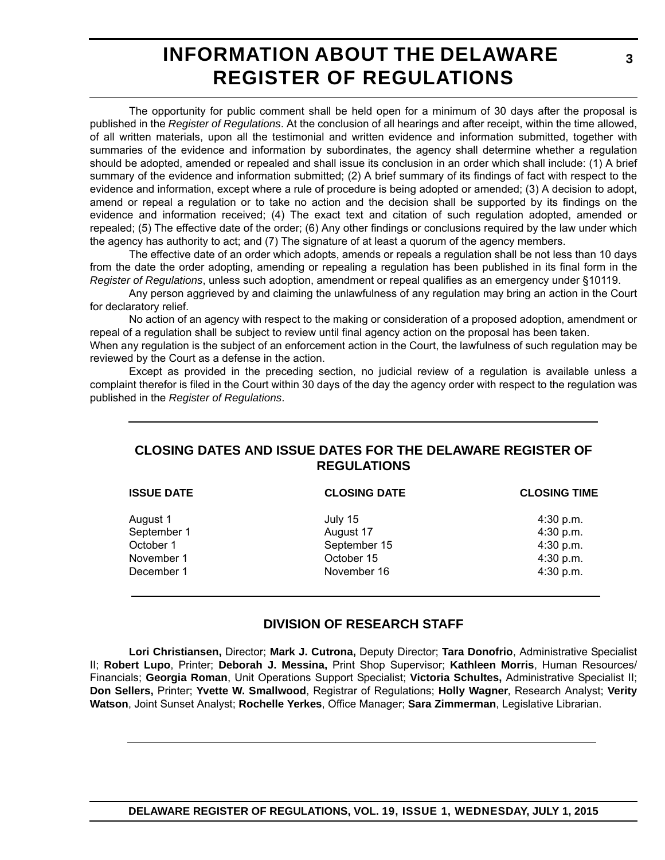# **INFORMATION ABOUT THE DELAWARE REGISTER OF REGULATIONS**

The opportunity for public comment shall be held open for a minimum of 30 days after the proposal is published in the *Register of Regulations*. At the conclusion of all hearings and after receipt, within the time allowed, of all written materials, upon all the testimonial and written evidence and information submitted, together with summaries of the evidence and information by subordinates, the agency shall determine whether a regulation should be adopted, amended or repealed and shall issue its conclusion in an order which shall include: (1) A brief summary of the evidence and information submitted; (2) A brief summary of its findings of fact with respect to the evidence and information, except where a rule of procedure is being adopted or amended; (3) A decision to adopt, amend or repeal a regulation or to take no action and the decision shall be supported by its findings on the evidence and information received; (4) The exact text and citation of such regulation adopted, amended or repealed; (5) The effective date of the order; (6) Any other findings or conclusions required by the law under which the agency has authority to act; and (7) The signature of at least a quorum of the agency members.

The effective date of an order which adopts, amends or repeals a regulation shall be not less than 10 days from the date the order adopting, amending or repealing a regulation has been published in its final form in the *Register of Regulations*, unless such adoption, amendment or repeal qualifies as an emergency under §10119.

Any person aggrieved by and claiming the unlawfulness of any regulation may bring an action in the Court for declaratory relief.

No action of an agency with respect to the making or consideration of a proposed adoption, amendment or repeal of a regulation shall be subject to review until final agency action on the proposal has been taken.

When any regulation is the subject of an enforcement action in the Court, the lawfulness of such regulation may be reviewed by the Court as a defense in the action.

Except as provided in the preceding section, no judicial review of a regulation is available unless a complaint therefor is filed in the Court within 30 days of the day the agency order with respect to the regulation was published in the *Register of Regulations*.

### **CLOSING DATES AND ISSUE DATES FOR THE DELAWARE REGISTER OF REGULATIONS**

| <b>ISSUE DATE</b> | <b>CLOSING DATE</b> | <b>CLOSING TIME</b> |
|-------------------|---------------------|---------------------|
| August 1          | July 15             | $4:30$ p.m.         |
| September 1       | August 17           | 4:30 p.m.           |
| October 1         | September 15        | 4:30 p.m.           |
| November 1        | October 15          | 4:30 p.m.           |
| December 1        | November 16         | 4:30 p.m.           |
|                   |                     |                     |

### **DIVISION OF RESEARCH STAFF**

**Lori Christiansen,** Director; **Mark J. Cutrona,** Deputy Director; **Tara Donofrio**, Administrative Specialist II; **Robert Lupo**, Printer; **Deborah J. Messina,** Print Shop Supervisor; **Kathleen Morris**, Human Resources/ Financials; **Georgia Roman**, Unit Operations Support Specialist; **Victoria Schultes,** Administrative Specialist II; **Don Sellers,** Printer; **Yvette W. Smallwood**, Registrar of Regulations; **Holly Wagner**, Research Analyst; **Verity Watson**, Joint Sunset Analyst; **Rochelle Yerkes**, Office Manager; **Sara Zimmerman**, Legislative Librarian.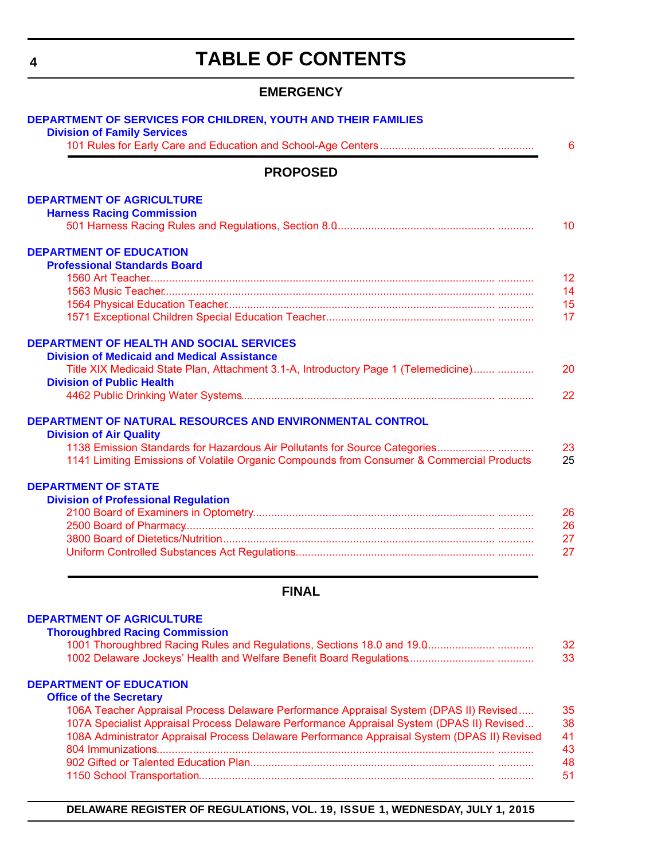# **TABLE OF CONTENTS**

### **EMERGENCY**

<span id="page-3-0"></span>

|                                                           | <b>PROPOSED</b>                                                                           |
|-----------------------------------------------------------|-------------------------------------------------------------------------------------------|
| <b>DEPARTMENT OF AGRICULTURE</b>                          |                                                                                           |
| <b>Harness Racing Commission</b>                          |                                                                                           |
|                                                           |                                                                                           |
| <b>DEPARTMENT OF EDUCATION</b>                            |                                                                                           |
| <b>Professional Standards Board</b>                       |                                                                                           |
|                                                           |                                                                                           |
|                                                           |                                                                                           |
|                                                           |                                                                                           |
|                                                           |                                                                                           |
| <b>DEPARTMENT OF HEALTH AND SOCIAL SERVICES</b>           |                                                                                           |
| <b>Division of Medicaid and Medical Assistance</b>        |                                                                                           |
|                                                           | Title XIX Medicaid State Plan, Attachment 3.1-A, Introductory Page 1 (Telemedicine)       |
| <b>Division of Public Health</b>                          |                                                                                           |
|                                                           |                                                                                           |
| DEPARTMENT OF NATURAL RESOURCES AND ENVIRONMENTAL CONTROL |                                                                                           |
| <b>Division of Air Quality</b>                            |                                                                                           |
|                                                           |                                                                                           |
|                                                           | 1141 Limiting Emissions of Volatile Organic Compounds from Consumer & Commercial Products |
| <b>DEPARTMENT OF STATE</b>                                |                                                                                           |
| <b>Division of Professional Regulation</b>                |                                                                                           |
|                                                           |                                                                                           |
|                                                           |                                                                                           |
|                                                           |                                                                                           |
|                                                           |                                                                                           |

#### **FINAL**

#### **[DEPARTMENT OF AGRICULTURE](http://dda.delaware.gov/thoroughbred/index.shtml)**

| <b>Thoroughbred Racing Commission</b> |  |  |
|---------------------------------------|--|--|
|                                       |  |  |
|                                       |  |  |
| <b>Office of the Secretary</b>        |  |  |

| 35 |
|----|
| 38 |
| 41 |
| 43 |
| 48 |
| 51 |
|    |

**DELAWARE REGISTER OF REGULATIONS, VOL. 19, ISSUE 1, WEDNESDAY, JULY 1, 2015**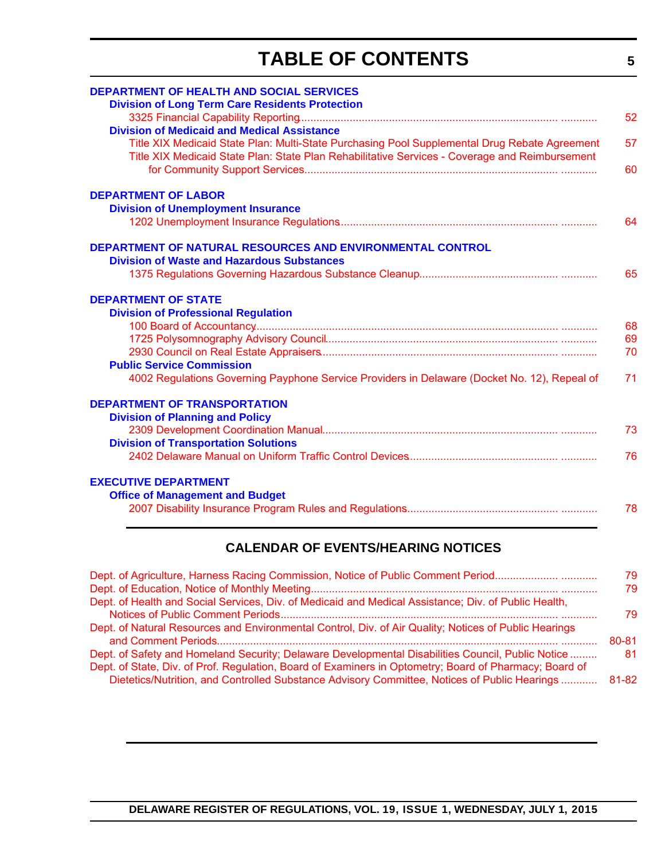# **TABLE OF CONTENTS**

| <b>DEPARTMENT OF HEALTH AND SOCIAL SERVICES</b><br><b>Division of Long Term Care Residents Protection</b>                                                                                       | 52 |
|-------------------------------------------------------------------------------------------------------------------------------------------------------------------------------------------------|----|
| <b>Division of Medicaid and Medical Assistance</b>                                                                                                                                              |    |
| Title XIX Medicaid State Plan: Multi-State Purchasing Pool Supplemental Drug Rebate Agreement<br>Title XIX Medicaid State Plan: State Plan Rehabilitative Services - Coverage and Reimbursement | 57 |
|                                                                                                                                                                                                 | 60 |
| <b>DEPARTMENT OF LABOR</b>                                                                                                                                                                      |    |
| <b>Division of Unemployment Insurance</b>                                                                                                                                                       |    |
|                                                                                                                                                                                                 | 64 |
| DEPARTMENT OF NATURAL RESOURCES AND ENVIRONMENTAL CONTROL<br><b>Division of Waste and Hazardous Substances</b>                                                                                  |    |
|                                                                                                                                                                                                 | 65 |
|                                                                                                                                                                                                 |    |
| <b>DEPARTMENT OF STATE</b>                                                                                                                                                                      |    |
| <b>Division of Professional Regulation</b>                                                                                                                                                      |    |
|                                                                                                                                                                                                 | 68 |
|                                                                                                                                                                                                 | 69 |
|                                                                                                                                                                                                 | 70 |
| <b>Public Service Commission</b>                                                                                                                                                                |    |
| 4002 Regulations Governing Payphone Service Providers in Delaware (Docket No. 12), Repeal of                                                                                                    | 71 |
| <b>DEPARTMENT OF TRANSPORTATION</b>                                                                                                                                                             |    |
| <b>Division of Planning and Policy</b>                                                                                                                                                          |    |
|                                                                                                                                                                                                 | 73 |
| <b>Division of Transportation Solutions</b>                                                                                                                                                     |    |
|                                                                                                                                                                                                 | 76 |
| <b>EXECUTIVE DEPARTMENT</b>                                                                                                                                                                     |    |
| <b>Office of Management and Budget</b>                                                                                                                                                          |    |
|                                                                                                                                                                                                 | 78 |
|                                                                                                                                                                                                 |    |

### **CALENDAR OF EVENTS/HEARING NOTICES**

| Dept. of Agriculture, Harness Racing Commission, Notice of Public Comment Period                       | 79    |
|--------------------------------------------------------------------------------------------------------|-------|
|                                                                                                        | 79    |
| Dept. of Health and Social Services, Div. of Medicaid and Medical Assistance; Div. of Public Health,   |       |
|                                                                                                        | 79    |
| Dept. of Natural Resources and Environmental Control, Div. of Air Quality; Notices of Public Hearings  |       |
|                                                                                                        | 80-81 |
| Dept. of Safety and Homeland Security; Delaware Developmental Disabilities Council, Public Notice      | 81    |
| Dept. of State, Div. of Prof. Regulation, Board of Examiners in Optometry; Board of Pharmacy; Board of |       |
| Dietetics/Nutrition, and Controlled Substance Advisory Committee, Notices of Public Hearings           | 81-82 |
|                                                                                                        |       |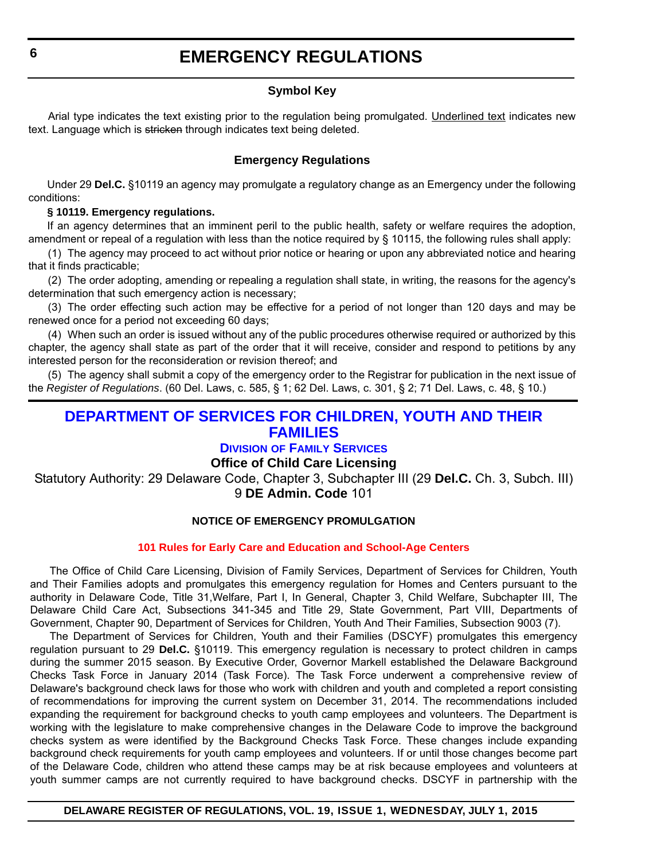### **Symbol Key**

<span id="page-5-0"></span>Arial type indicates the text existing prior to the regulation being promulgated. Underlined text indicates new text. Language which is stricken through indicates text being deleted.

#### **Emergency Regulations**

Under 29 **Del.C.** §10119 an agency may promulgate a regulatory change as an Emergency under the following conditions:

#### **§ 10119. Emergency regulations.**

If an agency determines that an imminent peril to the public health, safety or welfare requires the adoption, amendment or repeal of a regulation with less than the notice required by § 10115, the following rules shall apply:

(1) The agency may proceed to act without prior notice or hearing or upon any abbreviated notice and hearing that it finds practicable;

(2) The order adopting, amending or repealing a regulation shall state, in writing, the reasons for the agency's determination that such emergency action is necessary;

(3) The order effecting such action may be effective for a period of not longer than 120 days and may be renewed once for a period not exceeding 60 days;

(4) When such an order is issued without any of the public procedures otherwise required or authorized by this chapter, the agency shall state as part of the order that it will receive, consider and respond to petitions by any interested person for the reconsideration or revision thereof; and

(5) The agency shall submit a copy of the emergency order to the Registrar for publication in the next issue of the *Register of Regulations*. (60 Del. Laws, c. 585, § 1; 62 Del. Laws, c. 301, § 2; 71 Del. Laws, c. 48, § 10.)

### **[DEPARTMENT OF SERVICES FOR CHILDREN, YOUTH AND THEIR](http://kids.delaware.gov/fs/fs.shtml)  FAMILIES**

### **DIVISION OF FAMILY SERVICES**

### **Office of Child Care Licensing**

Statutory Authority: 29 Delaware Code, Chapter 3, Subchapter III (29 **Del.C.** Ch. 3, Subch. III) 9 **DE Admin. Code** 101

#### **NOTICE OF EMERGENCY PROMULGATION**

#### **[101 Rules for Early Care and Education and School-Age Centers](#page-3-0)**

The Office of Child Care Licensing, Division of Family Services, Department of Services for Children, Youth and Their Families adopts and promulgates this emergency regulation for Homes and Centers pursuant to the authority in Delaware Code, Title 31,Welfare, Part I, In General, Chapter 3, Child Welfare, Subchapter III, The Delaware Child Care Act, Subsections 341-345 and Title 29, State Government, Part VIII, Departments of Government, Chapter 90, Department of Services for Children, Youth And Their Families, Subsection 9003 (7).

The Department of Services for Children, Youth and their Families (DSCYF) promulgates this emergency regulation pursuant to 29 **Del.C.** §10119. This emergency regulation is necessary to protect children in camps during the summer 2015 season. By Executive Order, Governor Markell established the Delaware Background Checks Task Force in January 2014 (Task Force). The Task Force underwent a comprehensive review of Delaware's background check laws for those who work with children and youth and completed a report consisting of recommendations for improving the current system on December 31, 2014. The recommendations included expanding the requirement for background checks to youth camp employees and volunteers. The Department is working with the legislature to make comprehensive changes in the Delaware Code to improve the background checks system as were identified by the Background Checks Task Force. These changes include expanding background check requirements for youth camp employees and volunteers. If or until those changes become part of the Delaware Code, children who attend these camps may be at risk because employees and volunteers at youth summer camps are not currently required to have background checks. DSCYF in partnership with the

#### **DELAWARE REGISTER OF REGULATIONS, VOL. 19, ISSUE 1, WEDNESDAY, JULY 1, 2015**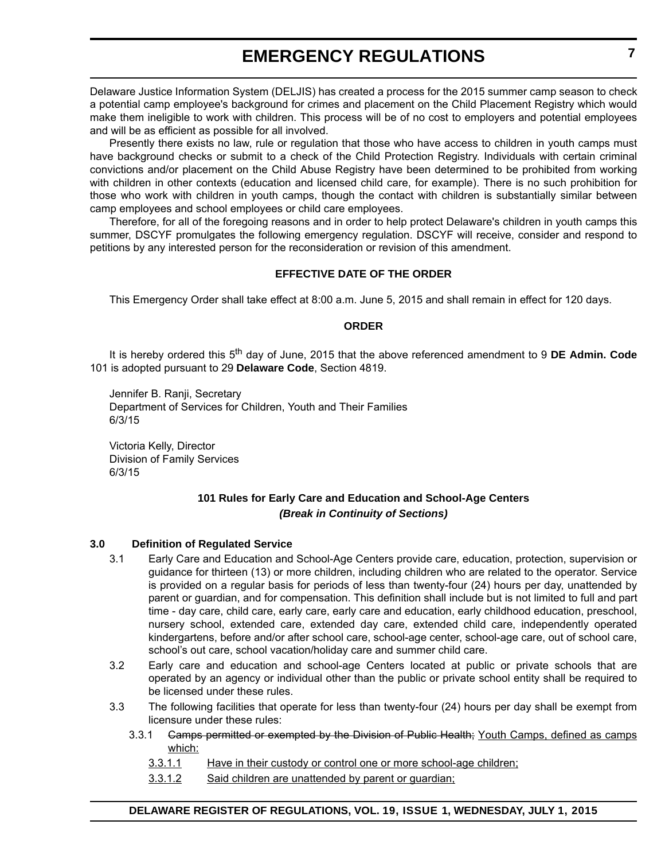### **EMERGENCY REGULATIONS**

Delaware Justice Information System (DELJIS) has created a process for the 2015 summer camp season to check a potential camp employee's background for crimes and placement on the Child Placement Registry which would make them ineligible to work with children. This process will be of no cost to employers and potential employees and will be as efficient as possible for all involved.

Presently there exists no law, rule or regulation that those who have access to children in youth camps must have background checks or submit to a check of the Child Protection Registry. Individuals with certain criminal convictions and/or placement on the Child Abuse Registry have been determined to be prohibited from working with children in other contexts (education and licensed child care, for example). There is no such prohibition for those who work with children in youth camps, though the contact with children is substantially similar between camp employees and school employees or child care employees.

Therefore, for all of the foregoing reasons and in order to help protect Delaware's children in youth camps this summer, DSCYF promulgates the following emergency regulation. DSCYF will receive, consider and respond to petitions by any interested person for the reconsideration or revision of this amendment.

#### **EFFECTIVE DATE OF THE ORDER**

This Emergency Order shall take effect at 8:00 a.m. June 5, 2015 and shall remain in effect for 120 days.

#### **ORDER**

It is hereby ordered this 5<sup>th</sup> day of June, 2015 that the above referenced amendment to 9 DE Admin. Code 101 is adopted pursuant to 29 **Delaware Code**, Section 4819.

Jennifer B. Ranji, Secretary Department of Services for Children, Youth and Their Families 6/3/15

Victoria Kelly, Director Division of Family Services 6/3/15

#### **101 Rules for Early Care and Education and School-Age Centers** *(Break in Continuity of Sections)*

#### **3.0 Definition of Regulated Service**

- 3.1 Early Care and Education and School-Age Centers provide care, education, protection, supervision or guidance for thirteen (13) or more children, including children who are related to the operator. Service is provided on a regular basis for periods of less than twenty-four (24) hours per day, unattended by parent or guardian, and for compensation. This definition shall include but is not limited to full and part time - day care, child care, early care, early care and education, early childhood education, preschool, nursery school, extended care, extended day care, extended child care, independently operated kindergartens, before and/or after school care, school-age center, school-age care, out of school care, school's out care, school vacation/holiday care and summer child care.
- 3.2 Early care and education and school-age Centers located at public or private schools that are operated by an agency or individual other than the public or private school entity shall be required to be licensed under these rules.
- 3.3 The following facilities that operate for less than twenty-four (24) hours per day shall be exempt from licensure under these rules:
	- 3.3.1 Camps permitted or exempted by the Division of Public Health; Youth Camps, defined as camps which:
		- 3.3.1.1 Have in their custody or control one or more school-age children;
		- 3.3.1.2 Said children are unattended by parent or guardian;

#### **DELAWARE REGISTER OF REGULATIONS, VOL. 19, ISSUE 1, WEDNESDAY, JULY 1, 2015**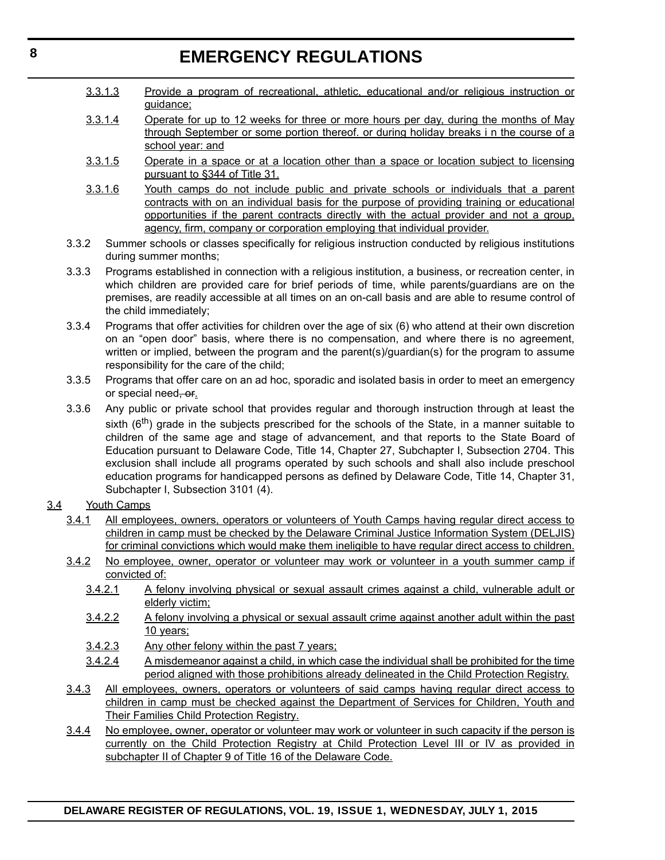## **EMERGENCY REGULATIONS**

- 3.3.1.3 Provide a program of recreational, athletic, educational and/or religious instruction or guidance;
- 3.3.1.4 Operate for up to 12 weeks for three or more hours per day, during the months of May through September or some portion thereof. or during holiday breaks i n the course of a school year: and
- 3.3.1.5 Operate in a space or at a location other than a space or location subject to licensing pursuant to §344 of Title 31.
- 3.3.1.6 Youth camps do not include public and private schools or individuals that a parent contracts with on an individual basis for the purpose of providing training or educational opportunities if the parent contracts directly with the actual provider and not a group, agency, firm, company or corporation employing that individual provider.
- 3.3.2 Summer schools or classes specifically for religious instruction conducted by religious institutions during summer months;
- 3.3.3 Programs established in connection with a religious institution, a business, or recreation center, in which children are provided care for brief periods of time, while parents/guardians are on the premises, are readily accessible at all times on an on-call basis and are able to resume control of the child immediately;
- 3.3.4 Programs that offer activities for children over the age of six (6) who attend at their own discretion on an "open door" basis, where there is no compensation, and where there is no agreement, written or implied, between the program and the parent(s)/guardian(s) for the program to assume responsibility for the care of the child;
- 3.3.5 Programs that offer care on an ad hoc, sporadic and isolated basis in order to meet an emergency or special need, or.
- 3.3.6 Any public or private school that provides regular and thorough instruction through at least the sixth  $(6<sup>th</sup>)$  grade in the subjects prescribed for the schools of the State, in a manner suitable to children of the same age and stage of advancement, and that reports to the State Board of Education pursuant to Delaware Code, Title 14, Chapter 27, Subchapter I, Subsection 2704. This exclusion shall include all programs operated by such schools and shall also include preschool education programs for handicapped persons as defined by Delaware Code, Title 14, Chapter 31, Subchapter I, Subsection 3101 (4).

#### 3.4 Youth Camps

- 3.4.1 All employees, owners, operators or volunteers of Youth Camps having regular direct access to children in camp must be checked by the Delaware Criminal Justice Information System (DELJIS) for criminal convictions which would make them ineligible to have regular direct access to children.
- 3.4.2 No employee, owner, operator or volunteer may work or volunteer in a youth summer camp if convicted of:
	- 3.4.2.1 A felony involving physical or sexual assault crimes against a child, vulnerable adult or elderly victim;
	- 3.4.2.2 A felony involving a physical or sexual assault crime against another adult within the past 10 years;
	- 3.4.2.3 Any other felony within the past 7 years;
	- 3.4.2.4 A misdemeanor against a child, in which case the individual shall be prohibited for the time period aligned with those prohibitions already delineated in the Child Protection Registry.
- 3.4.3 All employees, owners, operators or volunteers of said camps having regular direct access to children in camp must be checked against the Department of Services for Children, Youth and Their Families Child Protection Registry.
- 3.4.4 No employee, owner, operator or volunteer may work or volunteer in such capacity if the person is currently on the Child Protection Registry at Child Protection Level III or IV as provided in subchapter II of Chapter 9 of Title 16 of the Delaware Code.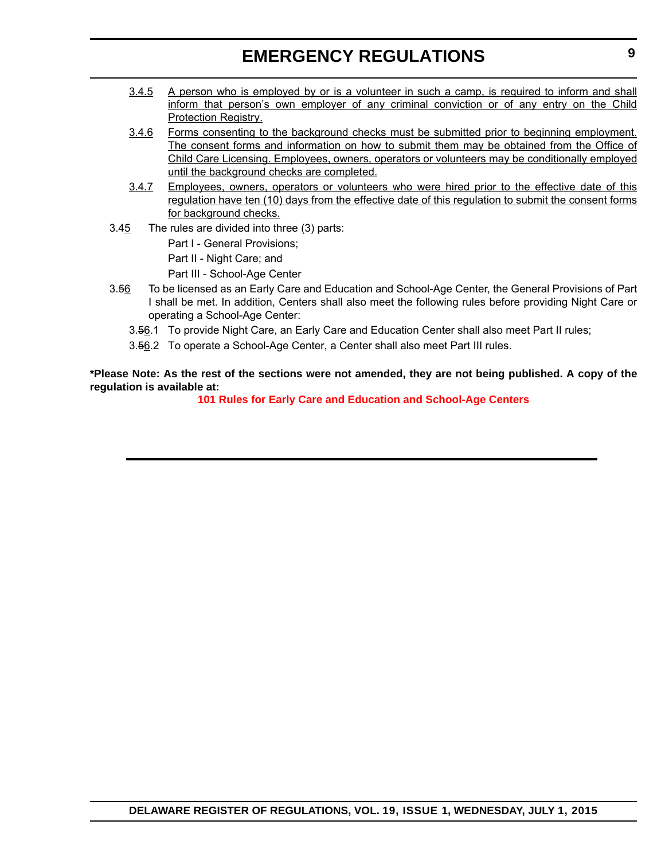### **EMERGENCY REGULATIONS**

- 3.4.5 A person who is employed by or is a volunteer in such a camp, is required to inform and shall inform that person's own employer of any criminal conviction or of any entry on the Child Protection Registry.
- 3.4.6 Forms consenting to the background checks must be submitted prior to beginning employment. The consent forms and information on how to submit them may be obtained from the Office of Child Care Licensing. Employees, owners, operators or volunteers may be conditionally employed until the background checks are completed.
- 3.4.7 Employees, owners, operators or volunteers who were hired prior to the effective date of this regulation have ten (10) days from the effective date of this regulation to submit the consent forms for background checks.
- 3.45 The rules are divided into three (3) parts:

Part I - General Provisions;

Part II - Night Care; and

Part III - School-Age Center

- 3.56 To be licensed as an Early Care and Education and School-Age Center, the General Provisions of Part I shall be met. In addition, Centers shall also meet the following rules before providing Night Care or operating a School-Age Center:
	- 3.56.1 To provide Night Care, an Early Care and Education Center shall also meet Part II rules;
	- 3.56.2 To operate a School-Age Center, a Center shall also meet Part III rules.

**\*Please Note: As the rest of the sections were not amended, they are not being published. A copy of the regulation is available at:**

**[101 Rules for Early Care and Education and School-Age Centers](http://regulations.delaware.gov/register/july2015/emergency/19 DE Reg 6 07-01-15.htm)**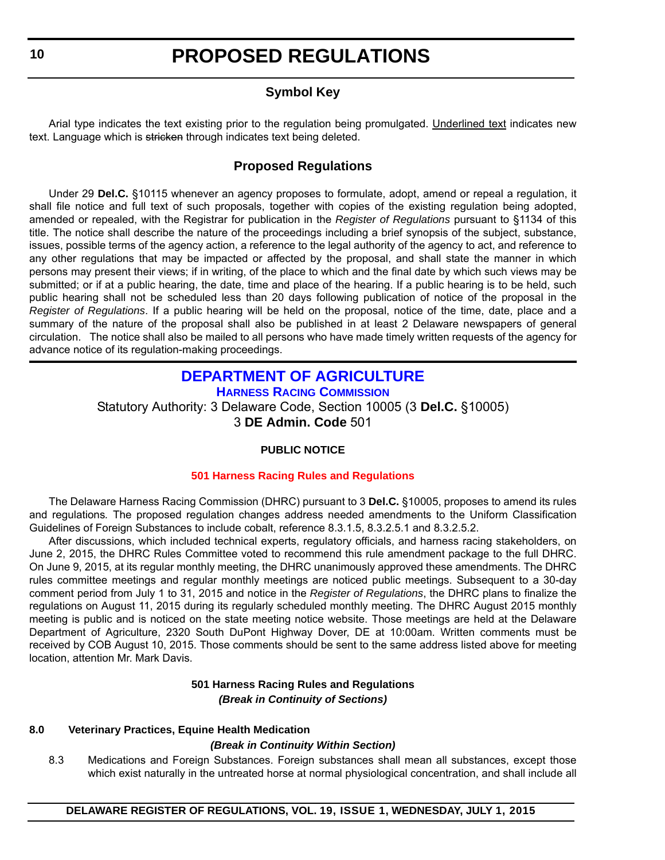### **Symbol Key**

<span id="page-9-0"></span>Arial type indicates the text existing prior to the regulation being promulgated. Underlined text indicates new text. Language which is stricken through indicates text being deleted.

### **Proposed Regulations**

Under 29 **Del.C.** §10115 whenever an agency proposes to formulate, adopt, amend or repeal a regulation, it shall file notice and full text of such proposals, together with copies of the existing regulation being adopted, amended or repealed, with the Registrar for publication in the *Register of Regulations* pursuant to §1134 of this title. The notice shall describe the nature of the proceedings including a brief synopsis of the subject, substance, issues, possible terms of the agency action, a reference to the legal authority of the agency to act, and reference to any other regulations that may be impacted or affected by the proposal, and shall state the manner in which persons may present their views; if in writing, of the place to which and the final date by which such views may be submitted; or if at a public hearing, the date, time and place of the hearing. If a public hearing is to be held, such public hearing shall not be scheduled less than 20 days following publication of notice of the proposal in the *Register of Regulations*. If a public hearing will be held on the proposal, notice of the time, date, place and a summary of the nature of the proposal shall also be published in at least 2 Delaware newspapers of general circulation. The notice shall also be mailed to all persons who have made timely written requests of the agency for advance notice of its regulation-making proceedings.

#### **[DEPARTMENT OF AGRICULTURE](http://dda.delaware.gov/harness/index.shtml) HARNESS RACING COMMISSION**

Statutory Authority: 3 Delaware Code, Section 10005 (3 **Del.C.** §10005) 3 **DE Admin. Code** 501

#### **PUBLIC NOTICE**

#### **[501 Harness Racing Rules and Regulations](#page-3-0)**

The Delaware Harness Racing Commission (DHRC) pursuant to 3 **Del.C.** §10005, proposes to amend its rules and regulations*.* The proposed regulation changes address needed amendments to the Uniform Classification Guidelines of Foreign Substances to include cobalt, reference 8.3.1.5, 8.3.2.5.1 and 8.3.2.5.2.

After discussions, which included technical experts, regulatory officials, and harness racing stakeholders, on June 2, 2015, the DHRC Rules Committee voted to recommend this rule amendment package to the full DHRC. On June 9, 2015, at its regular monthly meeting, the DHRC unanimously approved these amendments. The DHRC rules committee meetings and regular monthly meetings are noticed public meetings. Subsequent to a 30-day comment period from July 1 to 31, 2015 and notice in the *Register of Regulations*, the DHRC plans to finalize the regulations on August 11, 2015 during its regularly scheduled monthly meeting. The DHRC August 2015 monthly meeting is public and is noticed on the state meeting notice website. Those meetings are held at the Delaware Department of Agriculture, 2320 South DuPont Highway Dover, DE at 10:00am. Written comments must be received by COB August 10, 2015. Those comments should be sent to the same address listed above for meeting location, attention Mr. Mark Davis.

#### **501 Harness Racing Rules and Regulations** *(Break in Continuity of Sections)*

#### **8.0 Veterinary Practices, Equine Health Medication**

#### *(Break in Continuity Within Section)*

8.3 Medications and Foreign Substances. Foreign substances shall mean all substances, except those which exist naturally in the untreated horse at normal physiological concentration, and shall include all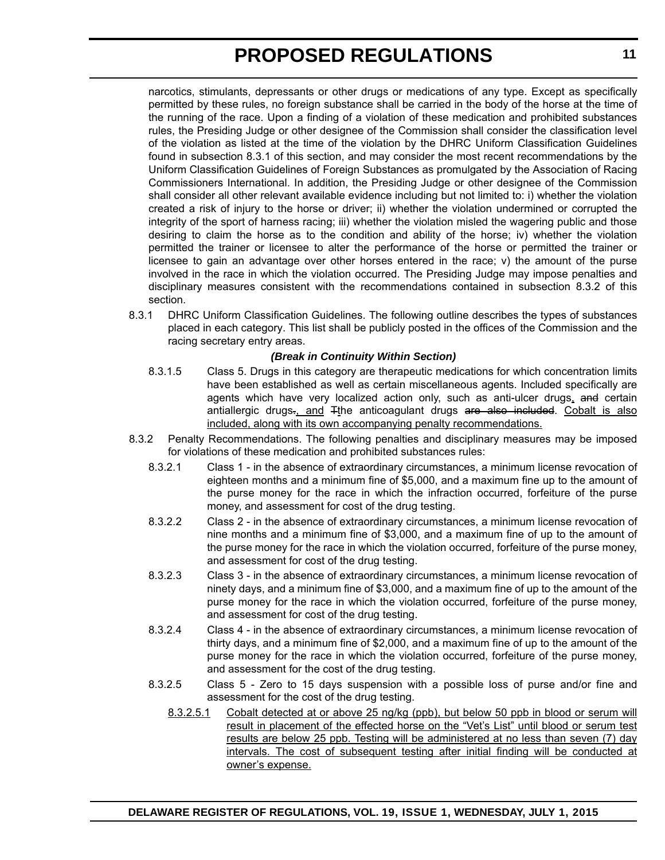narcotics, stimulants, depressants or other drugs or medications of any type. Except as specifically permitted by these rules, no foreign substance shall be carried in the body of the horse at the time of the running of the race. Upon a finding of a violation of these medication and prohibited substances rules, the Presiding Judge or other designee of the Commission shall consider the classification level of the violation as listed at the time of the violation by the DHRC Uniform Classification Guidelines found in subsection 8.3.1 of this section, and may consider the most recent recommendations by the Uniform Classification Guidelines of Foreign Substances as promulgated by the Association of Racing Commissioners International. In addition, the Presiding Judge or other designee of the Commission shall consider all other relevant available evidence including but not limited to: i) whether the violation created a risk of injury to the horse or driver; ii) whether the violation undermined or corrupted the integrity of the sport of harness racing; iii) whether the violation misled the wagering public and those desiring to claim the horse as to the condition and ability of the horse; iv) whether the violation permitted the trainer or licensee to alter the performance of the horse or permitted the trainer or licensee to gain an advantage over other horses entered in the race; v) the amount of the purse involved in the race in which the violation occurred. The Presiding Judge may impose penalties and disciplinary measures consistent with the recommendations contained in subsection 8.3.2 of this section.

8.3.1 DHRC Uniform Classification Guidelines. The following outline describes the types of substances placed in each category. This list shall be publicly posted in the offices of the Commission and the racing secretary entry areas.

#### *(Break in Continuity Within Section)*

- 8.3.1.5 Class 5. Drugs in this category are therapeutic medications for which concentration limits have been established as well as certain miscellaneous agents. Included specifically are agents which have very localized action only, such as anti-ulcer drugs, and certain antiallergic drugs., and Tthe anticoagulant drugs are also included. Cobalt is also included, along with its own accompanying penalty recommendations.
- 8.3.2 Penalty Recommendations. The following penalties and disciplinary measures may be imposed for violations of these medication and prohibited substances rules:
	- 8.3.2.1 Class 1 in the absence of extraordinary circumstances, a minimum license revocation of eighteen months and a minimum fine of \$5,000, and a maximum fine up to the amount of the purse money for the race in which the infraction occurred, forfeiture of the purse money, and assessment for cost of the drug testing.
	- 8.3.2.2 Class 2 in the absence of extraordinary circumstances, a minimum license revocation of nine months and a minimum fine of \$3,000, and a maximum fine of up to the amount of the purse money for the race in which the violation occurred, forfeiture of the purse money, and assessment for cost of the drug testing.
	- 8.3.2.3 Class 3 in the absence of extraordinary circumstances, a minimum license revocation of ninety days, and a minimum fine of \$3,000, and a maximum fine of up to the amount of the purse money for the race in which the violation occurred, forfeiture of the purse money, and assessment for cost of the drug testing.
	- 8.3.2.4 Class 4 in the absence of extraordinary circumstances, a minimum license revocation of thirty days, and a minimum fine of \$2,000, and a maximum fine of up to the amount of the purse money for the race in which the violation occurred, forfeiture of the purse money, and assessment for the cost of the drug testing.
	- 8.3.2.5 Class 5 Zero to 15 days suspension with a possible loss of purse and/or fine and assessment for the cost of the drug testing.
		- 8.3.2.5.1 Cobalt detected at or above 25 ng/kg (ppb), but below 50 ppb in blood or serum will result in placement of the effected horse on the "Vet's List" until blood or serum test results are below 25 ppb. Testing will be administered at no less than seven (7) day intervals. The cost of subsequent testing after initial finding will be conducted at owner's expense.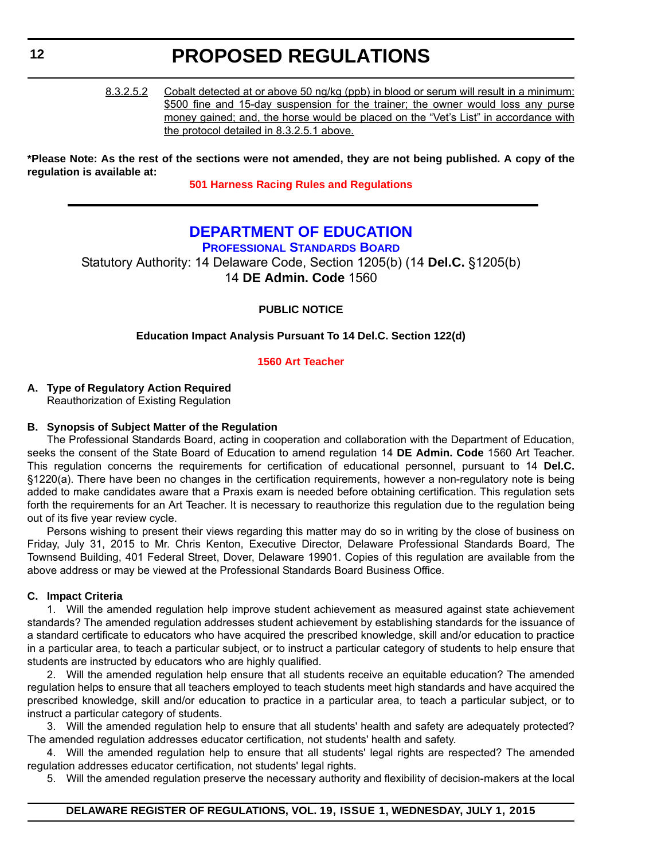<span id="page-11-0"></span>8.3.2.5.2 Cobalt detected at or above 50 ng/kg (ppb) in blood or serum will result in a minimum: \$500 fine and 15-day suspension for the trainer; the owner would loss any purse money gained; and, the horse would be placed on the "Vet's List" in accordance with the protocol detailed in 8.3.2.5.1 above.

**\*Please Note: As the rest of the sections were not amended, they are not being published. A copy of the regulation is available at:**

**[501 Harness Racing Rules and Regulations](http://regulations.delaware.gov/register/july2015/proposed/19 DE Reg 10 07-01-15.htm)**

### **[DEPARTMENT OF EDUCATION](http://www.doe.k12.de.us/domain/172)**

**PROFESSIONAL STANDARDS BOARD**

Statutory Authority: 14 Delaware Code, Section 1205(b) (14 **Del.C.** §1205(b) 14 **DE Admin. Code** 1560

**PUBLIC NOTICE**

**Education Impact Analysis Pursuant To 14 Del.C. Section 122(d)**

#### **[1560 Art Teacher](#page-3-0)**

#### **A. Type of Regulatory Action Required**

Reauthorization of Existing Regulation

#### **B. Synopsis of Subject Matter of the Regulation**

The Professional Standards Board, acting in cooperation and collaboration with the Department of Education, seeks the consent of the State Board of Education to amend regulation 14 **DE Admin. Code** 1560 Art Teacher. This regulation concerns the requirements for certification of educational personnel, pursuant to 14 **Del.C.** §1220(a). There have been no changes in the certification requirements, however a non-regulatory note is being added to make candidates aware that a Praxis exam is needed before obtaining certification. This regulation sets forth the requirements for an Art Teacher. It is necessary to reauthorize this regulation due to the regulation being out of its five year review cycle.

Persons wishing to present their views regarding this matter may do so in writing by the close of business on Friday, July 31, 2015 to Mr. Chris Kenton, Executive Director, Delaware Professional Standards Board, The Townsend Building, 401 Federal Street, Dover, Delaware 19901. Copies of this regulation are available from the above address or may be viewed at the Professional Standards Board Business Office.

#### **C. Impact Criteria**

1. Will the amended regulation help improve student achievement as measured against state achievement standards? The amended regulation addresses student achievement by establishing standards for the issuance of a standard certificate to educators who have acquired the prescribed knowledge, skill and/or education to practice in a particular area, to teach a particular subject, or to instruct a particular category of students to help ensure that students are instructed by educators who are highly qualified.

2. Will the amended regulation help ensure that all students receive an equitable education? The amended regulation helps to ensure that all teachers employed to teach students meet high standards and have acquired the prescribed knowledge, skill and/or education to practice in a particular area, to teach a particular subject, or to instruct a particular category of students.

3. Will the amended regulation help to ensure that all students' health and safety are adequately protected? The amended regulation addresses educator certification, not students' health and safety.

4. Will the amended regulation help to ensure that all students' legal rights are respected? The amended regulation addresses educator certification, not students' legal rights.

5. Will the amended regulation preserve the necessary authority and flexibility of decision-makers at the local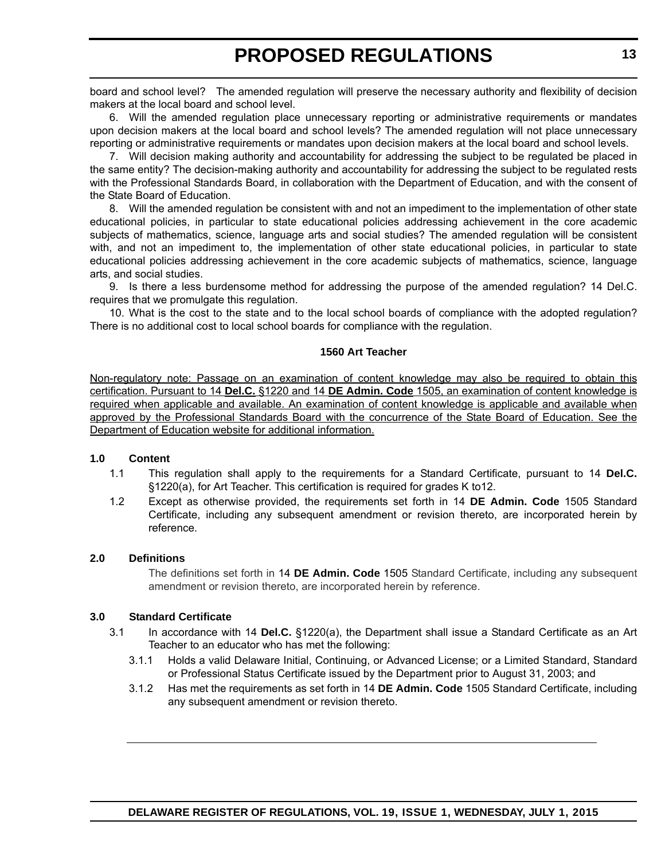board and school level? The amended regulation will preserve the necessary authority and flexibility of decision makers at the local board and school level.

6. Will the amended regulation place unnecessary reporting or administrative requirements or mandates upon decision makers at the local board and school levels? The amended regulation will not place unnecessary reporting or administrative requirements or mandates upon decision makers at the local board and school levels.

7. Will decision making authority and accountability for addressing the subject to be regulated be placed in the same entity? The decision-making authority and accountability for addressing the subject to be regulated rests with the Professional Standards Board, in collaboration with the Department of Education, and with the consent of the State Board of Education.

8. Will the amended regulation be consistent with and not an impediment to the implementation of other state educational policies, in particular to state educational policies addressing achievement in the core academic subjects of mathematics, science, language arts and social studies? The amended regulation will be consistent with, and not an impediment to, the implementation of other state educational policies, in particular to state educational policies addressing achievement in the core academic subjects of mathematics, science, language arts, and social studies.

9. Is there a less burdensome method for addressing the purpose of the amended regulation? 14 Del.C. requires that we promulgate this regulation.

10. What is the cost to the state and to the local school boards of compliance with the adopted regulation? There is no additional cost to local school boards for compliance with the regulation.

#### **1560 Art Teacher**

Non-regulatory note: Passage on an examination of content knowledge may also be required to obtain this certification. Pursuant to 14 **Del.C.** §1220 and 14 **DE Admin. Code** 1505, an examination of content knowledge is required when applicable and available. An examination of content knowledge is applicable and available when approved by the Professional Standards Board with the concurrence of the State Board of Education. See the Department of Education website for additional information.

#### **1.0 Content**

- 1.1 This regulation shall apply to the requirements for a Standard Certificate, pursuant to 14 **Del.C.** §1220(a), for Art Teacher. This certification is required for grades K to12.
- 1.2 Except as otherwise provided, the requirements set forth in 14 **DE Admin. Code** 1505 Standard Certificate, including any subsequent amendment or revision thereto, are incorporated herein by reference.

#### **2.0 Definitions**

The definitions set forth in 14 **DE Admin. Code** 1505 Standard Certificate, including any subsequent amendment or revision thereto, are incorporated herein by reference.

#### **3.0 Standard Certificate**

- 3.1 In accordance with 14 **Del.C.** §1220(a), the Department shall issue a Standard Certificate as an Art Teacher to an educator who has met the following:
	- 3.1.1 Holds a valid Delaware Initial, Continuing, or Advanced License; or a Limited Standard, Standard or Professional Status Certificate issued by the Department prior to August 31, 2003; and
	- 3.1.2 Has met the requirements as set forth in 14 **DE Admin. Code** 1505 Standard Certificate, including any subsequent amendment or revision thereto.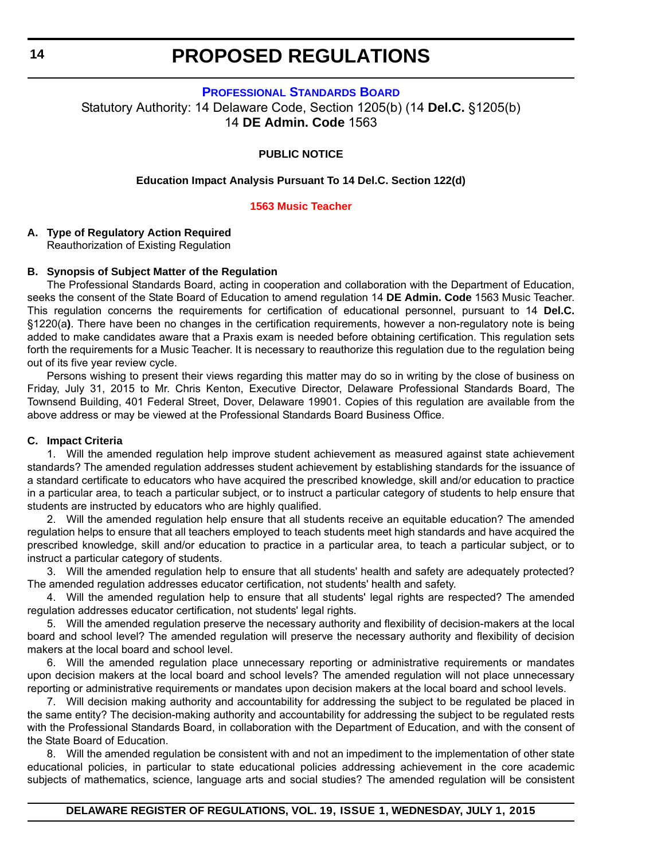**[PROFESSIONAL STANDARDS BOARD](http://www.doe.k12.de.us/domain/172)**

<span id="page-13-0"></span>Statutory Authority: 14 Delaware Code, Section 1205(b) (14 **Del.C.** §1205(b) 14 **DE Admin. Code** 1563

#### **PUBLIC NOTICE**

#### **Education Impact Analysis Pursuant To 14 Del.C. Section 122(d)**

#### **[1563 Music Teacher](#page-3-0)**

#### **A. Type of Regulatory Action Required**

Reauthorization of Existing Regulation

#### **B. Synopsis of Subject Matter of the Regulation**

The Professional Standards Board, acting in cooperation and collaboration with the Department of Education, seeks the consent of the State Board of Education to amend regulation 14 **DE Admin. Code** 1563 Music Teacher. This regulation concerns the requirements for certification of educational personnel, pursuant to 14 **Del.C.** §1220(a**)**. There have been no changes in the certification requirements, however a non-regulatory note is being added to make candidates aware that a Praxis exam is needed before obtaining certification. This regulation sets forth the requirements for a Music Teacher. It is necessary to reauthorize this regulation due to the regulation being out of its five year review cycle.

Persons wishing to present their views regarding this matter may do so in writing by the close of business on Friday, July 31, 2015 to Mr. Chris Kenton, Executive Director, Delaware Professional Standards Board, The Townsend Building, 401 Federal Street, Dover, Delaware 19901. Copies of this regulation are available from the above address or may be viewed at the Professional Standards Board Business Office.

#### **C. Impact Criteria**

1. Will the amended regulation help improve student achievement as measured against state achievement standards? The amended regulation addresses student achievement by establishing standards for the issuance of a standard certificate to educators who have acquired the prescribed knowledge, skill and/or education to practice in a particular area, to teach a particular subject, or to instruct a particular category of students to help ensure that students are instructed by educators who are highly qualified.

2. Will the amended regulation help ensure that all students receive an equitable education? The amended regulation helps to ensure that all teachers employed to teach students meet high standards and have acquired the prescribed knowledge, skill and/or education to practice in a particular area, to teach a particular subject, or to instruct a particular category of students.

3. Will the amended regulation help to ensure that all students' health and safety are adequately protected? The amended regulation addresses educator certification, not students' health and safety.

4. Will the amended regulation help to ensure that all students' legal rights are respected? The amended regulation addresses educator certification, not students' legal rights.

5. Will the amended regulation preserve the necessary authority and flexibility of decision-makers at the local board and school level? The amended regulation will preserve the necessary authority and flexibility of decision makers at the local board and school level.

6. Will the amended regulation place unnecessary reporting or administrative requirements or mandates upon decision makers at the local board and school levels? The amended regulation will not place unnecessary reporting or administrative requirements or mandates upon decision makers at the local board and school levels.

7. Will decision making authority and accountability for addressing the subject to be regulated be placed in the same entity? The decision-making authority and accountability for addressing the subject to be regulated rests with the Professional Standards Board, in collaboration with the Department of Education, and with the consent of the State Board of Education.

8. Will the amended regulation be consistent with and not an impediment to the implementation of other state educational policies, in particular to state educational policies addressing achievement in the core academic subjects of mathematics, science, language arts and social studies? The amended regulation will be consistent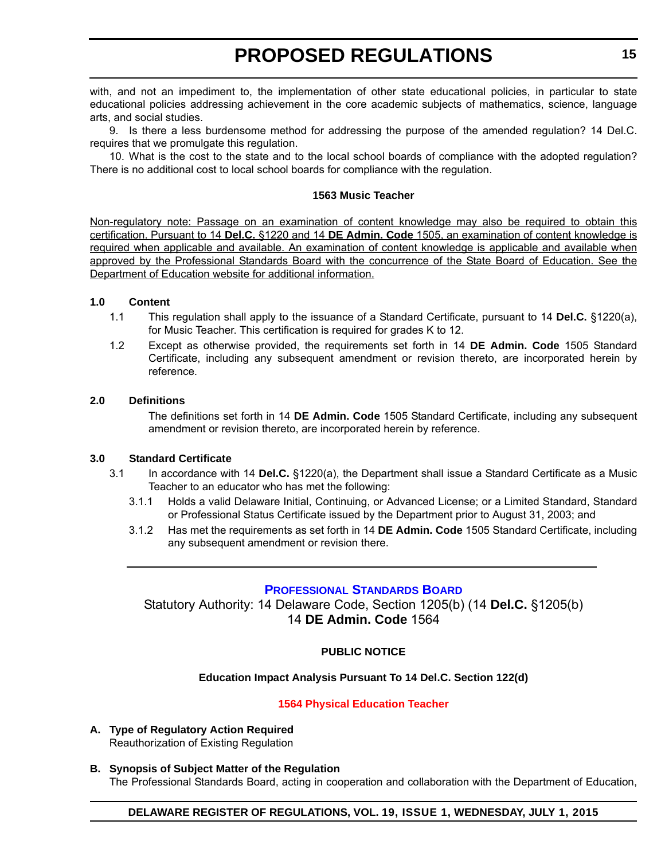<span id="page-14-0"></span>with, and not an impediment to, the implementation of other state educational policies, in particular to state educational policies addressing achievement in the core academic subjects of mathematics, science, language arts, and social studies.

9. Is there a less burdensome method for addressing the purpose of the amended regulation? 14 Del.C. requires that we promulgate this regulation.

10. What is the cost to the state and to the local school boards of compliance with the adopted regulation? There is no additional cost to local school boards for compliance with the regulation.

#### **1563 Music Teacher**

Non-regulatory note: Passage on an examination of content knowledge may also be required to obtain this certification. Pursuant to 14 **Del.C.** §1220 and 14 **DE Admin. Code** 1505, an examination of content knowledge is required when applicable and available. An examination of content knowledge is applicable and available when approved by the Professional Standards Board with the concurrence of the State Board of Education. See the Department of Education website for additional information.

#### **1.0 Content**

- 1.1 This regulation shall apply to the issuance of a Standard Certificate, pursuant to 14 **Del.C.** §1220(a), for Music Teacher. This certification is required for grades K to 12.
- 1.2 Except as otherwise provided, the requirements set forth in 14 **DE Admin. Code** 1505 Standard Certificate, including any subsequent amendment or revision thereto, are incorporated herein by reference.

#### **2.0 Definitions**

The definitions set forth in 14 **DE Admin. Code** 1505 Standard Certificate, including any subsequent amendment or revision thereto, are incorporated herein by reference.

#### **3.0 Standard Certificate**

- 3.1 In accordance with 14 **Del.C.** §1220(a), the Department shall issue a Standard Certificate as a Music Teacher to an educator who has met the following:
	- 3.1.1 Holds a valid Delaware Initial, Continuing, or Advanced License; or a Limited Standard, Standard or Professional Status Certificate issued by the Department prior to August 31, 2003; and
	- 3.1.2 Has met the requirements as set forth in 14 **DE Admin. Code** 1505 Standard Certificate, including any subsequent amendment or revision there.

#### **[PROFESSIONAL STANDARDS BOARD](http://www.doe.k12.de.us/domain/172)**

Statutory Authority: 14 Delaware Code, Section 1205(b) (14 **Del.C.** §1205(b) 14 **DE Admin. Code** 1564

#### **PUBLIC NOTICE**

#### **Education Impact Analysis Pursuant To 14 Del.C. Section 122(d)**

#### **[1564 Physical Education Teacher](#page-3-0)**

- **A. Type of Regulatory Action Required** Reauthorization of Existing Regulation
- **B. Synopsis of Subject Matter of the Regulation** The Professional Standards Board, acting in cooperation and collaboration with the Department of Education,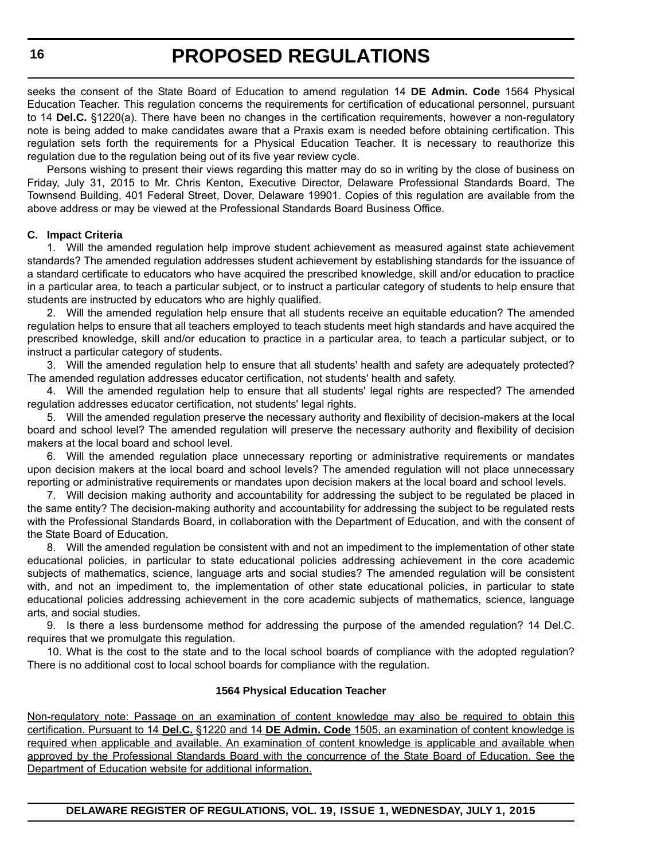seeks the consent of the State Board of Education to amend regulation 14 **DE Admin. Code** 1564 Physical Education Teacher. This regulation concerns the requirements for certification of educational personnel, pursuant to 14 **Del.C.** §1220(a). There have been no changes in the certification requirements, however a non-regulatory note is being added to make candidates aware that a Praxis exam is needed before obtaining certification. This regulation sets forth the requirements for a Physical Education Teacher. It is necessary to reauthorize this regulation due to the regulation being out of its five year review cycle.

Persons wishing to present their views regarding this matter may do so in writing by the close of business on Friday, July 31, 2015 to Mr. Chris Kenton, Executive Director, Delaware Professional Standards Board, The Townsend Building, 401 Federal Street, Dover, Delaware 19901. Copies of this regulation are available from the above address or may be viewed at the Professional Standards Board Business Office.

#### **C. Impact Criteria**

1. Will the amended regulation help improve student achievement as measured against state achievement standards? The amended regulation addresses student achievement by establishing standards for the issuance of a standard certificate to educators who have acquired the prescribed knowledge, skill and/or education to practice in a particular area, to teach a particular subject, or to instruct a particular category of students to help ensure that students are instructed by educators who are highly qualified.

2. Will the amended regulation help ensure that all students receive an equitable education? The amended regulation helps to ensure that all teachers employed to teach students meet high standards and have acquired the prescribed knowledge, skill and/or education to practice in a particular area, to teach a particular subject, or to instruct a particular category of students.

3. Will the amended regulation help to ensure that all students' health and safety are adequately protected? The amended regulation addresses educator certification, not students' health and safety.

4. Will the amended regulation help to ensure that all students' legal rights are respected? The amended regulation addresses educator certification, not students' legal rights.

5. Will the amended regulation preserve the necessary authority and flexibility of decision-makers at the local board and school level? The amended regulation will preserve the necessary authority and flexibility of decision makers at the local board and school level.

6. Will the amended regulation place unnecessary reporting or administrative requirements or mandates upon decision makers at the local board and school levels? The amended regulation will not place unnecessary reporting or administrative requirements or mandates upon decision makers at the local board and school levels.

7. Will decision making authority and accountability for addressing the subject to be regulated be placed in the same entity? The decision-making authority and accountability for addressing the subject to be regulated rests with the Professional Standards Board, in collaboration with the Department of Education, and with the consent of the State Board of Education.

8. Will the amended regulation be consistent with and not an impediment to the implementation of other state educational policies, in particular to state educational policies addressing achievement in the core academic subjects of mathematics, science, language arts and social studies? The amended regulation will be consistent with, and not an impediment to, the implementation of other state educational policies, in particular to state educational policies addressing achievement in the core academic subjects of mathematics, science, language arts, and social studies.

9. Is there a less burdensome method for addressing the purpose of the amended regulation? 14 Del.C. requires that we promulgate this regulation.

10. What is the cost to the state and to the local school boards of compliance with the adopted regulation? There is no additional cost to local school boards for compliance with the regulation.

#### **1564 Physical Education Teacher**

Non-regulatory note: Passage on an examination of content knowledge may also be required to obtain this certification. Pursuant to 14 **Del.C.** §1220 and 14 **DE Admin. Code** 1505, an examination of content knowledge is required when applicable and available. An examination of content knowledge is applicable and available when approved by the Professional Standards Board with the concurrence of the State Board of Education. See the Department of Education website for additional information.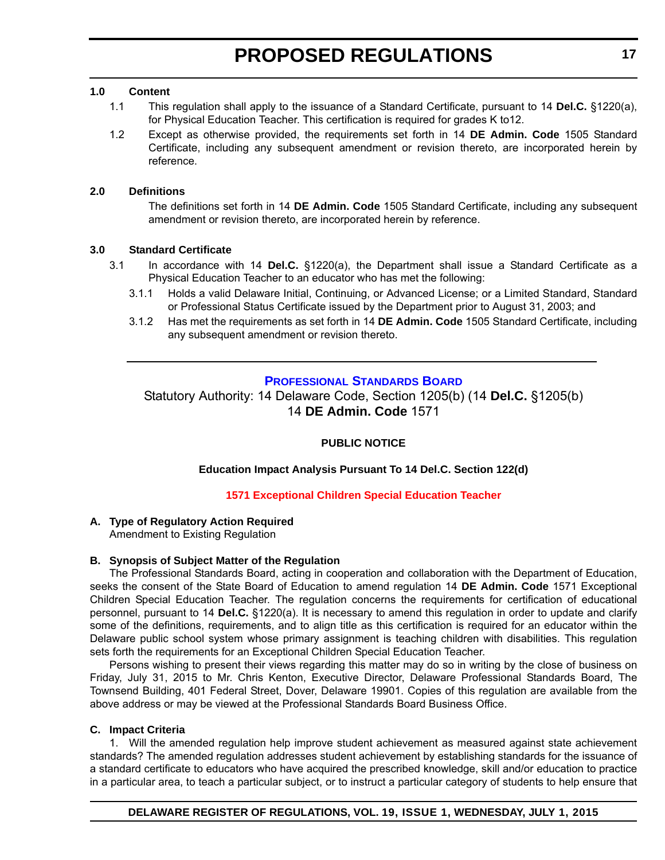#### <span id="page-16-0"></span>**1.0 Content**

- 1.1 This regulation shall apply to the issuance of a Standard Certificate, pursuant to 14 **Del.C.** §1220(a), for Physical Education Teacher. This certification is required for grades K to12.
- 1.2 Except as otherwise provided, the requirements set forth in 14 **DE Admin. Code** 1505 Standard Certificate, including any subsequent amendment or revision thereto, are incorporated herein by reference.

#### **2.0 Definitions**

The definitions set forth in 14 **DE Admin. Code** 1505 Standard Certificate, including any subsequent amendment or revision thereto, are incorporated herein by reference.

#### **3.0 Standard Certificate**

- 3.1 In accordance with 14 **Del.C.** §1220(a), the Department shall issue a Standard Certificate as a Physical Education Teacher to an educator who has met the following:
	- 3.1.1 Holds a valid Delaware Initial, Continuing, or Advanced License; or a Limited Standard, Standard or Professional Status Certificate issued by the Department prior to August 31, 2003; and
	- 3.1.2 Has met the requirements as set forth in 14 **DE Admin. Code** 1505 Standard Certificate, including any subsequent amendment or revision thereto.

#### **[PROFESSIONAL STANDARDS BOARD](http://www.doe.k12.de.us/domain/172)**

Statutory Authority: 14 Delaware Code, Section 1205(b) (14 **Del.C.** §1205(b) 14 **DE Admin. Code** 1571

#### **PUBLIC NOTICE**

#### **Education Impact Analysis Pursuant To 14 Del.C. Section 122(d)**

#### **[1571 Exceptional Children Special Education Teacher](#page-3-0)**

#### **A. Type of Regulatory Action Required**

Amendment to Existing Regulation

#### **B. Synopsis of Subject Matter of the Regulation**

The Professional Standards Board, acting in cooperation and collaboration with the Department of Education, seeks the consent of the State Board of Education to amend regulation 14 **DE Admin. Code** 1571 Exceptional Children Special Education Teacher. The regulation concerns the requirements for certification of educational personnel, pursuant to 14 **Del.C.** §1220(a). It is necessary to amend this regulation in order to update and clarify some of the definitions, requirements, and to align title as this certification is required for an educator within the Delaware public school system whose primary assignment is teaching children with disabilities. This regulation sets forth the requirements for an Exceptional Children Special Education Teacher.

Persons wishing to present their views regarding this matter may do so in writing by the close of business on Friday, July 31, 2015 to Mr. Chris Kenton, Executive Director, Delaware Professional Standards Board, The Townsend Building, 401 Federal Street, Dover, Delaware 19901. Copies of this regulation are available from the above address or may be viewed at the Professional Standards Board Business Office.

#### **C. Impact Criteria**

1. Will the amended regulation help improve student achievement as measured against state achievement standards? The amended regulation addresses student achievement by establishing standards for the issuance of a standard certificate to educators who have acquired the prescribed knowledge, skill and/or education to practice in a particular area, to teach a particular subject, or to instruct a particular category of students to help ensure that

#### **DELAWARE REGISTER OF REGULATIONS, VOL. 19, ISSUE 1, WEDNESDAY, JULY 1, 2015**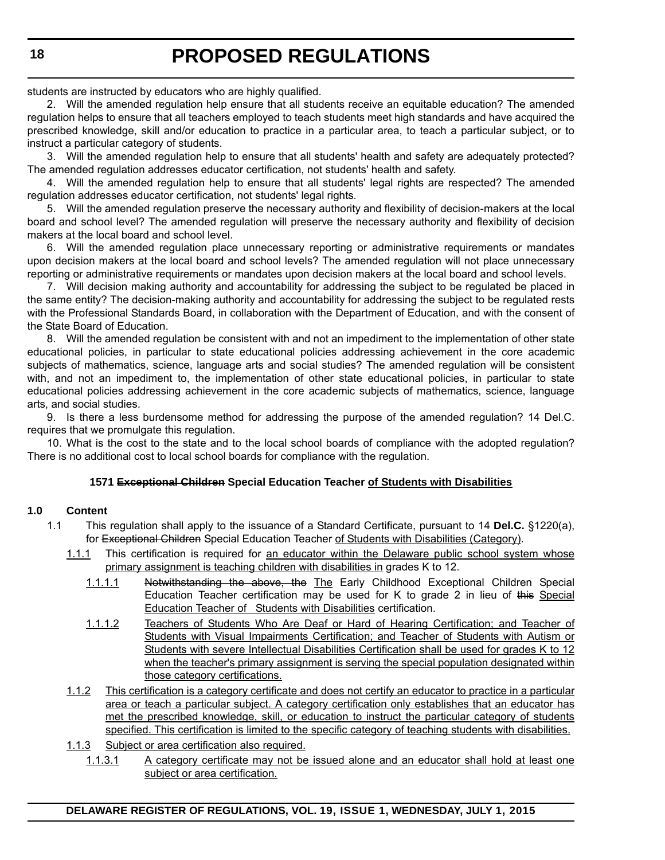students are instructed by educators who are highly qualified.

2. Will the amended regulation help ensure that all students receive an equitable education? The amended regulation helps to ensure that all teachers employed to teach students meet high standards and have acquired the prescribed knowledge, skill and/or education to practice in a particular area, to teach a particular subject, or to instruct a particular category of students.

3. Will the amended regulation help to ensure that all students' health and safety are adequately protected? The amended regulation addresses educator certification, not students' health and safety.

4. Will the amended regulation help to ensure that all students' legal rights are respected? The amended regulation addresses educator certification, not students' legal rights.

5. Will the amended regulation preserve the necessary authority and flexibility of decision-makers at the local board and school level? The amended regulation will preserve the necessary authority and flexibility of decision makers at the local board and school level.

6. Will the amended regulation place unnecessary reporting or administrative requirements or mandates upon decision makers at the local board and school levels? The amended regulation will not place unnecessary reporting or administrative requirements or mandates upon decision makers at the local board and school levels.

7. Will decision making authority and accountability for addressing the subject to be regulated be placed in the same entity? The decision-making authority and accountability for addressing the subject to be regulated rests with the Professional Standards Board, in collaboration with the Department of Education, and with the consent of the State Board of Education.

8. Will the amended regulation be consistent with and not an impediment to the implementation of other state educational policies, in particular to state educational policies addressing achievement in the core academic subjects of mathematics, science, language arts and social studies? The amended regulation will be consistent with, and not an impediment to, the implementation of other state educational policies, in particular to state educational policies addressing achievement in the core academic subjects of mathematics, science, language arts, and social studies.

9. Is there a less burdensome method for addressing the purpose of the amended regulation? 14 Del.C. requires that we promulgate this regulation.

10. What is the cost to the state and to the local school boards of compliance with the adopted regulation? There is no additional cost to local school boards for compliance with the regulation.

#### **1571 Exceptional Children Special Education Teacher of Students with Disabilities**

#### **1.0 Content**

- 1.1 This regulation shall apply to the issuance of a Standard Certificate, pursuant to 14 **Del.C.** §1220(a), for Exceptional Children Special Education Teacher of Students with Disabilities (Category).
	- 1.1.1 This certification is required for an educator within the Delaware public school system whose primary assignment is teaching children with disabilities in grades K to 12.
		- 1.1.1.1 Notwithstanding the above, the The Early Childhood Exceptional Children Special Education Teacher certification may be used for K to grade 2 in lieu of this Special Education Teacher of Students with Disabilities certification.
		- 1.1.1.2 Teachers of Students Who Are Deaf or Hard of Hearing Certification; and Teacher of Students with Visual Impairments Certification; and Teacher of Students with Autism or Students with severe Intellectual Disabilities Certification shall be used for grades K to 12 when the teacher's primary assignment is serving the special population designated within those category certifications.
	- 1.1.2 This certification is a category certificate and does not certify an educator to practice in a particular area or teach a particular subject. A category certification only establishes that an educator has met the prescribed knowledge, skill, or education to instruct the particular category of students specified. This certification is limited to the specific category of teaching students with disabilities.
	- 1.1.3 Subject or area certification also required.
		- 1.1.3.1 A category certificate may not be issued alone and an educator shall hold at least one subject or area certification.

**18**

#### **DELAWARE REGISTER OF REGULATIONS, VOL. 19, ISSUE 1, WEDNESDAY, JULY 1, 2015**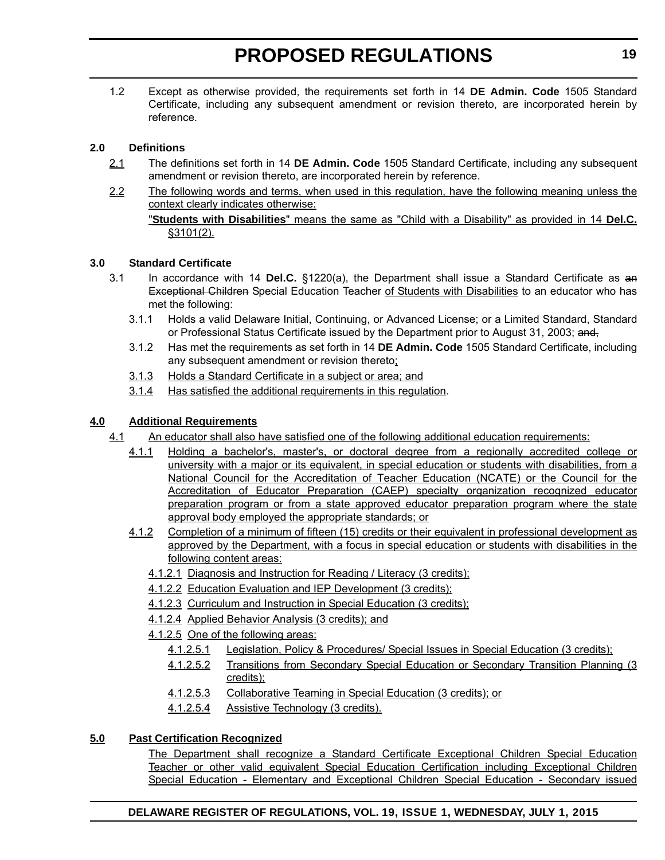1.2 Except as otherwise provided, the requirements set forth in 14 **DE Admin. Code** 1505 Standard Certificate, including any subsequent amendment or revision thereto, are incorporated herein by reference.

#### **2.0 Definitions**

- 2.1 The definitions set forth in 14 **DE Admin. Code** 1505 Standard Certificate, including any subsequent amendment or revision thereto, are incorporated herein by reference.
- 2.2 The following words and terms, when used in this regulation, have the following meaning unless the context clearly indicates otherwise:

#### **3.0 Standard Certificate**

- 3.1 In accordance with 14 **Del.C.** §1220(a), the Department shall issue a Standard Certificate as an Exceptional Children Special Education Teacher of Students with Disabilities to an educator who has met the following:
	- 3.1.1 Holds a valid Delaware Initial, Continuing, or Advanced License; or a Limited Standard, Standard or Professional Status Certificate issued by the Department prior to August 31, 2003; and,
	- 3.1.2 Has met the requirements as set forth in 14 **DE Admin. Code** 1505 Standard Certificate, including any subsequent amendment or revision thereto;
	- 3.1.3 Holds a Standard Certificate in a subject or area; and
	- 3.1.4 Has satisfied the additional requirements in this regulation.

#### **4.0 Additional Requirements**

- 4.1 An educator shall also have satisfied one of the following additional education requirements:
	- 4.1.1 Holding a bachelor's, master's, or doctoral degree from a regionally accredited college or university with a major or its equivalent, in special education or students with disabilities, from a National Council for the Accreditation of Teacher Education (NCATE) or the Council for the Accreditation of Educator Preparation (CAEP) specialty organization recognized educator preparation program or from a state approved educator preparation program where the state approval body employed the appropriate standards; or
	- 4.1.2 Completion of a minimum of fifteen (15) credits or their equivalent in professional development as approved by the Department, with a focus in special education or students with disabilities in the following content areas:
		- 4.1.2.1 Diagnosis and Instruction for Reading / Literacy (3 credits);
		- 4.1.2.2 Education Evaluation and IEP Development (3 credits);
		- 4.1.2.3 Curriculum and Instruction in Special Education (3 credits);
		- 4.1.2.4 Applied Behavior Analysis (3 credits); and
		- 4.1.2.5 One of the following areas:
			- 4.1.2.5.1 Legislation, Policy & Procedures/ Special Issues in Special Education (3 credits);
			- 4.1.2.5.2 Transitions from Secondary Special Education or Secondary Transition Planning (3 credits);
			- 4.1.2.5.3 Collaborative Teaming in Special Education (3 credits); or
			- 4.1.2.5.4 Assistive Technology (3 credits).

### **5.0 Past Certification Recognized**

The Department shall recognize a Standard Certificate Exceptional Children Special Education Teacher or other valid equivalent Special Education Certification including Exceptional Children Special Education - Elementary and Exceptional Children Special Education - Secondary issued

<sup>&</sup>quot;**Students with Disabilities**" means the same as "Child with a Disability" as provided in 14 **Del.C.** §3101(2).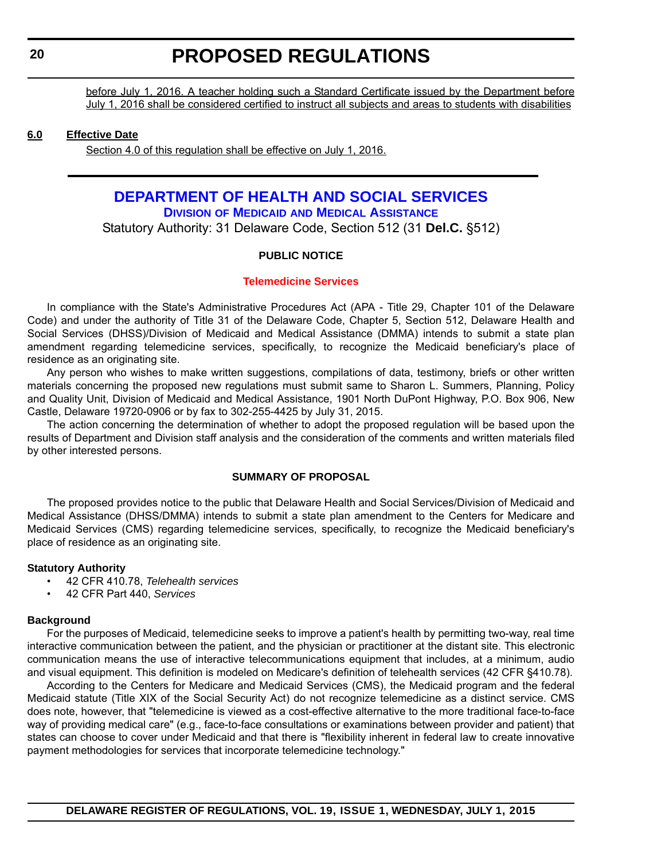<span id="page-19-0"></span>before July 1, 2016. A teacher holding such a Standard Certificate issued by the Department before July 1, 2016 shall be considered certified to instruct all subjects and areas to students with disabilities

#### **6.0 Effective Date**

Section 4.0 of this regulation shall be effective on July 1, 2016.

#### **[DEPARTMENT OF HEALTH AND SOCIAL SERVICES](http://www.dhss.delaware.gov/dhss/dmma/) DIVISION OF MEDICAID AND MEDICAL ASSISTANCE**

Statutory Authority: 31 Delaware Code, Section 512 (31 **Del.C.** §512)

#### **PUBLIC NOTICE**

#### **[Telemedicine Services](#page-3-0)**

In compliance with the State's Administrative Procedures Act (APA - Title 29, Chapter 101 of the Delaware Code) and under the authority of Title 31 of the Delaware Code, Chapter 5, Section 512, Delaware Health and Social Services (DHSS)/Division of Medicaid and Medical Assistance (DMMA) intends to submit a state plan amendment regarding telemedicine services, specifically, to recognize the Medicaid beneficiary's place of residence as an originating site.

Any person who wishes to make written suggestions, compilations of data, testimony, briefs or other written materials concerning the proposed new regulations must submit same to Sharon L. Summers, Planning, Policy and Quality Unit, Division of Medicaid and Medical Assistance, 1901 North DuPont Highway, P.O. Box 906, New Castle, Delaware 19720-0906 or by fax to 302-255-4425 by July 31, 2015.

The action concerning the determination of whether to adopt the proposed regulation will be based upon the results of Department and Division staff analysis and the consideration of the comments and written materials filed by other interested persons.

#### **SUMMARY OF PROPOSAL**

The proposed provides notice to the public that Delaware Health and Social Services/Division of Medicaid and Medical Assistance (DHSS/DMMA) intends to submit a state plan amendment to the Centers for Medicare and Medicaid Services (CMS) regarding telemedicine services, specifically, to recognize the Medicaid beneficiary's place of residence as an originating site.

#### **Statutory Authority**

- 42 CFR 410.78, *Telehealth services*
- 42 CFR Part 440, *Services*

#### **Background**

For the purposes of Medicaid, telemedicine seeks to improve a patient's health by permitting two-way, real time interactive communication between the patient, and the physician or practitioner at the distant site. This electronic communication means the use of interactive telecommunications equipment that includes, at a minimum, audio and visual equipment. This definition is modeled on Medicare's definition of telehealth services (42 CFR §410.78).

According to the Centers for Medicare and Medicaid Services (CMS), the Medicaid program and the federal Medicaid statute (Title XIX of the Social Security Act) do not recognize telemedicine as a distinct service. CMS does note, however, that "telemedicine is viewed as a cost-effective alternative to the more traditional face-to-face way of providing medical care" (e.g., face-to-face consultations or examinations between provider and patient) that states can choose to cover under Medicaid and that there is "flexibility inherent in federal law to create innovative payment methodologies for services that incorporate telemedicine technology."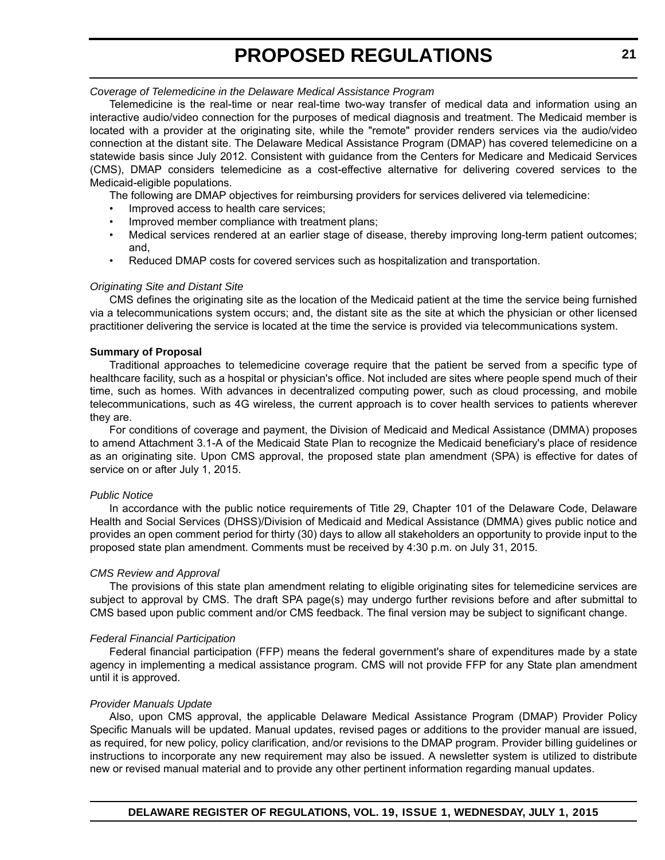*Coverage of Telemedicine in the Delaware Medical Assistance Program*

Telemedicine is the real-time or near real-time two-way transfer of medical data and information using an interactive audio/video connection for the purposes of medical diagnosis and treatment. The Medicaid member is located with a provider at the originating site, while the "remote" provider renders services via the audio/video connection at the distant site. The Delaware Medical Assistance Program (DMAP) has covered telemedicine on a statewide basis since July 2012. Consistent with guidance from the Centers for Medicare and Medicaid Services (CMS), DMAP considers telemedicine as a cost-effective alternative for delivering covered services to the Medicaid-eligible populations.

The following are DMAP objectives for reimbursing providers for services delivered via telemedicine:

- Improved access to health care services;
- Improved member compliance with treatment plans;
- Medical services rendered at an earlier stage of disease, thereby improving long-term patient outcomes; and,
- Reduced DMAP costs for covered services such as hospitalization and transportation.

#### *Originating Site and Distant Site*

CMS defines the originating site as the location of the Medicaid patient at the time the service being furnished via a telecommunications system occurs; and, the distant site as the site at which the physician or other licensed practitioner delivering the service is located at the time the service is provided via telecommunications system.

#### **Summary of Proposal**

Traditional approaches to telemedicine coverage require that the patient be served from a specific type of healthcare facility, such as a hospital or physician's office. Not included are sites where people spend much of their time, such as homes. With advances in decentralized computing power, such as cloud processing, and mobile telecommunications, such as 4G wireless, the current approach is to cover health services to patients wherever they are.

For conditions of coverage and payment, the Division of Medicaid and Medical Assistance (DMMA) proposes to amend Attachment 3.1-A of the Medicaid State Plan to recognize the Medicaid beneficiary's place of residence as an originating site. Upon CMS approval, the proposed state plan amendment (SPA) is effective for dates of service on or after July 1, 2015.

#### *Public Notice*

In accordance with the public notice requirements of Title 29, Chapter 101 of the Delaware Code, Delaware Health and Social Services (DHSS)/Division of Medicaid and Medical Assistance (DMMA) gives public notice and provides an open comment period for thirty (30) days to allow all stakeholders an opportunity to provide input to the proposed state plan amendment. Comments must be received by 4:30 p.m. on July 31, 2015.

#### *CMS Review and Approval*

The provisions of this state plan amendment relating to eligible originating sites for telemedicine services are subject to approval by CMS. The draft SPA page(s) may undergo further revisions before and after submittal to CMS based upon public comment and/or CMS feedback. The final version may be subject to significant change.

#### *Federal Financial Participation*

Federal financial participation (FFP) means the federal government's share of expenditures made by a state agency in implementing a medical assistance program. CMS will not provide FFP for any State plan amendment until it is approved.

#### *Provider Manuals Update*

Also, upon CMS approval, the applicable Delaware Medical Assistance Program (DMAP) Provider Policy Specific Manuals will be updated. Manual updates, revised pages or additions to the provider manual are issued, as required, for new policy, policy clarification, and/or revisions to the DMAP program. Provider billing guidelines or instructions to incorporate any new requirement may also be issued. A newsletter system is utilized to distribute new or revised manual material and to provide any other pertinent information regarding manual updates.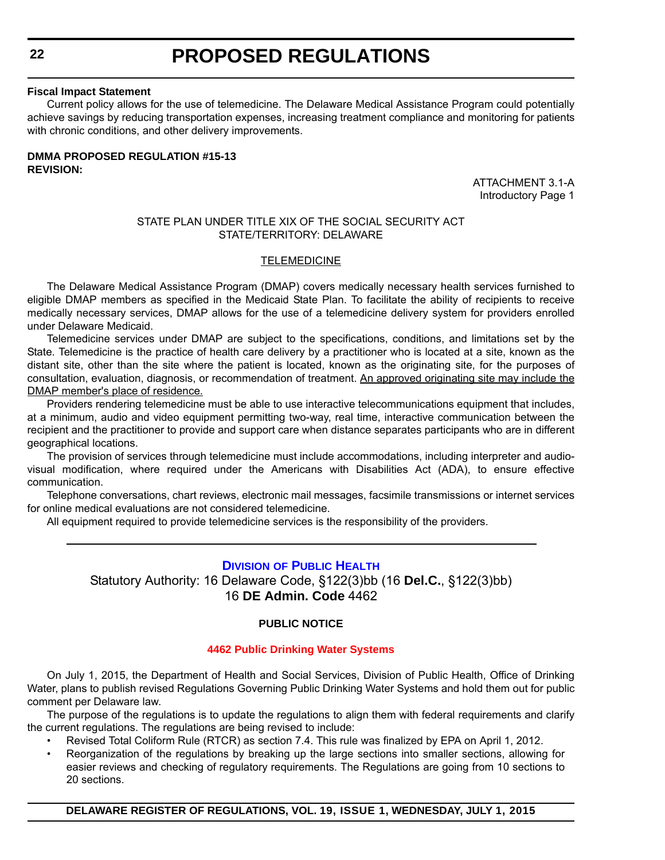#### <span id="page-21-0"></span>**Fiscal Impact Statement**

Current policy allows for the use of telemedicine. The Delaware Medical Assistance Program could potentially achieve savings by reducing transportation expenses, increasing treatment compliance and monitoring for patients with chronic conditions, and other delivery improvements.

#### **DMMA PROPOSED REGULATION #15-13 REVISION:**

ATTACHMENT 3.1-A Introductory Page 1

#### STATE PLAN UNDER TITLE XIX OF THE SOCIAL SECURITY ACT STATE/TERRITORY: DELAWARE

#### **TELEMEDICINE**

The Delaware Medical Assistance Program (DMAP) covers medically necessary health services furnished to eligible DMAP members as specified in the Medicaid State Plan. To facilitate the ability of recipients to receive medically necessary services, DMAP allows for the use of a telemedicine delivery system for providers enrolled under Delaware Medicaid.

Telemedicine services under DMAP are subject to the specifications, conditions, and limitations set by the State. Telemedicine is the practice of health care delivery by a practitioner who is located at a site, known as the distant site, other than the site where the patient is located, known as the originating site, for the purposes of consultation, evaluation, diagnosis, or recommendation of treatment. An approved originating site may include the DMAP member's place of residence.

Providers rendering telemedicine must be able to use interactive telecommunications equipment that includes, at a minimum, audio and video equipment permitting two-way, real time, interactive communication between the recipient and the practitioner to provide and support care when distance separates participants who are in different geographical locations.

The provision of services through telemedicine must include accommodations, including interpreter and audiovisual modification, where required under the Americans with Disabilities Act (ADA), to ensure effective communication.

Telephone conversations, chart reviews, electronic mail messages, facsimile transmissions or internet services for online medical evaluations are not considered telemedicine.

All equipment required to provide telemedicine services is the responsibility of the providers.

### **DIVISION [OF PUBLIC HEALTH](http://www.dhss.delaware.gov/dhss/dph/index.html)**

Statutory Authority: 16 Delaware Code, §122(3)bb (16 **Del.C.**, §122(3)bb) 16 **DE Admin. Code** 4462

#### **PUBLIC NOTICE**

#### **[4462 Public Drinking Water Systems](#page-3-0)**

On July 1, 2015, the Department of Health and Social Services, Division of Public Health, Office of Drinking Water, plans to publish revised Regulations Governing Public Drinking Water Systems and hold them out for public comment per Delaware law.

The purpose of the regulations is to update the regulations to align them with federal requirements and clarify the current regulations. The regulations are being revised to include:

- Revised Total Coliform Rule (RTCR) as section 7.4. This rule was finalized by EPA on April 1, 2012.
	- Reorganization of the regulations by breaking up the large sections into smaller sections, allowing for easier reviews and checking of regulatory requirements. The Regulations are going from 10 sections to 20 sections.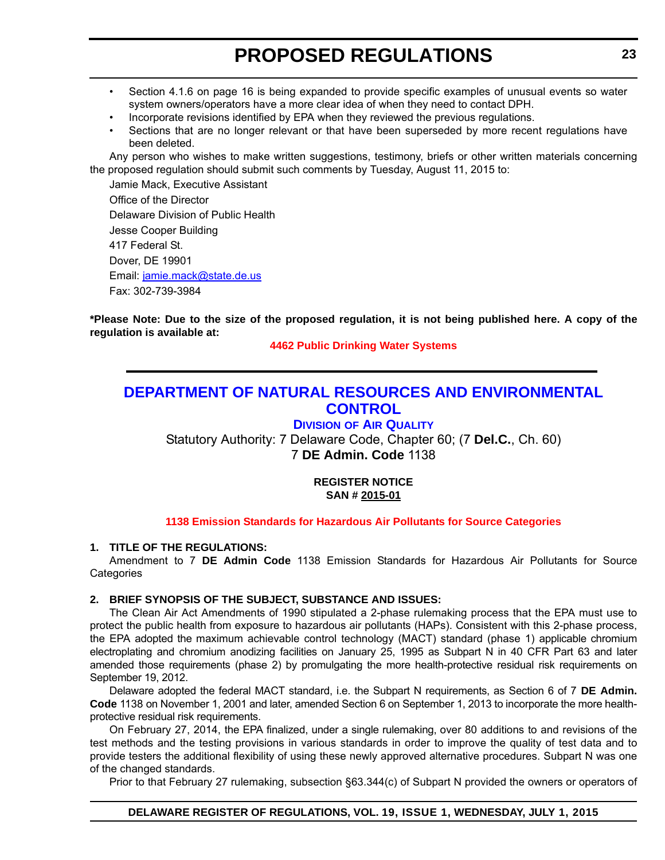- <span id="page-22-0"></span>• Section 4.1.6 on page 16 is being expanded to provide specific examples of unusual events so water system owners/operators have a more clear idea of when they need to contact DPH.
- Incorporate revisions identified by EPA when they reviewed the previous regulations.
- Sections that are no longer relevant or that have been superseded by more recent regulations have been deleted.

Any person who wishes to make written suggestions, testimony, briefs or other written materials concerning the proposed regulation should submit such comments by Tuesday, August 11, 2015 to:

Jamie Mack, Executive Assistant Office of the Director Delaware Division of Public Health Jesse Cooper Building 417 Federal St. Dover, DE 19901 Email: jamie.mack@state.de.us Fax: 302-739-3984

**\*Please Note: Due to the size of the proposed regulation, it is not being published here. A copy of the regulation is available at:**

**[4462 Public Drinking Water Systems](http://regulations.delaware.gov/register/july2015/proposed/19 DE Reg 22 07-01-15.htm)**

### **[DEPARTMENT OF NATURAL RESOURCES AND ENVIRONMENTAL](http://www.dnrec.delaware.gov/air/Pages/Default.aspx)  CONTROL**

#### **DIVISION OF AIR QUALITY**

Statutory Authority: 7 Delaware Code, Chapter 60; (7 **Del.C.**, Ch. 60) 7 **DE Admin. Code** 1138

#### **REGISTER NOTICE SAN # 2015-01**

#### **[1138 Emission Standards for Hazardous Air Pollutants for Source Categories](#page-3-0)**

#### **1. TITLE OF THE REGULATIONS:**

Amendment to 7 **DE Admin Code** 1138 Emission Standards for Hazardous Air Pollutants for Source **Categories** 

#### **2. BRIEF SYNOPSIS OF THE SUBJECT, SUBSTANCE AND ISSUES:**

The Clean Air Act Amendments of 1990 stipulated a 2-phase rulemaking process that the EPA must use to protect the public health from exposure to hazardous air pollutants (HAPs). Consistent with this 2-phase process, the EPA adopted the maximum achievable control technology (MACT) standard (phase 1) applicable chromium electroplating and chromium anodizing facilities on January 25, 1995 as Subpart N in 40 CFR Part 63 and later amended those requirements (phase 2) by promulgating the more health-protective residual risk requirements on September 19, 2012.

Delaware adopted the federal MACT standard, i.e. the Subpart N requirements, as Section 6 of 7 **DE Admin. Code** 1138 on November 1, 2001 and later, amended Section 6 on September 1, 2013 to incorporate the more healthprotective residual risk requirements.

On February 27, 2014, the EPA finalized, under a single rulemaking, over 80 additions to and revisions of the test methods and the testing provisions in various standards in order to improve the quality of test data and to provide testers the additional flexibility of using these newly approved alternative procedures. Subpart N was one of the changed standards.

Prior to that February 27 rulemaking, subsection §63.344(c) of Subpart N provided the owners or operators of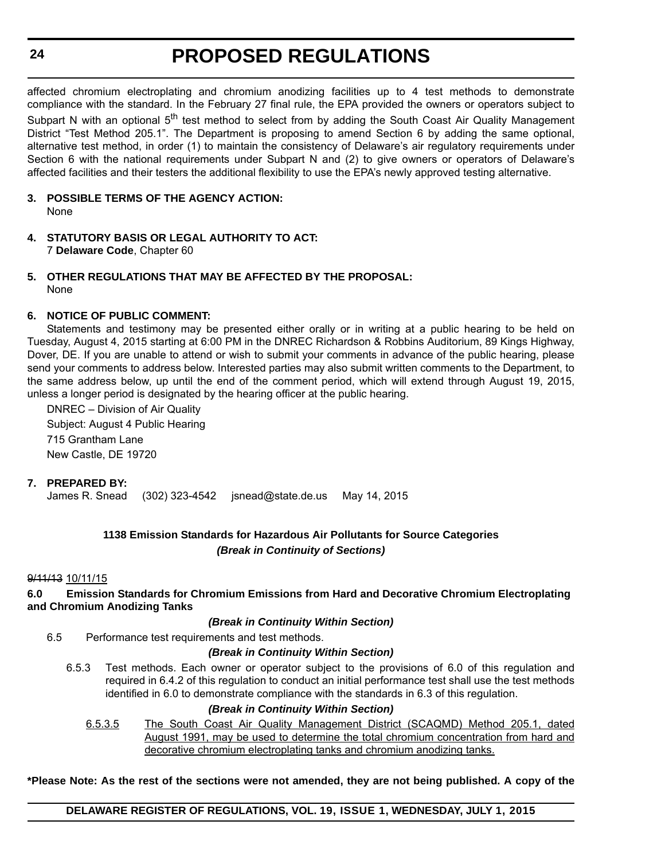affected chromium electroplating and chromium anodizing facilities up to 4 test methods to demonstrate compliance with the standard. In the February 27 final rule, the EPA provided the owners or operators subject to Subpart N with an optional 5<sup>th</sup> test method to select from by adding the South Coast Air Quality Management District "Test Method 205.1". The Department is proposing to amend Section 6 by adding the same optional, alternative test method, in order (1) to maintain the consistency of Delaware's air regulatory requirements under Section 6 with the national requirements under Subpart N and (2) to give owners or operators of Delaware's affected facilities and their testers the additional flexibility to use the EPA's newly approved testing alternative.

- **3. POSSIBLE TERMS OF THE AGENCY ACTION:** None
- **4. STATUTORY BASIS OR LEGAL AUTHORITY TO ACT:** 7 **Delaware Code**, Chapter 60
- **5. OTHER REGULATIONS THAT MAY BE AFFECTED BY THE PROPOSAL:** None

#### **6. NOTICE OF PUBLIC COMMENT:**

Statements and testimony may be presented either orally or in writing at a public hearing to be held on Tuesday, August 4, 2015 starting at 6:00 PM in the DNREC Richardson & Robbins Auditorium, 89 Kings Highway, Dover, DE. If you are unable to attend or wish to submit your comments in advance of the public hearing, please send your comments to address below. Interested parties may also submit written comments to the Department, to the same address below, up until the end of the comment period, which will extend through August 19, 2015, unless a longer period is designated by the hearing officer at the public hearing.

DNREC – Division of Air Quality Subject: August 4 Public Hearing 715 Grantham Lane New Castle, DE 19720

#### **7. PREPARED BY:**

James R. Snead (302) 323-4542 jsnead@state.de.us May 14, 2015

#### **1138 Emission Standards for Hazardous Air Pollutants for Source Categories** *(Break in Continuity of Sections)*

#### 9/11/13 10/11/15

**6.0 Emission Standards for Chromium Emissions from Hard and Decorative Chromium Electroplating and Chromium Anodizing Tanks**

#### *(Break in Continuity Within Section)*

6.5 Performance test requirements and test methods.

#### *(Break in Continuity Within Section)*

6.5.3 Test methods. Each owner or operator subject to the provisions of 6.0 of this regulation and required in 6.4.2 of this regulation to conduct an initial performance test shall use the test methods identified in 6.0 to demonstrate compliance with the standards in 6.3 of this regulation.

#### *(Break in Continuity Within Section)*

6.5.3.5 The South Coast Air Quality Management District (SCAQMD) Method 205.1, dated August 1991, may be used to determine the total chromium concentration from hard and decorative chromium electroplating tanks and chromium anodizing tanks.

**\*Please Note: As the rest of the sections were not amended, they are not being published. A copy of the**

#### **DELAWARE REGISTER OF REGULATIONS, VOL. 19, ISSUE 1, WEDNESDAY, JULY 1, 2015**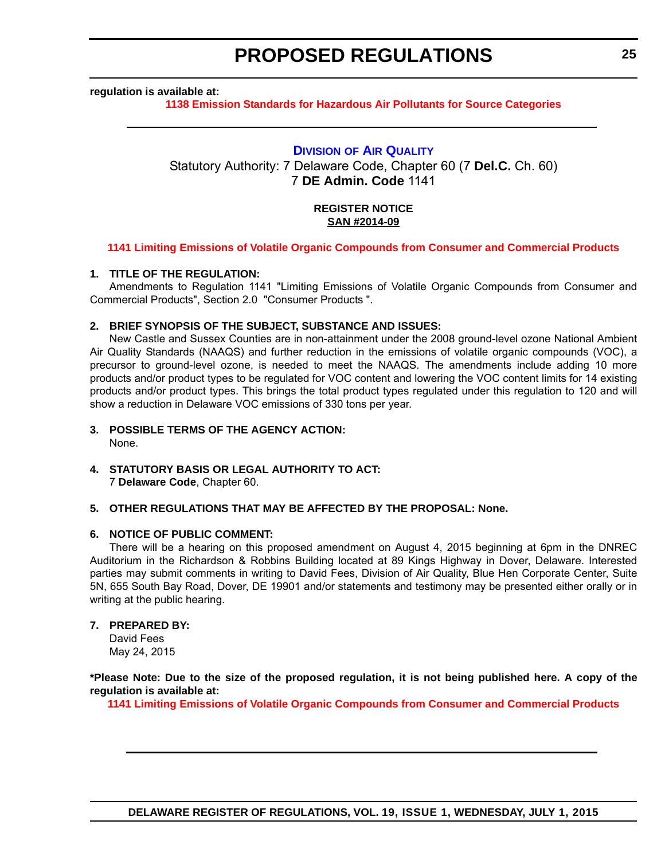#### **DELAWARE REGISTER OF REGULATIONS, VOL. 19, ISSUE 1, WEDNESDAY, JULY 1, 2015**

#### <span id="page-24-0"></span>**regulation is available at:**

**[1138 Emission Standards for Hazardous Air Pollutants for Source Categories](http://regulations.delaware.gov/register/july2015/proposed/19 DE Reg 23 07-01-15.htm)**

**PROPOSED REGULATIONS**

#### **DIVISION [OF AIR QUALITY](http://www.dnrec.delaware.gov/air/Pages/Default.aspx)**

Statutory Authority: 7 Delaware Code, Chapter 60 (7 **Del.C.** Ch. 60) 7 **DE Admin. Code** 1141

#### **REGISTER NOTICE SAN #2014-09**

#### **[1141 Limiting Emissions of Volatile Organic Compounds from Consumer and Commercial Products](#page-3-0)**

#### **1. TITLE OF THE REGULATION:**

Amendments to Regulation 1141 "Limiting Emissions of Volatile Organic Compounds from Consumer and Commercial Products", Section 2.0 "Consumer Products ".

#### **2. BRIEF SYNOPSIS OF THE SUBJECT, SUBSTANCE AND ISSUES:**

New Castle and Sussex Counties are in non-attainment under the 2008 ground-level ozone National Ambient Air Quality Standards (NAAQS) and further reduction in the emissions of volatile organic compounds (VOC), a precursor to ground-level ozone, is needed to meet the NAAQS. The amendments include adding 10 more products and/or product types to be regulated for VOC content and lowering the VOC content limits for 14 existing products and/or product types. This brings the total product types regulated under this regulation to 120 and will show a reduction in Delaware VOC emissions of 330 tons per year.

#### **3. POSSIBLE TERMS OF THE AGENCY ACTION:**

None.

#### **4. STATUTORY BASIS OR LEGAL AUTHORITY TO ACT:** 7 **Delaware Code**, Chapter 60.

#### **5. OTHER REGULATIONS THAT MAY BE AFFECTED BY THE PROPOSAL: None.**

#### **6. NOTICE OF PUBLIC COMMENT:**

There will be a hearing on this proposed amendment on August 4, 2015 beginning at 6pm in the DNREC Auditorium in the Richardson & Robbins Building located at 89 Kings Highway in Dover, Delaware. Interested parties may submit comments in writing to David Fees, Division of Air Quality, Blue Hen Corporate Center, Suite 5N, 655 South Bay Road, Dover, DE 19901 and/or statements and testimony may be presented either orally or in writing at the public hearing.

**\*Please Note: Due to the size of the proposed regulation, it is not being published here. A copy of the**

#### **7. PREPARED BY:**

David Fees May 24, 2015

#### **regulation is available at: [1141 Limiting Emissions of Volatile Organic Compounds from Consumer and Commercial Products](http://regulations.delaware.gov/register/july2015/proposed/19 DE Reg 25 07-01-15.htm)**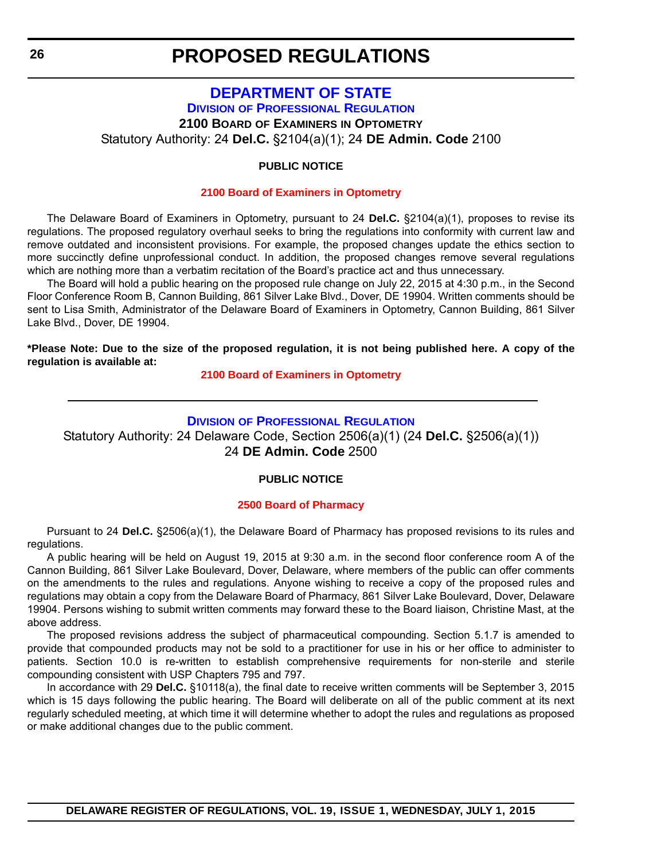#### **[DEPARTMENT OF STATE](http://dpr.delaware.gov/) DIVISION OF PROFESSIONAL REGULATION**

**2100 BOARD OF EXAMINERS IN OPTOMETRY**

<span id="page-25-0"></span>Statutory Authority: 24 **Del.C.** §2104(a)(1); 24 **DE Admin. Code** 2100

#### **PUBLIC NOTICE**

#### **[2100 Board of Examiners in Optometry](#page-3-0)**

The Delaware Board of Examiners in Optometry, pursuant to 24 **Del.C.** §2104(a)(1), proposes to revise its regulations. The proposed regulatory overhaul seeks to bring the regulations into conformity with current law and remove outdated and inconsistent provisions. For example, the proposed changes update the ethics section to more succinctly define unprofessional conduct. In addition, the proposed changes remove several regulations which are nothing more than a verbatim recitation of the Board's practice act and thus unnecessary.

The Board will hold a public hearing on the proposed rule change on July 22, 2015 at 4:30 p.m., in the Second Floor Conference Room B, Cannon Building, 861 Silver Lake Blvd., Dover, DE 19904. Written comments should be sent to Lisa Smith, Administrator of the Delaware Board of Examiners in Optometry, Cannon Building, 861 Silver Lake Blvd., Dover, DE 19904.

**\*Please Note: Due to the size of the proposed regulation, it is not being published here. A copy of the regulation is available at:**

**[2100 Board of Examiners in Optometry](http://regulations.delaware.gov/register/july2015/proposed/19 DE Reg 26 07-01-15.htm)**

#### **DIVISION [OF PROFESSIONAL REGULATION](http://dpr.delaware.gov/)**

Statutory Authority: 24 Delaware Code, Section 2506(a)(1) (24 **Del.C.** §2506(a)(1)) 24 **DE Admin. Code** 2500

#### **PUBLIC NOTICE**

#### **[2500 Board of Pharmacy](#page-3-0)**

Pursuant to 24 **Del.C.** §2506(a)(1), the Delaware Board of Pharmacy has proposed revisions to its rules and regulations.

A public hearing will be held on August 19, 2015 at 9:30 a.m. in the second floor conference room A of the Cannon Building, 861 Silver Lake Boulevard, Dover, Delaware, where members of the public can offer comments on the amendments to the rules and regulations. Anyone wishing to receive a copy of the proposed rules and regulations may obtain a copy from the Delaware Board of Pharmacy, 861 Silver Lake Boulevard, Dover, Delaware 19904. Persons wishing to submit written comments may forward these to the Board liaison, Christine Mast, at the above address.

The proposed revisions address the subject of pharmaceutical compounding. Section 5.1.7 is amended to provide that compounded products may not be sold to a practitioner for use in his or her office to administer to patients. Section 10.0 is re-written to establish comprehensive requirements for non-sterile and sterile compounding consistent with USP Chapters 795 and 797.

In accordance with 29 **Del.C.** §10118(a), the final date to receive written comments will be September 3, 2015 which is 15 days following the public hearing. The Board will deliberate on all of the public comment at its next regularly scheduled meeting, at which time it will determine whether to adopt the rules and regulations as proposed or make additional changes due to the public comment.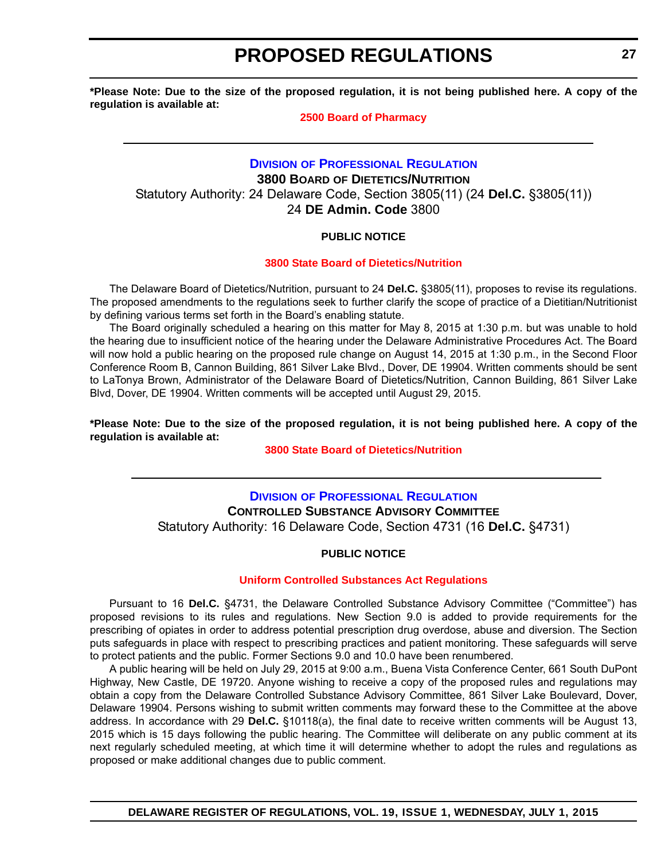<span id="page-26-0"></span>**\*Please Note: Due to the size of the proposed regulation, it is not being published here. A copy of the regulation is available at:**

#### **[2500 Board of Pharmacy](http://regulations.delaware.gov/register/july2015/proposed/19 DE Reg 26a 07-01-15.htm)**

### **DIVISION [OF PROFESSIONAL REGULATION](http://dpr.delaware.gov/) 3800 BOARD OF DIETETICS/NUTRITION** Statutory Authority: 24 Delaware Code, Section 3805(11) (24 **Del.C.** §3805(11)) 24 **DE Admin. Code** 3800

#### **PUBLIC NOTICE**

#### **[3800 State Board of Dietetics/Nutrition](#page-3-0)**

The Delaware Board of Dietetics/Nutrition, pursuant to 24 **Del.C.** §3805(11), proposes to revise its regulations. The proposed amendments to the regulations seek to further clarify the scope of practice of a Dietitian/Nutritionist by defining various terms set forth in the Board's enabling statute.

The Board originally scheduled a hearing on this matter for May 8, 2015 at 1:30 p.m. but was unable to hold the hearing due to insufficient notice of the hearing under the Delaware Administrative Procedures Act. The Board will now hold a public hearing on the proposed rule change on August 14, 2015 at 1:30 p.m., in the Second Floor Conference Room B, Cannon Building, 861 Silver Lake Blvd., Dover, DE 19904. Written comments should be sent to LaTonya Brown, Administrator of the Delaware Board of Dietetics/Nutrition, Cannon Building, 861 Silver Lake Blvd, Dover, DE 19904. Written comments will be accepted until August 29, 2015.

**\*Please Note: Due to the size of the proposed regulation, it is not being published here. A copy of the regulation is available at:**

#### **[3800 State Board of Dietetics/Nutrition](http://regulations.delaware.gov/register/july2015/proposed/19 DE Reg 27 07-01-15.htm)**

### **DIVISION [OF PROFESSIONAL REGULATION](http://dpr.delaware.gov/) CONTROLLED SUBSTANCE ADVISORY COMMITTEE** Statutory Authority: 16 Delaware Code, Section 4731 (16 **Del.C.** §4731)

#### **PUBLIC NOTICE**

#### **[Uniform Controlled Substances Act Regulations](#page-3-0)**

Pursuant to 16 **Del.C.** §4731, the Delaware Controlled Substance Advisory Committee ("Committee") has proposed revisions to its rules and regulations. New Section 9.0 is added to provide requirements for the prescribing of opiates in order to address potential prescription drug overdose, abuse and diversion. The Section puts safeguards in place with respect to prescribing practices and patient monitoring. These safeguards will serve to protect patients and the public. Former Sections 9.0 and 10.0 have been renumbered.

A public hearing will be held on July 29, 2015 at 9:00 a.m., Buena Vista Conference Center, 661 South DuPont Highway, New Castle, DE 19720. Anyone wishing to receive a copy of the proposed rules and regulations may obtain a copy from the Delaware Controlled Substance Advisory Committee, 861 Silver Lake Boulevard, Dover, Delaware 19904. Persons wishing to submit written comments may forward these to the Committee at the above address. In accordance with 29 **Del.C.** §10118(a), the final date to receive written comments will be August 13, 2015 which is 15 days following the public hearing. The Committee will deliberate on any public comment at its next regularly scheduled meeting, at which time it will determine whether to adopt the rules and regulations as proposed or make additional changes due to public comment.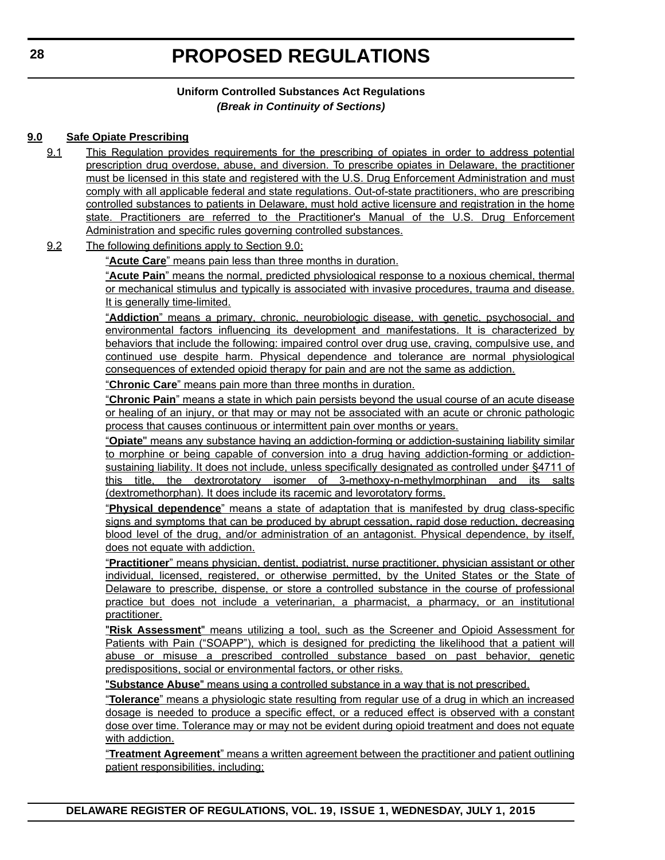### **Uniform Controlled Substances Act Regulations** *(Break in Continuity of Sections)*

#### **9.0 Safe Opiate Prescribing**

- 9.1 This Regulation provides requirements for the prescribing of opiates in order to address potential prescription drug overdose, abuse, and diversion. To prescribe opiates in Delaware, the practitioner must be licensed in this state and registered with the U.S. Drug Enforcement Administration and must comply with all applicable federal and state regulations. Out-of-state practitioners, who are prescribing controlled substances to patients in Delaware, must hold active licensure and registration in the home state. Practitioners are referred to the Practitioner's Manual of the U.S. Drug Enforcement Administration and specific rules governing controlled substances.
- 9.2 The following definitions apply to Section 9.0:

"**Acute Care**" means pain less than three months in duration.

"**Acute Pain**" means the normal, predicted physiological response to a noxious chemical, thermal or mechanical stimulus and typically is associated with invasive procedures, trauma and disease. It is generally time-limited.

"**Addiction**" means a primary, chronic, neurobiologic disease, with genetic, psychosocial, and environmental factors influencing its development and manifestations. It is characterized by behaviors that include the following: impaired control over drug use, craving, compulsive use, and continued use despite harm. Physical dependence and tolerance are normal physiological consequences of extended opioid therapy for pain and are not the same as addiction.

"**Chronic Care**" means pain more than three months in duration.

"**Chronic Pain**" means a state in which pain persists beyond the usual course of an acute disease or healing of an injury, or that may or may not be associated with an acute or chronic pathologic process that causes continuous or intermittent pain over months or years.

"**Opiate**'' means any substance having an addiction-forming or addiction-sustaining liability similar to morphine or being capable of conversion into a drug having addiction-forming or addictionsustaining liability. It does not include, unless specifically designated as controlled under §4711 of this title, the dextrorotatory isomer of 3-methoxy-n-methylmorphinan and its salts (dextromethorphan). It does include its racemic and levorotatory forms.

"**Physical dependence**" means a state of adaptation that is manifested by drug class-specific signs and symptoms that can be produced by abrupt cessation, rapid dose reduction, decreasing blood level of the drug, and/or administration of an antagonist. Physical dependence, by itself, does not equate with addiction.

"**Practitioner**" means physician, dentist, podiatrist, nurse practitioner, physician assistant or other individual, licensed, registered, or otherwise permitted, by the United States or the State of Delaware to prescribe, dispense, or store a controlled substance in the course of professional practice but does not include a veterinarian, a pharmacist, a pharmacy, or an institutional practitioner.

"**Risk Assessment**" means utilizing a tool, such as the Screener and Opioid Assessment for Patients with Pain ("SOAPP"), which is designed for predicting the likelihood that a patient will abuse or misuse a prescribed controlled substance based on past behavior, genetic predispositions, social or environmental factors, or other risks.

"**Substance Abuse**" means using a controlled substance in a way that is not prescribed.

"**Tolerance**" means a physiologic state resulting from regular use of a drug in which an increased dosage is needed to produce a specific effect, or a reduced effect is observed with a constant dose over time. Tolerance may or may not be evident during opioid treatment and does not equate with addiction.

"**Treatment Agreement**" means a written agreement between the practitioner and patient outlining patient responsibilities, including;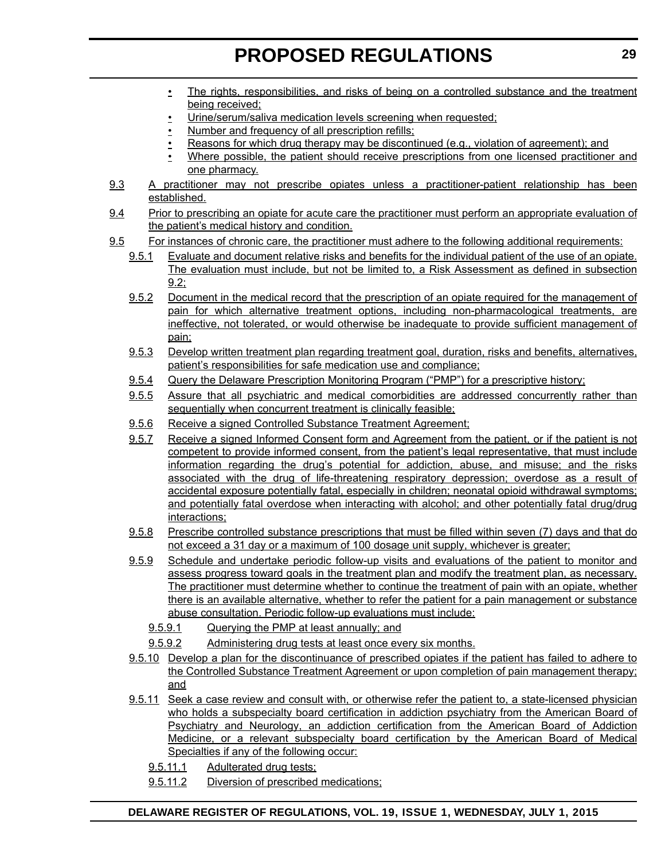- The rights, responsibilities, and risks of being on a controlled substance and the treatment being received;
- Urine/serum/saliva medication levels screening when requested;
- Number and frequency of all prescription refills;
- Reasons for which drug therapy may be discontinued (e.g., violation of agreement); and
- Where possible, the patient should receive prescriptions from one licensed practitioner and one pharmacy.
- 9.3 A practitioner may not prescribe opiates unless a practitioner-patient relationship has been established.
- 9.4 Prior to prescribing an opiate for acute care the practitioner must perform an appropriate evaluation of the patient's medical history and condition.
- 9.5 For instances of chronic care, the practitioner must adhere to the following additional requirements:
	- 9.5.1 Evaluate and document relative risks and benefits for the individual patient of the use of an opiate. The evaluation must include, but not be limited to, a Risk Assessment as defined in subsection 9.2;
	- 9.5.2 Document in the medical record that the prescription of an opiate required for the management of pain for which alternative treatment options, including non-pharmacological treatments, are ineffective, not tolerated, or would otherwise be inadequate to provide sufficient management of pain;
	- 9.5.3 Develop written treatment plan regarding treatment goal, duration, risks and benefits, alternatives, patient's responsibilities for safe medication use and compliance;
	- 9.5.4 Query the Delaware Prescription Monitoring Program ("PMP") for a prescriptive history;
	- 9.5.5 Assure that all psychiatric and medical comorbidities are addressed concurrently rather than sequentially when concurrent treatment is clinically feasible;
	- 9.5.6 Receive a signed Controlled Substance Treatment Agreement;
	- 9.5.7 Receive a signed Informed Consent form and Agreement from the patient, or if the patient is not competent to provide informed consent, from the patient's legal representative, that must include information regarding the drug's potential for addiction, abuse, and misuse; and the risks associated with the drug of life-threatening respiratory depression; overdose as a result of accidental exposure potentially fatal, especially in children; neonatal opioid withdrawal symptoms; and potentially fatal overdose when interacting with alcohol; and other potentially fatal drug/drug interactions;
	- 9.5.8 Prescribe controlled substance prescriptions that must be filled within seven (7) days and that do not exceed a 31 day or a maximum of 100 dosage unit supply, whichever is greater;
	- 9.5.9 Schedule and undertake periodic follow-up visits and evaluations of the patient to monitor and assess progress toward goals in the treatment plan and modify the treatment plan, as necessary. The practitioner must determine whether to continue the treatment of pain with an opiate, whether there is an available alternative, whether to refer the patient for a pain management or substance abuse consultation. Periodic follow-up evaluations must include:
		- 9.5.9.1 Querying the PMP at least annually; and
		- 9.5.9.2 Administering drug tests at least once every six months.
	- 9.5.10 Develop a plan for the discontinuance of prescribed opiates if the patient has failed to adhere to the Controlled Substance Treatment Agreement or upon completion of pain management therapy; and
	- 9.5.11 Seek a case review and consult with, or otherwise refer the patient to, a state-licensed physician who holds a subspecialty board certification in addiction psychiatry from the American Board of Psychiatry and Neurology, an addiction certification from the American Board of Addiction Medicine, or a relevant subspecialty board certification by the American Board of Medical Specialties if any of the following occur:
		- 9.5.11.1 Adulterated drug tests;
		- 9.5.11.2 Diversion of prescribed medications;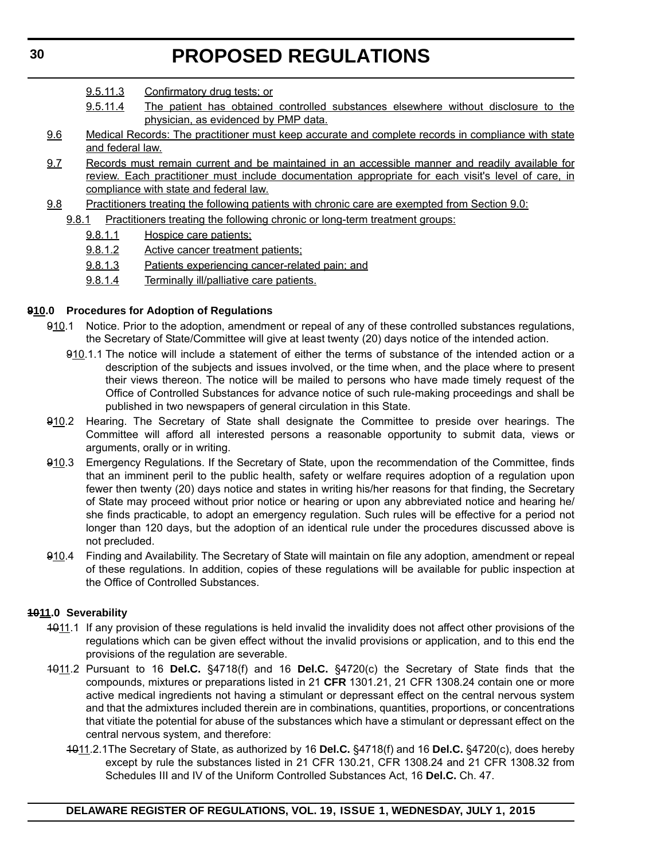- 9.5.11.3 Confirmatory drug tests; or
- 9.5.11.4 The patient has obtained controlled substances elsewhere without disclosure to the physician, as evidenced by PMP data.
- 9.6 Medical Records: The practitioner must keep accurate and complete records in compliance with state and federal law.
- 9.7 Records must remain current and be maintained in an accessible manner and readily available for review. Each practitioner must include documentation appropriate for each visit's level of care, in compliance with state and federal law.
- 9.8 Practitioners treating the following patients with chronic care are exempted from Section 9.0:
	- 9.8.1 Practitioners treating the following chronic or long-term treatment groups:
		- 9.8.1.1 Hospice care patients;
		- 9.8.1.2 Active cancer treatment patients;
		- 9.8.1.3 Patients experiencing cancer-related pain; and
		- 9.8.1.4 Terminally ill/palliative care patients.

#### **910.0 Procedures for Adoption of Regulations**

- 910.1 Notice. Prior to the adoption, amendment or repeal of any of these controlled substances regulations, the Secretary of State/Committee will give at least twenty (20) days notice of the intended action.
	- 910.1.1 The notice will include a statement of either the terms of substance of the intended action or a description of the subjects and issues involved, or the time when, and the place where to present their views thereon. The notice will be mailed to persons who have made timely request of the Office of Controlled Substances for advance notice of such rule-making proceedings and shall be published in two newspapers of general circulation in this State.
- 910.2 Hearing. The Secretary of State shall designate the Committee to preside over hearings. The Committee will afford all interested persons a reasonable opportunity to submit data, views or arguments, orally or in writing.
- 910.3 Emergency Regulations. If the Secretary of State, upon the recommendation of the Committee, finds that an imminent peril to the public health, safety or welfare requires adoption of a regulation upon fewer then twenty (20) days notice and states in writing his/her reasons for that finding, the Secretary of State may proceed without prior notice or hearing or upon any abbreviated notice and hearing he/ she finds practicable, to adopt an emergency regulation. Such rules will be effective for a period not longer than 120 days, but the adoption of an identical rule under the procedures discussed above is not precluded.
- 910.4 Finding and Availability. The Secretary of State will maintain on file any adoption, amendment or repeal of these regulations. In addition, copies of these regulations will be available for public inspection at the Office of Controlled Substances.

#### **1011.0 Severability**

- 4011.1 If any provision of these regulations is held invalid the invalidity does not affect other provisions of the regulations which can be given effect without the invalid provisions or application, and to this end the provisions of the regulation are severable.
- 1011.2 Pursuant to 16 **Del.C.** §4718(f) and 16 **Del.C.** §4720(c) the Secretary of State finds that the compounds, mixtures or preparations listed in 21 **CFR** 1301.21, 21 CFR 1308.24 contain one or more active medical ingredients not having a stimulant or depressant effect on the central nervous system and that the admixtures included therein are in combinations, quantities, proportions, or concentrations that vitiate the potential for abuse of the substances which have a stimulant or depressant effect on the central nervous system, and therefore:
	- 1011.2.1The Secretary of State, as authorized by 16 **Del.C.** §4718(f) and 16 **Del.C.** §4720(c), does hereby except by rule the substances listed in 21 CFR 130.21, CFR 1308.24 and 21 CFR 1308.32 from Schedules III and IV of the Uniform Controlled Substances Act, 16 **Del.C.** Ch. 47.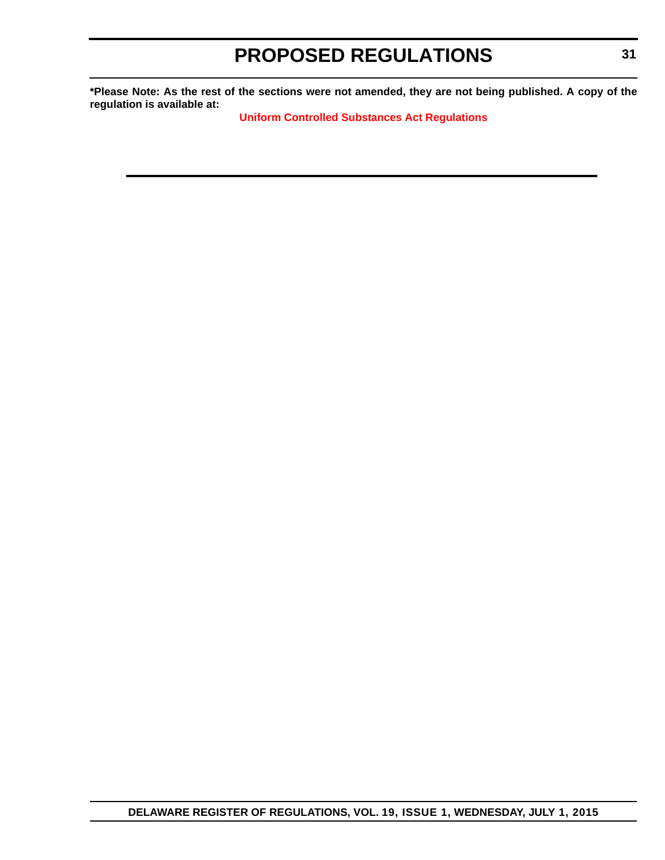**\*Please Note: As the rest of the sections were not amended, they are not being published. A copy of the regulation is available at:**

**[Uniform Controlled Substances Act Regulations](http://regulations.delaware.gov/register/july2015/proposed/19 DE Reg 27a 07-01-15.htm)**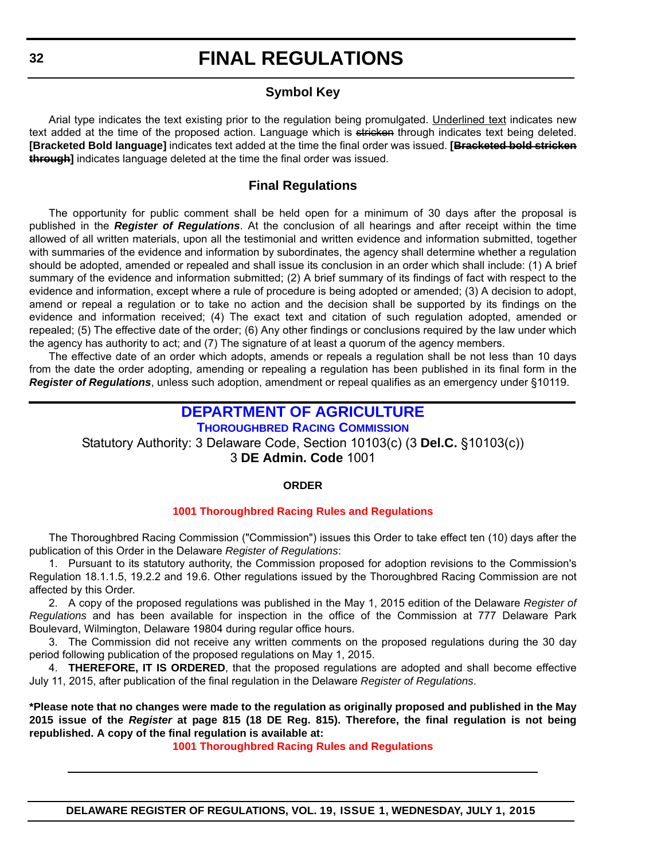### **Symbol Key**

<span id="page-31-0"></span>Arial type indicates the text existing prior to the regulation being promulgated. Underlined text indicates new text added at the time of the proposed action. Language which is stricken through indicates text being deleted. **[Bracketed Bold language]** indicates text added at the time the final order was issued. **[Bracketed bold stricken through]** indicates language deleted at the time the final order was issued.

### **Final Regulations**

The opportunity for public comment shall be held open for a minimum of 30 days after the proposal is published in the *Register of Regulations*. At the conclusion of all hearings and after receipt within the time allowed of all written materials, upon all the testimonial and written evidence and information submitted, together with summaries of the evidence and information by subordinates, the agency shall determine whether a regulation should be adopted, amended or repealed and shall issue its conclusion in an order which shall include: (1) A brief summary of the evidence and information submitted; (2) A brief summary of its findings of fact with respect to the evidence and information, except where a rule of procedure is being adopted or amended; (3) A decision to adopt, amend or repeal a regulation or to take no action and the decision shall be supported by its findings on the evidence and information received; (4) The exact text and citation of such regulation adopted, amended or repealed; (5) The effective date of the order; (6) Any other findings or conclusions required by the law under which the agency has authority to act; and (7) The signature of at least a quorum of the agency members.

The effective date of an order which adopts, amends or repeals a regulation shall be not less than 10 days from the date the order adopting, amending or repealing a regulation has been published in its final form in the *Register of Regulations*, unless such adoption, amendment or repeal qualifies as an emergency under §10119.

### **[DEPARTMENT OF AGRICULTURE](http://dda.delaware.gov/thoroughbred/index.shtml)**

**THOROUGHBRED RACING COMMISSION**

Statutory Authority: 3 Delaware Code, Section 10103(c) (3 **Del.C.** §10103(c)) 3 **DE Admin. Code** 1001

#### **ORDER**

#### **[1001 Thoroughbred Racing Rules and Regulations](#page-3-0)**

The Thoroughbred Racing Commission ("Commission") issues this Order to take effect ten (10) days after the publication of this Order in the Delaware *Register of Regulations*:

1. Pursuant to its statutory authority, the Commission proposed for adoption revisions to the Commission's Regulation 18.1.1.5, 19.2.2 and 19.6. Other regulations issued by the Thoroughbred Racing Commission are not affected by this Order.

2. A copy of the proposed regulations was published in the May 1, 2015 edition of the Delaware *Register of Regulations* and has been available for inspection in the office of the Commission at 777 Delaware Park Boulevard, Wilmington, Delaware 19804 during regular office hours.

3. The Commission did not receive any written comments on the proposed regulations during the 30 day period following publication of the proposed regulations on May 1, 2015.

4. **THEREFORE, IT IS ORDERED**, that the proposed regulations are adopted and shall become effective July 11, 2015, after publication of the final regulation in the Delaware *Register of Regulations*.

**\*Please note that no changes were made to the regulation as originally proposed and published in the May 2015 issue of the** *Register* **at page 815 (18 DE Reg. 815). Therefore, the final regulation is not being republished. A copy of the final regulation is available at:**

**[1001 Thoroughbred Racing Rules and Regulations](http://regulations.delaware.gov/register/july2015/final/19 DE Reg 32 07-01-15.htm)**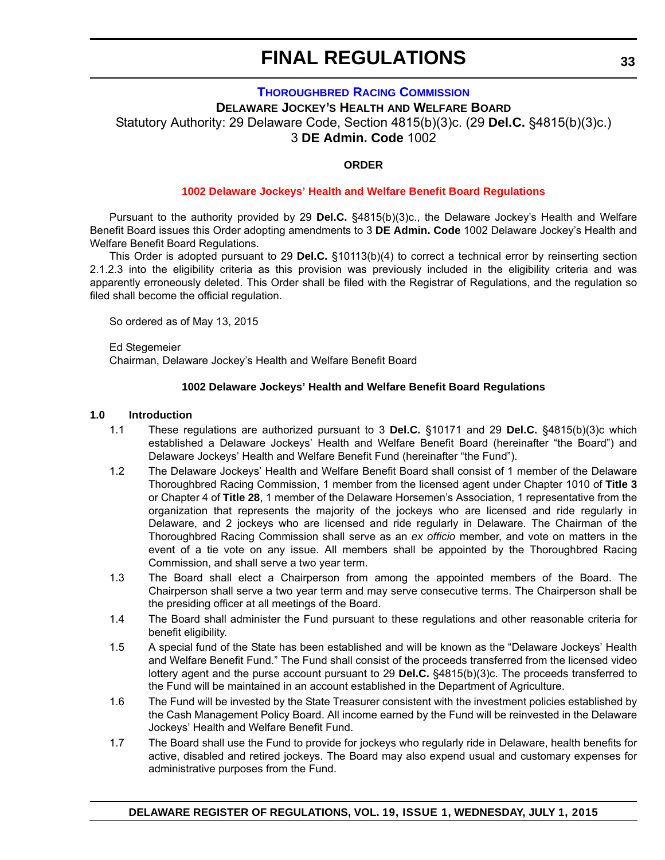#### **[THOROUGHBRED RACING COMMISSION](http://dda.delaware.gov/thoroughbred/index.shtml)**

**DELAWARE JOCKEY'S HEALTH AND WELFARE BOARD**

<span id="page-32-0"></span>Statutory Authority: 29 Delaware Code, Section 4815(b)(3)c. (29 **Del.C.** §4815(b)(3)c.)

3 **DE Admin. Code** 1002

#### **ORDER**

#### **[1002 Delaware Jockeys' Health and Welfare Benefit Board Regulations](#page-3-0)**

Pursuant to the authority provided by 29 **Del.C.** §4815(b)(3)c., the Delaware Jockey's Health and Welfare Benefit Board issues this Order adopting amendments to 3 **DE Admin. Code** 1002 Delaware Jockey's Health and Welfare Benefit Board Regulations.

This Order is adopted pursuant to 29 **Del.C.** §10113(b)(4) to correct a technical error by reinserting section 2.1.2.3 into the eligibility criteria as this provision was previously included in the eligibility criteria and was apparently erroneously deleted. This Order shall be filed with the Registrar of Regulations, and the regulation so filed shall become the official regulation.

So ordered as of May 13, 2015

Ed Stegemeier Chairman, Delaware Jockey's Health and Welfare Benefit Board

#### **1002 Delaware Jockeys' Health and Welfare Benefit Board Regulations**

#### **1.0 Introduction**

- 1.1 These regulations are authorized pursuant to 3 **Del.C.** §10171 and 29 **Del.C.** §4815(b)(3)c which established a Delaware Jockeys' Health and Welfare Benefit Board (hereinafter "the Board") and Delaware Jockeys' Health and Welfare Benefit Fund (hereinafter "the Fund").
- 1.2 The Delaware Jockeys' Health and Welfare Benefit Board shall consist of 1 member of the Delaware Thoroughbred Racing Commission, 1 member from the licensed agent under Chapter 1010 of **Title 3** or Chapter 4 of **Title 28**, 1 member of the Delaware Horsemen's Association, 1 representative from the organization that represents the majority of the jockeys who are licensed and ride regularly in Delaware, and 2 jockeys who are licensed and ride regularly in Delaware. The Chairman of the Thoroughbred Racing Commission shall serve as an *ex officio* member, and vote on matters in the event of a tie vote on any issue. All members shall be appointed by the Thoroughbred Racing Commission, and shall serve a two year term.
- 1.3 The Board shall elect a Chairperson from among the appointed members of the Board. The Chairperson shall serve a two year term and may serve consecutive terms. The Chairperson shall be the presiding officer at all meetings of the Board.
- 1.4 The Board shall administer the Fund pursuant to these regulations and other reasonable criteria for benefit eligibility.
- 1.5 A special fund of the State has been established and will be known as the "Delaware Jockeys' Health and Welfare Benefit Fund." The Fund shall consist of the proceeds transferred from the licensed video lottery agent and the purse account pursuant to 29 **Del.C.** §4815(b)(3)c. The proceeds transferred to the Fund will be maintained in an account established in the Department of Agriculture.
- 1.6 The Fund will be invested by the State Treasurer consistent with the investment policies established by the Cash Management Policy Board. All income earned by the Fund will be reinvested in the Delaware Jockeys' Health and Welfare Benefit Fund.
- 1.7 The Board shall use the Fund to provide for jockeys who regularly ride in Delaware, health benefits for active, disabled and retired jockeys. The Board may also expend usual and customary expenses for administrative purposes from the Fund.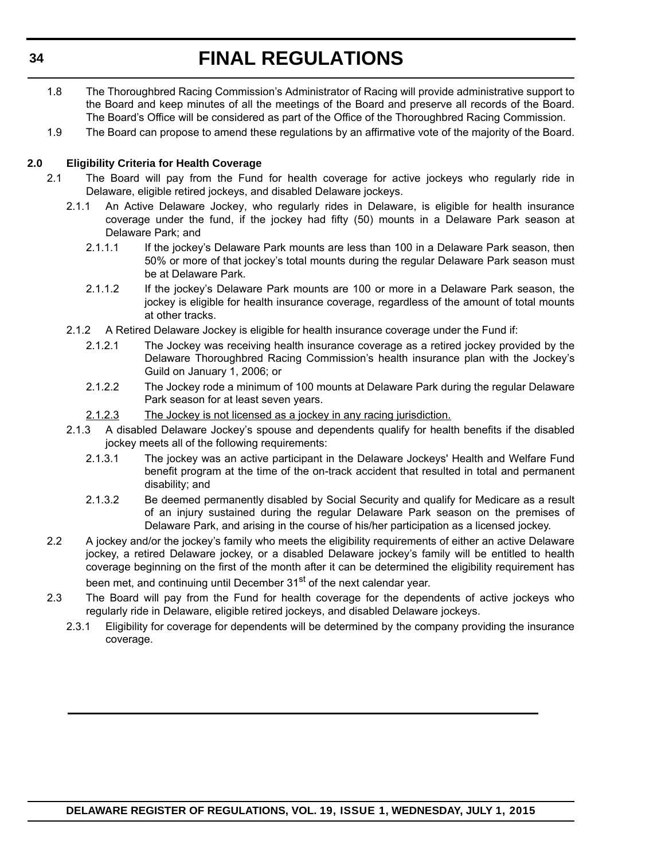- 1.8 The Thoroughbred Racing Commission's Administrator of Racing will provide administrative support to the Board and keep minutes of all the meetings of the Board and preserve all records of the Board. The Board's Office will be considered as part of the Office of the Thoroughbred Racing Commission.
- 1.9 The Board can propose to amend these regulations by an affirmative vote of the majority of the Board.

#### **2.0 Eligibility Criteria for Health Coverage**

- 2.1 The Board will pay from the Fund for health coverage for active jockeys who regularly ride in Delaware, eligible retired jockeys, and disabled Delaware jockeys.
	- 2.1.1 An Active Delaware Jockey, who regularly rides in Delaware, is eligible for health insurance coverage under the fund, if the jockey had fifty (50) mounts in a Delaware Park season at Delaware Park; and
		- 2.1.1.1 If the jockey's Delaware Park mounts are less than 100 in a Delaware Park season, then 50% or more of that jockey's total mounts during the regular Delaware Park season must be at Delaware Park.
		- 2.1.1.2 If the jockey's Delaware Park mounts are 100 or more in a Delaware Park season, the jockey is eligible for health insurance coverage, regardless of the amount of total mounts at other tracks.
	- 2.1.2 A Retired Delaware Jockey is eligible for health insurance coverage under the Fund if:
		- 2.1.2.1 The Jockey was receiving health insurance coverage as a retired jockey provided by the Delaware Thoroughbred Racing Commission's health insurance plan with the Jockey's Guild on January 1, 2006; or
		- 2.1.2.2 The Jockey rode a minimum of 100 mounts at Delaware Park during the regular Delaware Park season for at least seven years.
		- 2.1.2.3 The Jockey is not licensed as a jockey in any racing jurisdiction.
	- 2.1.3 A disabled Delaware Jockey's spouse and dependents qualify for health benefits if the disabled jockey meets all of the following requirements:
		- 2.1.3.1 The jockey was an active participant in the Delaware Jockeys' Health and Welfare Fund benefit program at the time of the on-track accident that resulted in total and permanent disability; and
		- 2.1.3.2 Be deemed permanently disabled by Social Security and qualify for Medicare as a result of an injury sustained during the regular Delaware Park season on the premises of Delaware Park, and arising in the course of his/her participation as a licensed jockey.
- 2.2 A jockey and/or the jockey's family who meets the eligibility requirements of either an active Delaware jockey, a retired Delaware jockey, or a disabled Delaware jockey's family will be entitled to health coverage beginning on the first of the month after it can be determined the eligibility requirement has been met, and continuing until December 31<sup>st</sup> of the next calendar year.
- 2.3 The Board will pay from the Fund for health coverage for the dependents of active jockeys who regularly ride in Delaware, eligible retired jockeys, and disabled Delaware jockeys.
	- 2.3.1 Eligibility for coverage for dependents will be determined by the company providing the insurance coverage.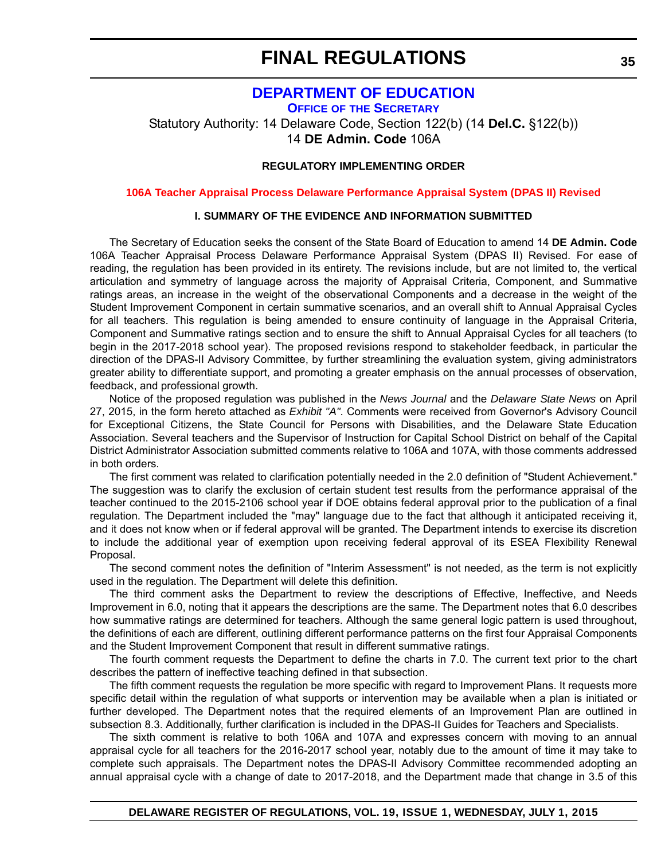### **[DEPARTMENT OF EDUCATION](http://www.doe.k12.de.us/site/default.aspx?PageID=1)**

<span id="page-34-0"></span>**OFFICE OF THE SECRETARY** Statutory Authority: 14 Delaware Code, Section 122(b) (14 **Del.C.** §122(b)) 14 **DE Admin. Code** 106A

#### **REGULATORY IMPLEMENTING ORDER**

**[106A Teacher Appraisal Process Delaware Performance Appraisal System \(DPAS II\) Revised](#page-3-0)**

#### **I. SUMMARY OF THE EVIDENCE AND INFORMATION SUBMITTED**

The Secretary of Education seeks the consent of the State Board of Education to amend 14 **DE Admin. Code** 106A Teacher Appraisal Process Delaware Performance Appraisal System (DPAS II) Revised. For ease of reading, the regulation has been provided in its entirety. The revisions include, but are not limited to, the vertical articulation and symmetry of language across the majority of Appraisal Criteria, Component, and Summative ratings areas, an increase in the weight of the observational Components and a decrease in the weight of the Student Improvement Component in certain summative scenarios, and an overall shift to Annual Appraisal Cycles for all teachers. This regulation is being amended to ensure continuity of language in the Appraisal Criteria, Component and Summative ratings section and to ensure the shift to Annual Appraisal Cycles for all teachers (to begin in the 2017-2018 school year). The proposed revisions respond to stakeholder feedback, in particular the direction of the DPAS-II Advisory Committee, by further streamlining the evaluation system, giving administrators greater ability to differentiate support, and promoting a greater emphasis on the annual processes of observation, feedback, and professional growth.

Notice of the proposed regulation was published in the *News Journal* and the *Delaware State News* on April 27, 2015, in the form hereto attached as *Exhibit "A"*. Comments were received from Governor's Advisory Council for Exceptional Citizens, the State Council for Persons with Disabilities, and the Delaware State Education Association. Several teachers and the Supervisor of Instruction for Capital School District on behalf of the Capital District Administrator Association submitted comments relative to 106A and 107A, with those comments addressed in both orders.

The first comment was related to clarification potentially needed in the 2.0 definition of "Student Achievement." The suggestion was to clarify the exclusion of certain student test results from the performance appraisal of the teacher continued to the 2015-2106 school year if DOE obtains federal approval prior to the publication of a final regulation. The Department included the "may" language due to the fact that although it anticipated receiving it, and it does not know when or if federal approval will be granted. The Department intends to exercise its discretion to include the additional year of exemption upon receiving federal approval of its ESEA Flexibility Renewal Proposal.

The second comment notes the definition of "Interim Assessment" is not needed, as the term is not explicitly used in the regulation. The Department will delete this definition.

The third comment asks the Department to review the descriptions of Effective, Ineffective, and Needs Improvement in 6.0, noting that it appears the descriptions are the same. The Department notes that 6.0 describes how summative ratings are determined for teachers. Although the same general logic pattern is used throughout, the definitions of each are different, outlining different performance patterns on the first four Appraisal Components and the Student Improvement Component that result in different summative ratings.

The fourth comment requests the Department to define the charts in 7.0. The current text prior to the chart describes the pattern of ineffective teaching defined in that subsection.

The fifth comment requests the regulation be more specific with regard to Improvement Plans. It requests more specific detail within the regulation of what supports or intervention may be available when a plan is initiated or further developed. The Department notes that the required elements of an Improvement Plan are outlined in subsection 8.3. Additionally, further clarification is included in the DPAS-II Guides for Teachers and Specialists.

The sixth comment is relative to both 106A and 107A and expresses concern with moving to an annual appraisal cycle for all teachers for the 2016-2017 school year, notably due to the amount of time it may take to complete such appraisals. The Department notes the DPAS-II Advisory Committee recommended adopting an annual appraisal cycle with a change of date to 2017-2018, and the Department made that change in 3.5 of this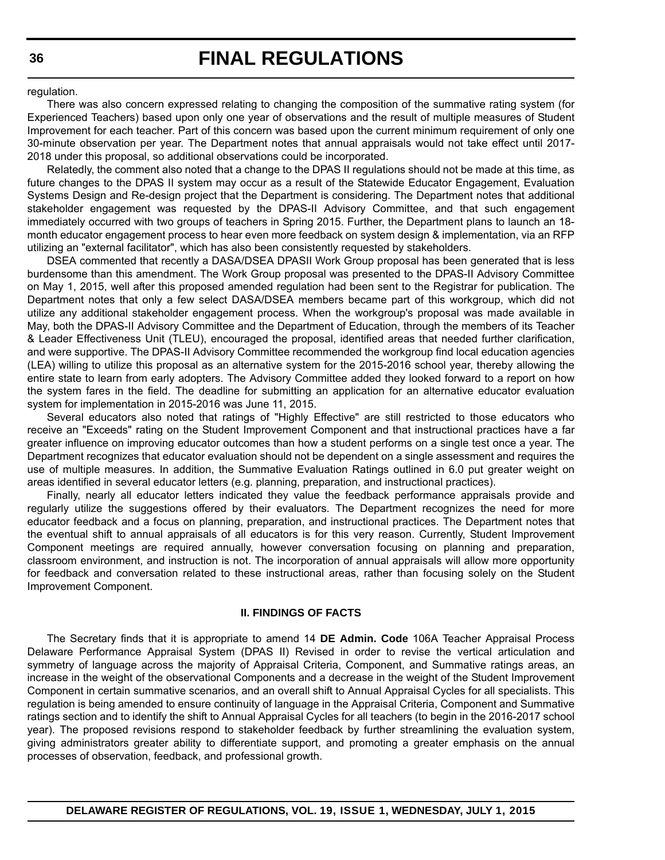regulation.

There was also concern expressed relating to changing the composition of the summative rating system (for Experienced Teachers) based upon only one year of observations and the result of multiple measures of Student Improvement for each teacher. Part of this concern was based upon the current minimum requirement of only one 30-minute observation per year. The Department notes that annual appraisals would not take effect until 2017- 2018 under this proposal, so additional observations could be incorporated.

Relatedly, the comment also noted that a change to the DPAS II regulations should not be made at this time, as future changes to the DPAS II system may occur as a result of the Statewide Educator Engagement, Evaluation Systems Design and Re-design project that the Department is considering. The Department notes that additional stakeholder engagement was requested by the DPAS-II Advisory Committee, and that such engagement immediately occurred with two groups of teachers in Spring 2015. Further, the Department plans to launch an 18 month educator engagement process to hear even more feedback on system design & implementation, via an RFP utilizing an "external facilitator", which has also been consistently requested by stakeholders.

DSEA commented that recently a DASA/DSEA DPASII Work Group proposal has been generated that is less burdensome than this amendment. The Work Group proposal was presented to the DPAS-II Advisory Committee on May 1, 2015, well after this proposed amended regulation had been sent to the Registrar for publication. The Department notes that only a few select DASA/DSEA members became part of this workgroup, which did not utilize any additional stakeholder engagement process. When the workgroup's proposal was made available in May, both the DPAS-II Advisory Committee and the Department of Education, through the members of its Teacher & Leader Effectiveness Unit (TLEU), encouraged the proposal, identified areas that needed further clarification, and were supportive. The DPAS-II Advisory Committee recommended the workgroup find local education agencies (LEA) willing to utilize this proposal as an alternative system for the 2015-2016 school year, thereby allowing the entire state to learn from early adopters. The Advisory Committee added they looked forward to a report on how the system fares in the field. The deadline for submitting an application for an alternative educator evaluation system for implementation in 2015-2016 was June 11, 2015.

Several educators also noted that ratings of "Highly Effective" are still restricted to those educators who receive an "Exceeds" rating on the Student Improvement Component and that instructional practices have a far greater influence on improving educator outcomes than how a student performs on a single test once a year. The Department recognizes that educator evaluation should not be dependent on a single assessment and requires the use of multiple measures. In addition, the Summative Evaluation Ratings outlined in 6.0 put greater weight on areas identified in several educator letters (e.g. planning, preparation, and instructional practices).

Finally, nearly all educator letters indicated they value the feedback performance appraisals provide and regularly utilize the suggestions offered by their evaluators. The Department recognizes the need for more educator feedback and a focus on planning, preparation, and instructional practices. The Department notes that the eventual shift to annual appraisals of all educators is for this very reason. Currently, Student Improvement Component meetings are required annually, however conversation focusing on planning and preparation, classroom environment, and instruction is not. The incorporation of annual appraisals will allow more opportunity for feedback and conversation related to these instructional areas, rather than focusing solely on the Student Improvement Component.

#### **II. FINDINGS OF FACTS**

The Secretary finds that it is appropriate to amend 14 **DE Admin. Code** 106A Teacher Appraisal Process Delaware Performance Appraisal System (DPAS II) Revised in order to revise the vertical articulation and symmetry of language across the majority of Appraisal Criteria, Component, and Summative ratings areas, an increase in the weight of the observational Components and a decrease in the weight of the Student Improvement Component in certain summative scenarios, and an overall shift to Annual Appraisal Cycles for all specialists. This regulation is being amended to ensure continuity of language in the Appraisal Criteria, Component and Summative ratings section and to identify the shift to Annual Appraisal Cycles for all teachers (to begin in the 2016-2017 school year). The proposed revisions respond to stakeholder feedback by further streamlining the evaluation system, giving administrators greater ability to differentiate support, and promoting a greater emphasis on the annual processes of observation, feedback, and professional growth.

**DELAWARE REGISTER OF REGULATIONS, VOL. 19, ISSUE 1, WEDNESDAY, JULY 1, 2015**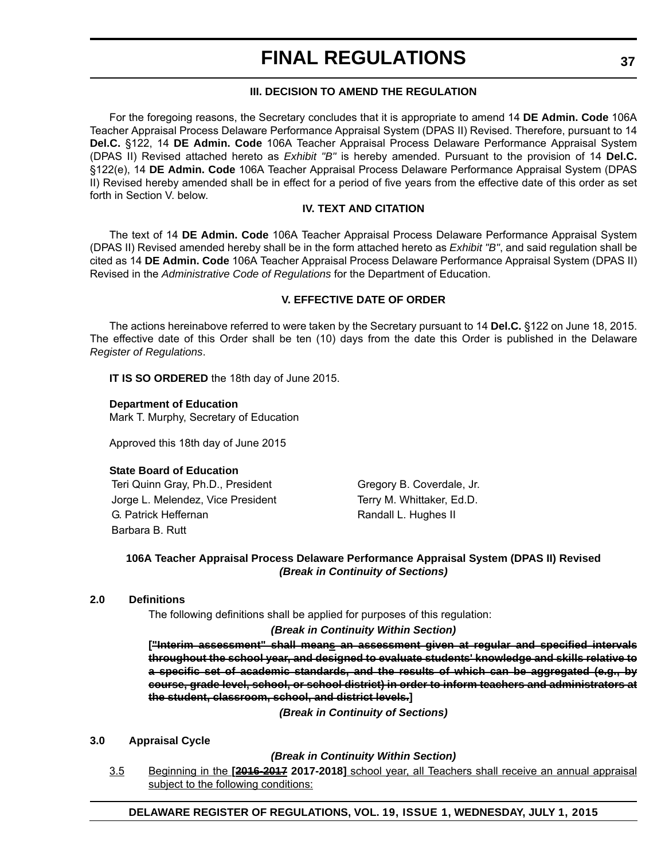## **III. DECISION TO AMEND THE REGULATION**

For the foregoing reasons, the Secretary concludes that it is appropriate to amend 14 **DE Admin. Code** 106A Teacher Appraisal Process Delaware Performance Appraisal System (DPAS II) Revised. Therefore, pursuant to 14 **Del.C.** §122, 14 **DE Admin. Code** 106A Teacher Appraisal Process Delaware Performance Appraisal System (DPAS II) Revised attached hereto as *Exhibit "B"* is hereby amended. Pursuant to the provision of 14 **Del.C.** §122(e), 14 **DE Admin. Code** 106A Teacher Appraisal Process Delaware Performance Appraisal System (DPAS II) Revised hereby amended shall be in effect for a period of five years from the effective date of this order as set forth in Section V. below.

## **IV. TEXT AND CITATION**

The text of 14 **DE Admin. Code** 106A Teacher Appraisal Process Delaware Performance Appraisal System (DPAS II) Revised amended hereby shall be in the form attached hereto as *Exhibit "B"*, and said regulation shall be cited as 14 **DE Admin. Code** 106A Teacher Appraisal Process Delaware Performance Appraisal System (DPAS II) Revised in the *Administrative Code of Regulations* for the Department of Education.

## **V. EFFECTIVE DATE OF ORDER**

The actions hereinabove referred to were taken by the Secretary pursuant to 14 **Del.C.** §122 on June 18, 2015. The effective date of this Order shall be ten (10) days from the date this Order is published in the Delaware *Register of Regulations*.

**IT IS SO ORDERED** the 18th day of June 2015.

**Department of Education** Mark T. Murphy, Secretary of Education

Approved this 18th day of June 2015

### **State Board of Education**

Teri Quinn Gray, Ph.D., President Gregory B. Coverdale, Jr. Jorge L. Melendez, Vice President Terry M. Whittaker, Ed.D. G. Patrick Heffernan Randall L. Hughes II Barbara B. Rutt

## **106A Teacher Appraisal Process Delaware Performance Appraisal System (DPAS II) Revised** *(Break in Continuity of Sections)*

### **2.0 Definitions**

The following definitions shall be applied for purposes of this regulation:

## *(Break in Continuity Within Section)*

["Interim assessment" shall means an assessment given at regular and specified intervals **throughout the school year, and designed to evaluate students' knowledge and skills relative to a specific set of academic standards, and the results of which can be aggregated (e.g., by course, grade level, school, or school district) in order to inform teachers and administrators at the student, classroom, school, and district levels.]**

*(Break in Continuity of Sections)*

## **3.0 Appraisal Cycle**

*(Break in Continuity Within Section)*

3.5 Beginning in the **[2016-2017 2017-2018]** school year, all Teachers shall receive an annual appraisal subject to the following conditions:

## **DELAWARE REGISTER OF REGULATIONS, VOL. 19, ISSUE 1, WEDNESDAY, JULY 1, 2015**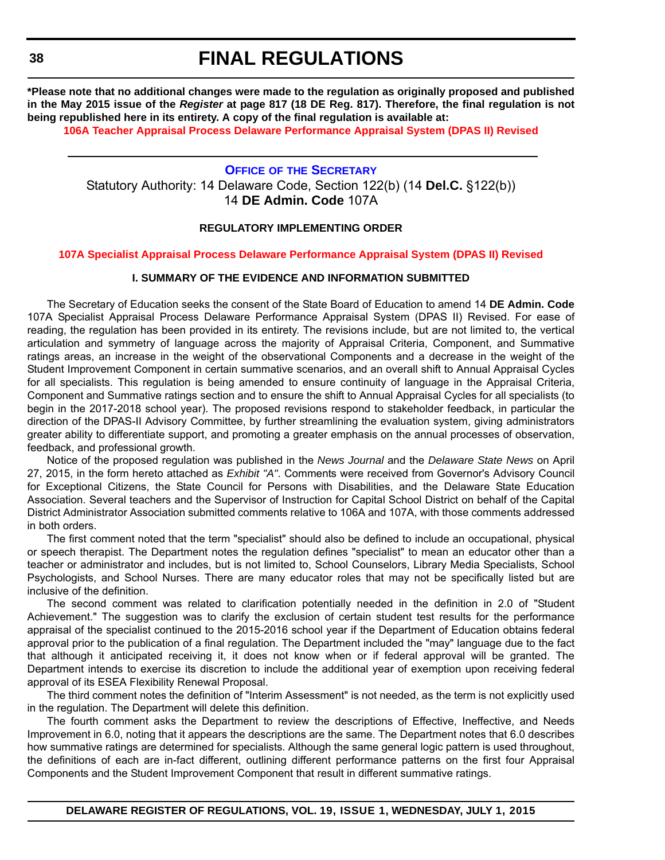**\*Please note that no additional changes were made to the regulation as originally proposed and published in the May 2015 issue of the** *Register* **at page 817 (18 DE Reg. 817). Therefore, the final regulation is not being republished here in its entirety. A copy of the final regulation is available at:**

**[106A Teacher Appraisal Process Delaware Performance Appraisal System \(DPAS II\) Revised](http://regulations.delaware.gov/register/july2015/final/19 DE Reg 35 07-01-15.htm)**

## **OFFICE OF [THE SECRETARY](http://www.doe.k12.de.us/site/default.aspx?PageID=1)** Statutory Authority: 14 Delaware Code, Section 122(b) (14 **Del.C.** §122(b)) 14 **DE Admin. Code** 107A

## **REGULATORY IMPLEMENTING ORDER**

#### **[107A Specialist Appraisal Process Delaware Performance Appraisal System \(DPAS II\) Revised](#page-3-0)**

### **I. SUMMARY OF THE EVIDENCE AND INFORMATION SUBMITTED**

The Secretary of Education seeks the consent of the State Board of Education to amend 14 **DE Admin. Code** 107A Specialist Appraisal Process Delaware Performance Appraisal System (DPAS II) Revised. For ease of reading, the regulation has been provided in its entirety. The revisions include, but are not limited to, the vertical articulation and symmetry of language across the majority of Appraisal Criteria, Component, and Summative ratings areas, an increase in the weight of the observational Components and a decrease in the weight of the Student Improvement Component in certain summative scenarios, and an overall shift to Annual Appraisal Cycles for all specialists. This regulation is being amended to ensure continuity of language in the Appraisal Criteria, Component and Summative ratings section and to ensure the shift to Annual Appraisal Cycles for all specialists (to begin in the 2017-2018 school year). The proposed revisions respond to stakeholder feedback, in particular the direction of the DPAS-II Advisory Committee, by further streamlining the evaluation system, giving administrators greater ability to differentiate support, and promoting a greater emphasis on the annual processes of observation, feedback, and professional growth.

Notice of the proposed regulation was published in the *News Journal* and the *Delaware State News* on April 27, 2015, in the form hereto attached as *Exhibit "A"*. Comments were received from Governor's Advisory Council for Exceptional Citizens, the State Council for Persons with Disabilities, and the Delaware State Education Association. Several teachers and the Supervisor of Instruction for Capital School District on behalf of the Capital District Administrator Association submitted comments relative to 106A and 107A, with those comments addressed in both orders.

The first comment noted that the term "specialist" should also be defined to include an occupational, physical or speech therapist. The Department notes the regulation defines "specialist" to mean an educator other than a teacher or administrator and includes, but is not limited to, School Counselors, Library Media Specialists, School Psychologists, and School Nurses. There are many educator roles that may not be specifically listed but are inclusive of the definition.

The second comment was related to clarification potentially needed in the definition in 2.0 of "Student Achievement." The suggestion was to clarify the exclusion of certain student test results for the performance appraisal of the specialist continued to the 2015-2016 school year if the Department of Education obtains federal approval prior to the publication of a final regulation. The Department included the "may" language due to the fact that although it anticipated receiving it, it does not know when or if federal approval will be granted. The Department intends to exercise its discretion to include the additional year of exemption upon receiving federal approval of its ESEA Flexibility Renewal Proposal.

The third comment notes the definition of "Interim Assessment" is not needed, as the term is not explicitly used in the regulation. The Department will delete this definition.

The fourth comment asks the Department to review the descriptions of Effective, Ineffective, and Needs Improvement in 6.0, noting that it appears the descriptions are the same. The Department notes that 6.0 describes how summative ratings are determined for specialists. Although the same general logic pattern is used throughout, the definitions of each are in-fact different, outlining different performance patterns on the first four Appraisal Components and the Student Improvement Component that result in different summative ratings.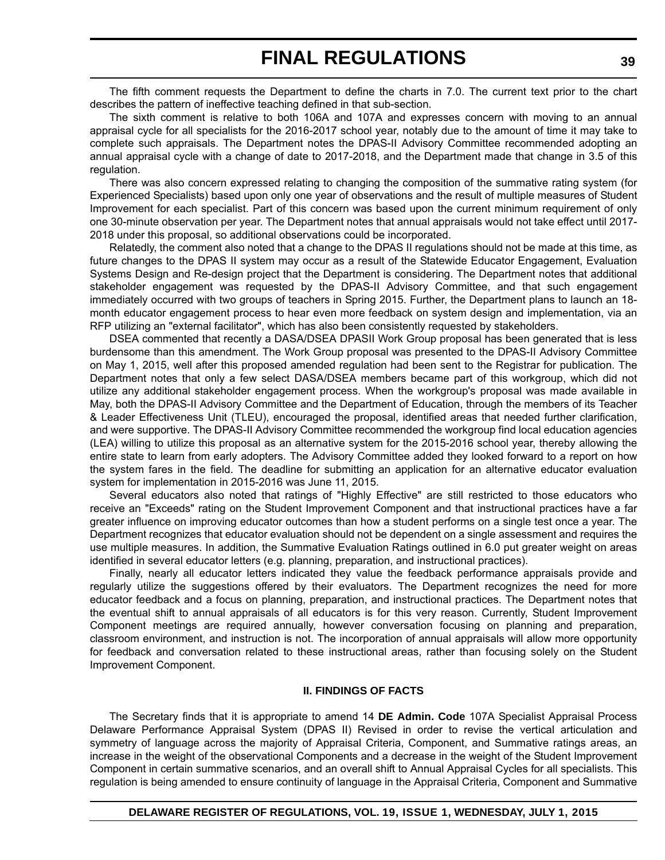The fifth comment requests the Department to define the charts in 7.0. The current text prior to the chart describes the pattern of ineffective teaching defined in that sub-section.

The sixth comment is relative to both 106A and 107A and expresses concern with moving to an annual appraisal cycle for all specialists for the 2016-2017 school year, notably due to the amount of time it may take to complete such appraisals. The Department notes the DPAS-II Advisory Committee recommended adopting an annual appraisal cycle with a change of date to 2017-2018, and the Department made that change in 3.5 of this regulation.

There was also concern expressed relating to changing the composition of the summative rating system (for Experienced Specialists) based upon only one year of observations and the result of multiple measures of Student Improvement for each specialist. Part of this concern was based upon the current minimum requirement of only one 30-minute observation per year. The Department notes that annual appraisals would not take effect until 2017- 2018 under this proposal, so additional observations could be incorporated.

Relatedly, the comment also noted that a change to the DPAS II regulations should not be made at this time, as future changes to the DPAS II system may occur as a result of the Statewide Educator Engagement, Evaluation Systems Design and Re-design project that the Department is considering. The Department notes that additional stakeholder engagement was requested by the DPAS-II Advisory Committee, and that such engagement immediately occurred with two groups of teachers in Spring 2015. Further, the Department plans to launch an 18 month educator engagement process to hear even more feedback on system design and implementation, via an RFP utilizing an "external facilitator", which has also been consistently requested by stakeholders.

DSEA commented that recently a DASA/DSEA DPASII Work Group proposal has been generated that is less burdensome than this amendment. The Work Group proposal was presented to the DPAS-II Advisory Committee on May 1, 2015, well after this proposed amended regulation had been sent to the Registrar for publication. The Department notes that only a few select DASA/DSEA members became part of this workgroup, which did not utilize any additional stakeholder engagement process. When the workgroup's proposal was made available in May, both the DPAS-II Advisory Committee and the Department of Education, through the members of its Teacher & Leader Effectiveness Unit (TLEU), encouraged the proposal, identified areas that needed further clarification, and were supportive. The DPAS-II Advisory Committee recommended the workgroup find local education agencies (LEA) willing to utilize this proposal as an alternative system for the 2015-2016 school year, thereby allowing the entire state to learn from early adopters. The Advisory Committee added they looked forward to a report on how the system fares in the field. The deadline for submitting an application for an alternative educator evaluation system for implementation in 2015-2016 was June 11, 2015.

Several educators also noted that ratings of "Highly Effective" are still restricted to those educators who receive an "Exceeds" rating on the Student Improvement Component and that instructional practices have a far greater influence on improving educator outcomes than how a student performs on a single test once a year. The Department recognizes that educator evaluation should not be dependent on a single assessment and requires the use multiple measures. In addition, the Summative Evaluation Ratings outlined in 6.0 put greater weight on areas identified in several educator letters (e.g. planning, preparation, and instructional practices).

Finally, nearly all educator letters indicated they value the feedback performance appraisals provide and regularly utilize the suggestions offered by their evaluators. The Department recognizes the need for more educator feedback and a focus on planning, preparation, and instructional practices. The Department notes that the eventual shift to annual appraisals of all educators is for this very reason. Currently, Student Improvement Component meetings are required annually, however conversation focusing on planning and preparation, classroom environment, and instruction is not. The incorporation of annual appraisals will allow more opportunity for feedback and conversation related to these instructional areas, rather than focusing solely on the Student Improvement Component.

### **II. FINDINGS OF FACTS**

The Secretary finds that it is appropriate to amend 14 **DE Admin. Code** 107A Specialist Appraisal Process Delaware Performance Appraisal System (DPAS II) Revised in order to revise the vertical articulation and symmetry of language across the majority of Appraisal Criteria, Component, and Summative ratings areas, an increase in the weight of the observational Components and a decrease in the weight of the Student Improvement Component in certain summative scenarios, and an overall shift to Annual Appraisal Cycles for all specialists. This regulation is being amended to ensure continuity of language in the Appraisal Criteria, Component and Summative

## **DELAWARE REGISTER OF REGULATIONS, VOL. 19, ISSUE 1, WEDNESDAY, JULY 1, 2015**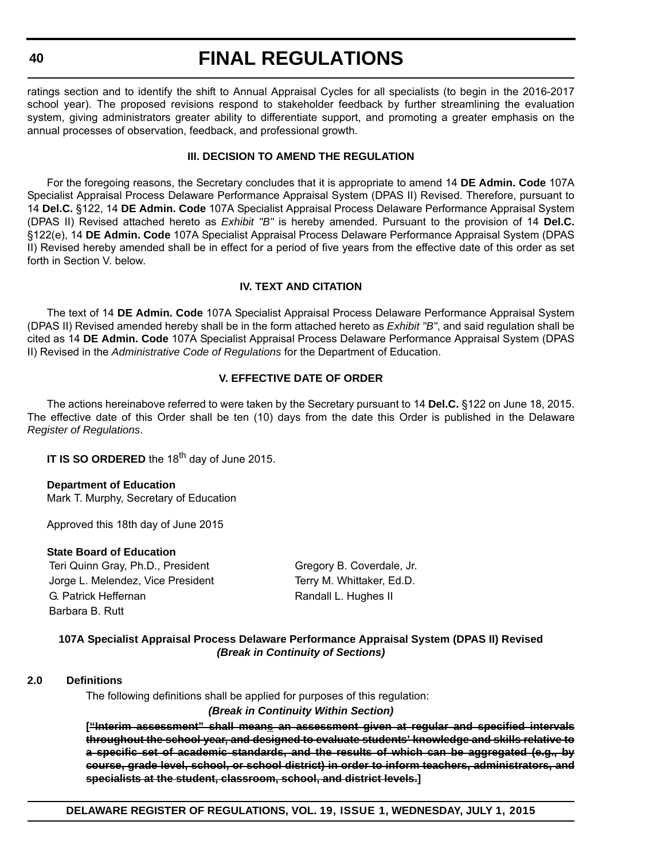ratings section and to identify the shift to Annual Appraisal Cycles for all specialists (to begin in the 2016-2017 school year). The proposed revisions respond to stakeholder feedback by further streamlining the evaluation system, giving administrators greater ability to differentiate support, and promoting a greater emphasis on the annual processes of observation, feedback, and professional growth.

## **III. DECISION TO AMEND THE REGULATION**

For the foregoing reasons, the Secretary concludes that it is appropriate to amend 14 **DE Admin. Code** 107A Specialist Appraisal Process Delaware Performance Appraisal System (DPAS II) Revised. Therefore, pursuant to 14 **Del.C.** §122, 14 **DE Admin. Code** 107A Specialist Appraisal Process Delaware Performance Appraisal System (DPAS II) Revised attached hereto as *Exhibit "B"* is hereby amended. Pursuant to the provision of 14 **Del.C.** §122(e), 14 **DE Admin. Code** 107A Specialist Appraisal Process Delaware Performance Appraisal System (DPAS II) Revised hereby amended shall be in effect for a period of five years from the effective date of this order as set forth in Section V. below.

## **IV. TEXT AND CITATION**

The text of 14 **DE Admin. Code** 107A Specialist Appraisal Process Delaware Performance Appraisal System (DPAS II) Revised amended hereby shall be in the form attached hereto as *Exhibit "B"*, and said regulation shall be cited as 14 **DE Admin. Code** 107A Specialist Appraisal Process Delaware Performance Appraisal System (DPAS II) Revised in the *Administrative Code of Regulations* for the Department of Education.

## **V. EFFECTIVE DATE OF ORDER**

The actions hereinabove referred to were taken by the Secretary pursuant to 14 **Del.C.** §122 on June 18, 2015. The effective date of this Order shall be ten (10) days from the date this Order is published in the Delaware *Register of Regulations*.

**IT IS SO ORDERED** the 18<sup>th</sup> day of June 2015.

**Department of Education** Mark T. Murphy, Secretary of Education

Approved this 18th day of June 2015

### **State Board of Education**

Teri Quinn Gray, Ph.D., President Gregory B. Coverdale, Jr. Jorge L. Melendez, Vice President Terry M. Whittaker, Ed.D. G. Patrick Heffernan **Randall L. Hughes II** Randall L. Hughes II Barbara B. Rutt

## **107A Specialist Appraisal Process Delaware Performance Appraisal System (DPAS II) Revised** *(Break in Continuity of Sections)*

### **2.0 Definitions**

The following definitions shall be applied for purposes of this regulation:

### *(Break in Continuity Within Section)*

**["Interim assessment" shall means an assessment given at regular and specified intervals throughout the school year, and designed to evaluate students' knowledge and skills relative to a specific set of academic standards, and the results of which can be aggregated (e.g., by course, grade level, school, or school district) in order to inform teachers, administrators, and specialists at the student, classroom, school, and district levels.]**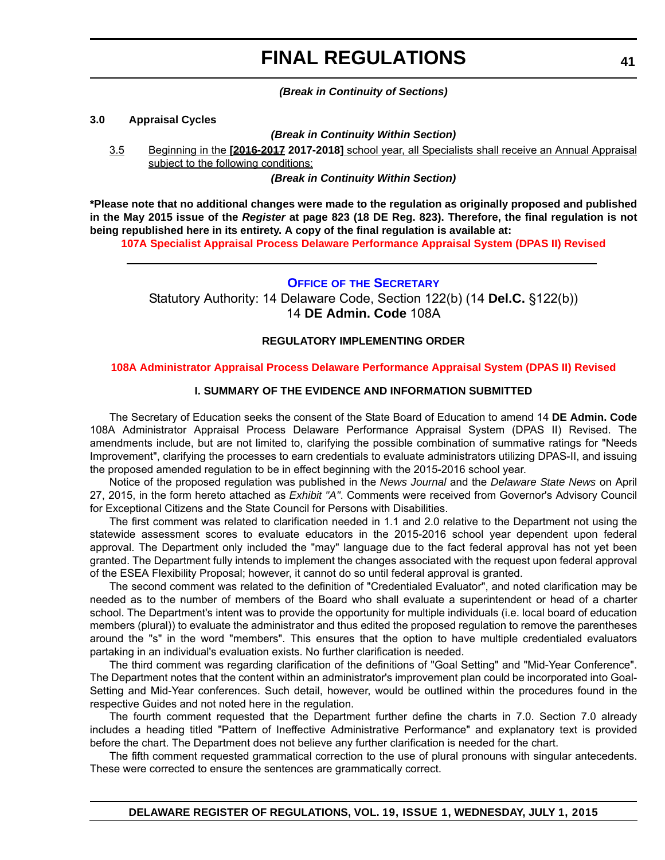*(Break in Continuity of Sections)*

### **3.0 Appraisal Cycles**

*(Break in Continuity Within Section)*

3.5 Beginning in the **[2016-2017 2017-2018]** school year, all Specialists shall receive an Annual Appraisal subject to the following conditions:

*(Break in Continuity Within Section)*

**\*Please note that no additional changes were made to the regulation as originally proposed and published in the May 2015 issue of the** *Register* **at page 823 (18 DE Reg. 823). Therefore, the final regulation is not being republished here in its entirety. A copy of the final regulation is available at:**

**[107A Specialist Appraisal Process Delaware Performance Appraisal System \(DPAS II\) Revised](http://regulations.delaware.gov/register/july2015/final/19 DE Reg 38 07-01-15.htm)**

### **OFFICE OF [THE SECRETARY](http://www.doe.k12.de.us/site/default.aspx?PageID=1)**

Statutory Authority: 14 Delaware Code, Section 122(b) (14 **Del.C.** §122(b)) 14 **DE Admin. Code** 108A

## **REGULATORY IMPLEMENTING ORDER**

### **[108A Administrator Appraisal Process Delaware Performance Appraisal System \(DPAS II\) Revised](#page-3-0)**

## **I. SUMMARY OF THE EVIDENCE AND INFORMATION SUBMITTED**

The Secretary of Education seeks the consent of the State Board of Education to amend 14 **DE Admin. Code** 108A Administrator Appraisal Process Delaware Performance Appraisal System (DPAS II) Revised. The amendments include, but are not limited to, clarifying the possible combination of summative ratings for "Needs Improvement", clarifying the processes to earn credentials to evaluate administrators utilizing DPAS-II, and issuing the proposed amended regulation to be in effect beginning with the 2015-2016 school year.

Notice of the proposed regulation was published in the *News Journal* and the *Delaware State News* on April 27, 2015, in the form hereto attached as *Exhibit "A"*. Comments were received from Governor's Advisory Council for Exceptional Citizens and the State Council for Persons with Disabilities.

The first comment was related to clarification needed in 1.1 and 2.0 relative to the Department not using the statewide assessment scores to evaluate educators in the 2015-2016 school year dependent upon federal approval. The Department only included the "may" language due to the fact federal approval has not yet been granted. The Department fully intends to implement the changes associated with the request upon federal approval of the ESEA Flexibility Proposal; however, it cannot do so until federal approval is granted.

The second comment was related to the definition of "Credentialed Evaluator", and noted clarification may be needed as to the number of members of the Board who shall evaluate a superintendent or head of a charter school. The Department's intent was to provide the opportunity for multiple individuals (i.e. local board of education members (plural)) to evaluate the administrator and thus edited the proposed regulation to remove the parentheses around the "s" in the word "members". This ensures that the option to have multiple credentialed evaluators partaking in an individual's evaluation exists. No further clarification is needed.

The third comment was regarding clarification of the definitions of "Goal Setting" and "Mid-Year Conference". The Department notes that the content within an administrator's improvement plan could be incorporated into Goal-Setting and Mid-Year conferences. Such detail, however, would be outlined within the procedures found in the respective Guides and not noted here in the regulation.

The fourth comment requested that the Department further define the charts in 7.0. Section 7.0 already includes a heading titled "Pattern of Ineffective Administrative Performance" and explanatory text is provided before the chart. The Department does not believe any further clarification is needed for the chart.

The fifth comment requested grammatical correction to the use of plural pronouns with singular antecedents. These were corrected to ensure the sentences are grammatically correct.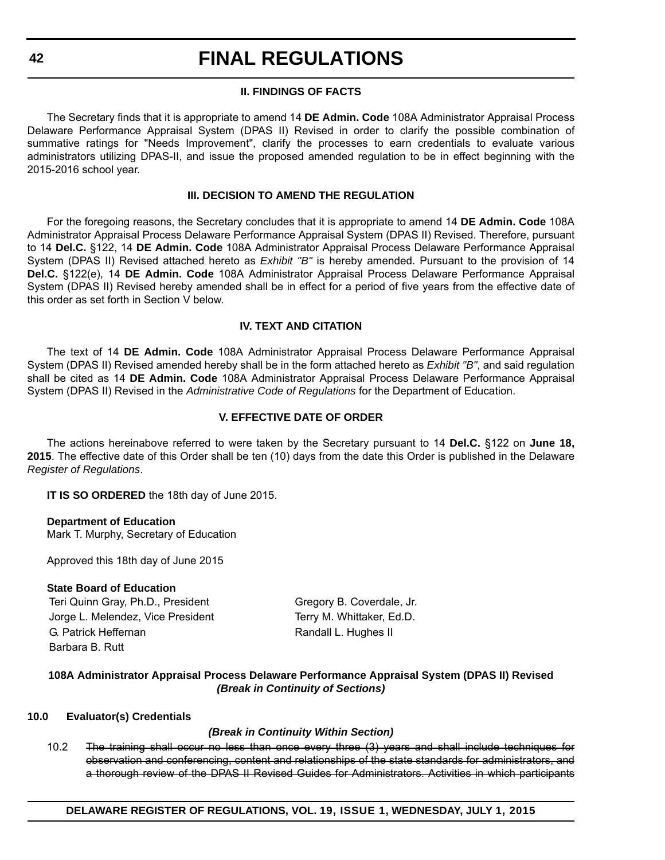## **II. FINDINGS OF FACTS**

The Secretary finds that it is appropriate to amend 14 **DE Admin. Code** 108A Administrator Appraisal Process Delaware Performance Appraisal System (DPAS II) Revised in order to clarify the possible combination of summative ratings for "Needs Improvement", clarify the processes to earn credentials to evaluate various administrators utilizing DPAS-II, and issue the proposed amended regulation to be in effect beginning with the 2015-2016 school year.

### **III. DECISION TO AMEND THE REGULATION**

For the foregoing reasons, the Secretary concludes that it is appropriate to amend 14 **DE Admin. Code** 108A Administrator Appraisal Process Delaware Performance Appraisal System (DPAS II) Revised. Therefore, pursuant to 14 **Del.C.** §122, 14 **DE Admin. Code** 108A Administrator Appraisal Process Delaware Performance Appraisal System (DPAS II) Revised attached hereto as *Exhibit "B"* is hereby amended. Pursuant to the provision of 14 **Del.C.** §122(e), 14 **DE Admin. Code** 108A Administrator Appraisal Process Delaware Performance Appraisal System (DPAS II) Revised hereby amended shall be in effect for a period of five years from the effective date of this order as set forth in Section V below.

## **IV. TEXT AND CITATION**

The text of 14 **DE Admin. Code** 108A Administrator Appraisal Process Delaware Performance Appraisal System (DPAS II) Revised amended hereby shall be in the form attached hereto as *Exhibit "B"*, and said regulation shall be cited as 14 **DE Admin. Code** 108A Administrator Appraisal Process Delaware Performance Appraisal System (DPAS II) Revised in the *Administrative Code of Regulations* for the Department of Education.

## **V. EFFECTIVE DATE OF ORDER**

The actions hereinabove referred to were taken by the Secretary pursuant to 14 **Del.C.** §122 on **June 18, 2015**. The effective date of this Order shall be ten (10) days from the date this Order is published in the Delaware *Register of Regulations*.

**IT IS SO ORDERED** the 18th day of June 2015.

### **Department of Education**

Mark T. Murphy, Secretary of Education

Approved this 18th day of June 2015

## **State Board of Education**

Teri Quinn Gray, Ph.D., President Gregory B. Coverdale, Jr. Jorge L. Melendez, Vice President Terry M. Whittaker, Ed.D. G. Patrick Heffernan Randall L. Hughes II Barbara B. Rutt

## **108A Administrator Appraisal Process Delaware Performance Appraisal System (DPAS II) Revised** *(Break in Continuity of Sections)*

### **10.0 Evaluator(s) Credentials**

## *(Break in Continuity Within Section)*

10.2 The training shall occur no less than once every three (3) years and shall include techniques for observation and conferencing, content and relationships of the state standards for administrators, and a thorough review of the DPAS II Revised Guides for Administrators. Activities in which participants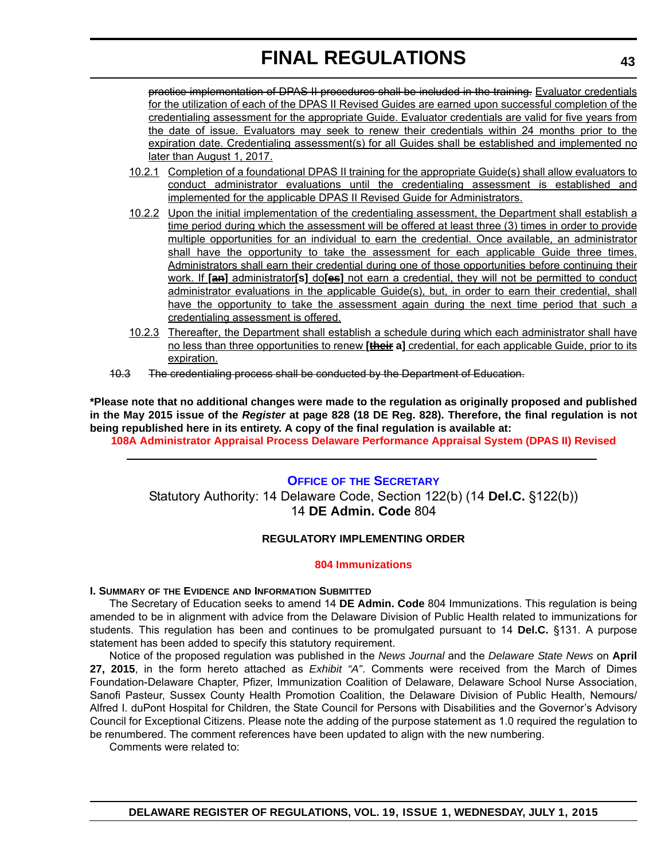practice implementation of DPAS II procedures shall be included in the training. Evaluator credentials for the utilization of each of the DPAS II Revised Guides are earned upon successful completion of the credentialing assessment for the appropriate Guide. Evaluator credentials are valid for five years from the date of issue. Evaluators may seek to renew their credentials within 24 months prior to the expiration date. Credentialing assessment(s) for all Guides shall be established and implemented no later than August 1, 2017.

- 10.2.1 Completion of a foundational DPAS II training for the appropriate Guide(s) shall allow evaluators to conduct administrator evaluations until the credentialing assessment is established and implemented for the applicable DPAS II Revised Guide for Administrators.
- 10.2.2 Upon the initial implementation of the credentialing assessment, the Department shall establish a time period during which the assessment will be offered at least three (3) times in order to provide multiple opportunities for an individual to earn the credential. Once available, an administrator shall have the opportunity to take the assessment for each applicable Guide three times. Administrators shall earn their credential during one of those opportunities before continuing their work. If **[an]** administrator**[s]** do**[es]** not earn a credential, they will not be permitted to conduct administrator evaluations in the applicable Guide(s), but, in order to earn their credential, shall have the opportunity to take the assessment again during the next time period that such a credentialing assessment is offered.
- 10.2.3 Thereafter, the Department shall establish a schedule during which each administrator shall have no less than three opportunities to renew **[their a]** credential, for each applicable Guide, prior to its expiration.
- 10.3 The credentialing process shall be conducted by the Department of Education.

**\*Please note that no additional changes were made to the regulation as originally proposed and published in the May 2015 issue of the** *Register* **at page 828 (18 DE Reg. 828). Therefore, the final regulation is not being republished here in its entirety. A copy of the final regulation is available at:**

**[108A Administrator Appraisal Process Delaware Performance Appraisal System \(DPAS II\) Revised](http://regulations.delaware.gov/register/july2015/final/19 DE Reg 41 07-01-15.htm)**

## **OFFICE OF [THE SECRETARY](http://www.doe.k12.de.us/site/default.aspx?PageID=1)**

Statutory Authority: 14 Delaware Code, Section 122(b) (14 **Del.C.** §122(b)) 14 **DE Admin. Code** 804

## **REGULATORY IMPLEMENTING ORDER**

### **[804 Immunizations](#page-3-0)**

### **I. SUMMARY OF THE EVIDENCE AND INFORMATION SUBMITTED**

The Secretary of Education seeks to amend 14 **DE Admin. Code** 804 Immunizations. This regulation is being amended to be in alignment with advice from the Delaware Division of Public Health related to immunizations for students. This regulation has been and continues to be promulgated pursuant to 14 **Del.C.** §131. A purpose statement has been added to specify this statutory requirement.

Notice of the proposed regulation was published in the *News Journal* and the *Delaware State News* on **April 27, 2015**, in the form hereto attached as *Exhibit "A"*. Comments were received from the March of Dimes Foundation-Delaware Chapter, Pfizer, Immunization Coalition of Delaware, Delaware School Nurse Association, Sanofi Pasteur, Sussex County Health Promotion Coalition, the Delaware Division of Public Health, Nemours/ Alfred I. duPont Hospital for Children, the State Council for Persons with Disabilities and the Governor's Advisory Council for Exceptional Citizens. Please note the adding of the purpose statement as 1.0 required the regulation to be renumbered. The comment references have been updated to align with the new numbering.

Comments were related to: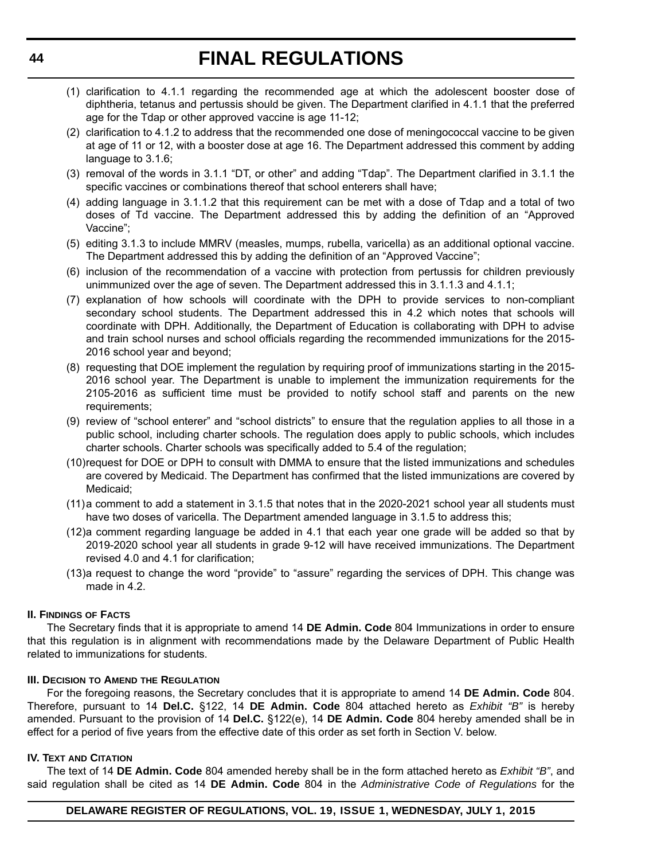- (1) clarification to 4.1.1 regarding the recommended age at which the adolescent booster dose of diphtheria, tetanus and pertussis should be given. The Department clarified in 4.1.1 that the preferred age for the Tdap or other approved vaccine is age 11-12;
- (2) clarification to 4.1.2 to address that the recommended one dose of meningococcal vaccine to be given at age of 11 or 12, with a booster dose at age 16. The Department addressed this comment by adding language to 3.1.6;
- (3) removal of the words in 3.1.1 "DT, or other" and adding "Tdap". The Department clarified in 3.1.1 the specific vaccines or combinations thereof that school enterers shall have;
- (4) adding language in 3.1.1.2 that this requirement can be met with a dose of Tdap and a total of two doses of Td vaccine. The Department addressed this by adding the definition of an "Approved Vaccine";
- (5) editing 3.1.3 to include MMRV (measles, mumps, rubella, varicella) as an additional optional vaccine. The Department addressed this by adding the definition of an "Approved Vaccine";
- (6) inclusion of the recommendation of a vaccine with protection from pertussis for children previously unimmunized over the age of seven. The Department addressed this in 3.1.1.3 and 4.1.1;
- (7) explanation of how schools will coordinate with the DPH to provide services to non-compliant secondary school students. The Department addressed this in 4.2 which notes that schools will coordinate with DPH. Additionally, the Department of Education is collaborating with DPH to advise and train school nurses and school officials regarding the recommended immunizations for the 2015- 2016 school year and beyond;
- (8) requesting that DOE implement the regulation by requiring proof of immunizations starting in the 2015- 2016 school year. The Department is unable to implement the immunization requirements for the 2105-2016 as sufficient time must be provided to notify school staff and parents on the new requirements;
- (9) review of "school enterer" and "school districts" to ensure that the regulation applies to all those in a public school, including charter schools. The regulation does apply to public schools, which includes charter schools. Charter schools was specifically added to 5.4 of the regulation;
- (10)request for DOE or DPH to consult with DMMA to ensure that the listed immunizations and schedules are covered by Medicaid. The Department has confirmed that the listed immunizations are covered by Medicaid;
- (11)a comment to add a statement in 3.1.5 that notes that in the 2020-2021 school year all students must have two doses of varicella. The Department amended language in 3.1.5 to address this;
- (12)a comment regarding language be added in 4.1 that each year one grade will be added so that by 2019-2020 school year all students in grade 9-12 will have received immunizations. The Department revised 4.0 and 4.1 for clarification;
- (13)a request to change the word "provide" to "assure" regarding the services of DPH. This change was made in 4.2.

## **II. FINDINGS OF FACTS**

The Secretary finds that it is appropriate to amend 14 **DE Admin. Code** 804 Immunizations in order to ensure that this regulation is in alignment with recommendations made by the Delaware Department of Public Health related to immunizations for students.

## **III. DECISION TO AMEND THE REGULATION**

For the foregoing reasons, the Secretary concludes that it is appropriate to amend 14 **DE Admin. Code** 804. Therefore, pursuant to 14 **Del.C.** §122, 14 **DE Admin. Code** 804 attached hereto as *Exhibit "B"* is hereby amended. Pursuant to the provision of 14 **Del.C.** §122(e), 14 **DE Admin. Code** 804 hereby amended shall be in effect for a period of five years from the effective date of this order as set forth in Section V. below.

### **IV. TEXT AND CITATION**

The text of 14 **DE Admin. Code** 804 amended hereby shall be in the form attached hereto as *Exhibit "B"*, and said regulation shall be cited as 14 **DE Admin. Code** 804 in the *Administrative Code of Regulations* for the

## **DELAWARE REGISTER OF REGULATIONS, VOL. 19, ISSUE 1, WEDNESDAY, JULY 1, 2015**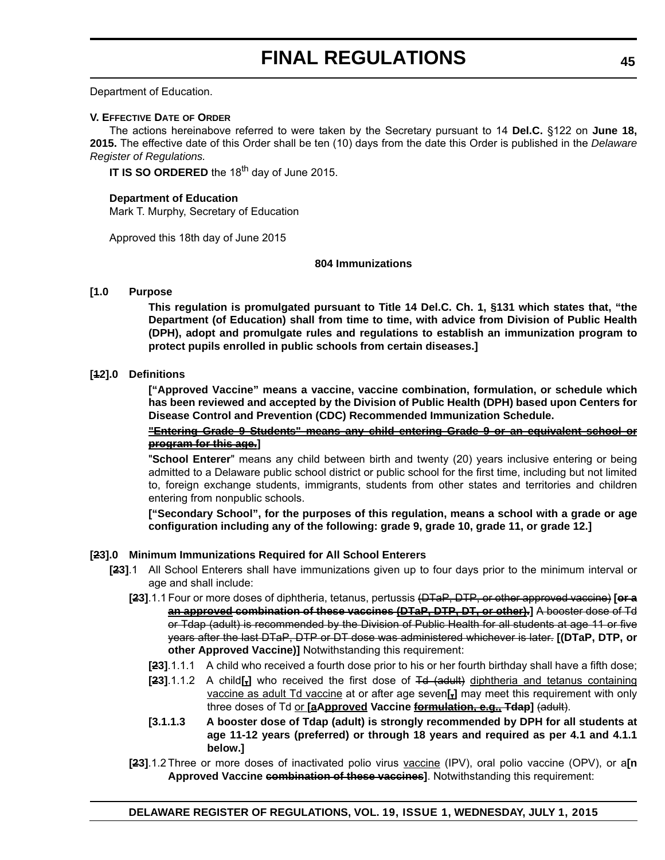Department of Education.

#### **V. EFFECTIVE DATE OF ORDER**

The actions hereinabove referred to were taken by the Secretary pursuant to 14 **Del.C.** §122 on **June 18, 2015.** The effective date of this Order shall be ten (10) days from the date this Order is published in the *Delaware Register of Regulations.*

**IT IS SO ORDERED** the 18<sup>th</sup> day of June 2015.

#### **Department of Education**

Mark T. Murphy, Secretary of Education

Approved this 18th day of June 2015

### **804 Immunizations**

### **[1.0 Purpose**

**This regulation is promulgated pursuant to Title 14 Del.C. Ch. 1, §131 which states that, "the Department (of Education) shall from time to time, with advice from Division of Public Health (DPH), adopt and promulgate rules and regulations to establish an immunization program to protect pupils enrolled in public schools from certain diseases.]**

### **[12].0 Definitions**

**["Approved Vaccine" means a vaccine, vaccine combination, formulation, or schedule which has been reviewed and accepted by the Division of Public Health (DPH) based upon Centers for Disease Control and Prevention (CDC) Recommended Immunization Schedule.**

**"Entering Grade 9 Students" means any child entering Grade 9 or an equivalent school or program for this age.]**

"**School Enterer**" means any child between birth and twenty (20) years inclusive entering or being admitted to a Delaware public school district or public school for the first time, including but not limited to, foreign exchange students, immigrants, students from other states and territories and children entering from nonpublic schools.

**["Secondary School", for the purposes of this regulation, means a school with a grade or age configuration including any of the following: grade 9, grade 10, grade 11, or grade 12.]**

### **[23].0 Minimum Immunizations Required for All School Enterers**

- **[23]**.1 All School Enterers shall have immunizations given up to four days prior to the minimum interval or age and shall include:
	- **[23]**.1.1 Four or more doses of diphtheria, tetanus, pertussis (DTaP, DTP, or other approved vaccine) **[or a an approved combination of these vaccines (DTaP, DTP, DT, or other).]** A booster dose of Td or Tdap (adult) is recommended by the Division of Public Health for all students at age 11 or five years after the last DTaP, DTP or DT dose was administered whichever is later. **[(DTaP, DTP, or other Approved Vaccine)]** Notwithstanding this requirement:
		- **[23]**.1.1.1 A child who received a fourth dose prior to his or her fourth birthday shall have a fifth dose;
		- **[23]**.1.1.2 A child**[,]** who received the first dose of Td (adult) diphtheria and tetanus containing vaccine as adult Td vaccine at or after age seven**[,]** may meet this requirement with only three doses of Td or **[aApproved Vaccine formulation, e.g., Tdap]** (adult).
		- **[3.1.1.3 A booster dose of Tdap (adult) is strongly recommended by DPH for all students at age 11-12 years (preferred) or through 18 years and required as per 4.1 and 4.1.1 below.]**
	- **[23]**.1.2 Three or more doses of inactivated polio virus vaccine (IPV), oral polio vaccine (OPV), or a**[n Approved Vaccine combination of these vaccines]**. Notwithstanding this requirement: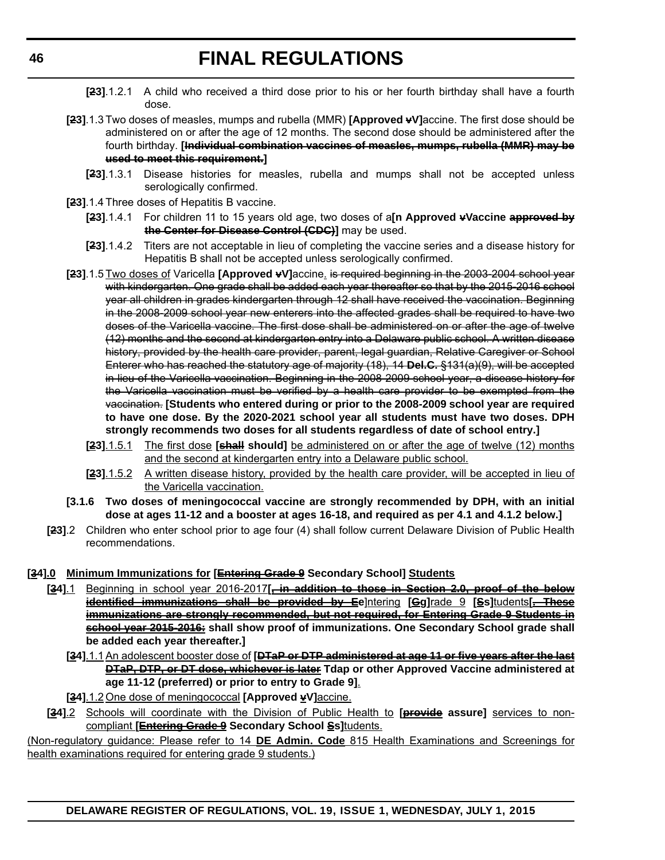- **[23]**.1.2.1 A child who received a third dose prior to his or her fourth birthday shall have a fourth dose.
- **[23]**.1.3 Two doses of measles, mumps and rubella (MMR) **[Approved vV]**accine. The first dose should be administered on or after the age of 12 months. The second dose should be administered after the fourth birthday. **[Individual combination vaccines of measles, mumps, rubella (MMR) may be used to meet this requirement.]**
	- **[23]**.1.3.1 Disease histories for measles, rubella and mumps shall not be accepted unless serologically confirmed.
- **[23]**.1.4 Three doses of Hepatitis B vaccine.
	- **[23]**.1.4.1 For children 11 to 15 years old age, two doses of a**[n Approved vVaccine approved by the Center for Disease Control (CDC)]** may be used.
	- **[23]**.1.4.2 Titers are not acceptable in lieu of completing the vaccine series and a disease history for Hepatitis B shall not be accepted unless serologically confirmed.
- **[23]**.1.5 Two doses of Varicella **[Approved vV]**accine. is required beginning in the 2003-2004 school year with kindergarten. One grade shall be added each year thereafter so that by the 2015-2016 school year all children in grades kindergarten through 12 shall have received the vaccination. Beginning in the 2008-2009 school year new enterers into the affected grades shall be required to have two doses of the Varicella vaccine. The first dose shall be administered on or after the age of twelve (12) months and the second at kindergarten entry into a Delaware public school. A written disease history, provided by the health care provider, parent, legal guardian, Relative Caregiver or School Enterer who has reached the statutory age of majority (18), 14 **Del.C.** §131(a)(9), will be accepted in lieu of the Varicella vaccination. Beginning in the 2008-2009 school year, a disease history for the Varicella vaccination must be verified by a health care provider to be exempted from the vaccination. **[Students who entered during or prior to the 2008-2009 school year are required to have one dose. By the 2020-2021 school year all students must have two doses. DPH strongly recommends two doses for all students regardless of date of school entry.]**
	- **[23]**.1.5.1 The first dose **[shall should]** be administered on or after the age of twelve (12) months and the second at kindergarten entry into a Delaware public school.
	- **[23]**.1.5.2 A written disease history, provided by the health care provider, will be accepted in lieu of the Varicella vaccination.
- **[3.1.6 Two doses of meningococcal vaccine are strongly recommended by DPH, with an initial dose at ages 11-12 and a booster at ages 16-18, and required as per 4.1 and 4.1.2 below.]**
- **[23]**.2 Children who enter school prior to age four (4) shall follow current Delaware Division of Public Health recommendations.

## **[34].0 Minimum Immunizations for [Entering Grade 9 Secondary School] Students**

- **[34]**.1 Beginning in school year 2016-2017**[, in addition to those in Section 2.0, proof of the below identified immunizations shall be provided by Ee**]ntering **[Gg]**rade 9 **[Ss]**tudents**[. These immunizations are strongly recommended, but not required, for Entering Grade 9 Students in school year 2015-2016: shall show proof of immunizations. One Secondary School grade shall be added each year thereafter.]**
	- **[34]**.1.1An adolescent booster dose of **[DTaP or DTP administered at age 11 or five years after the last DTaP, DTP, or DT dose, whichever is later Tdap or other Approved Vaccine administered at age 11-12 (preferred) or prior to entry to Grade 9]**.
- **[34].1.2 One dose of meningococcal [Approved**  $\frac{V}{2}$ **]** accine.
- **[34]**.2 Schools will coordinate with the Division of Public Health to **[provide assure]** services to noncompliant **[Entering Grade 9 Secondary School Ss]**tudents.

(Non-regulatory guidance: Please refer to 14 **DE Admin. Code** 815 Health Examinations and Screenings for health examinations required for entering grade 9 students.)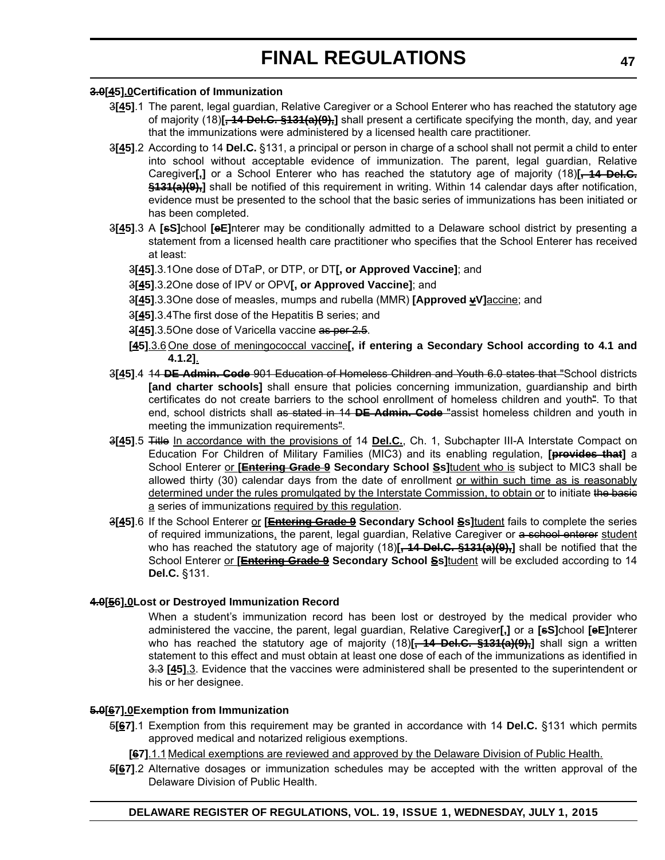## **3.0[45].0Certification of Immunization**

- 3**[45]**.1 The parent, legal guardian, Relative Caregiver or a School Enterer who has reached the statutory age of majority (18)**[, 14 Del.C. §131(a)(9),]** shall present a certificate specifying the month, day, and year that the immunizations were administered by a licensed health care practitioner.
- 3**[45]**.2 According to 14 **Del.C.** §131, a principal or person in charge of a school shall not permit a child to enter into school without acceptable evidence of immunization. The parent, legal guardian, Relative Caregiver**[,]** or a School Enterer who has reached the statutory age of majority (18)**[, 14 Del.C. §131(a)(9),]** shall be notified of this requirement in writing. Within 14 calendar days after notification, evidence must be presented to the school that the basic series of immunizations has been initiated or has been completed.
- 3**[45]**.3 A **[sS]**chool **[eE]**nterer may be conditionally admitted to a Delaware school district by presenting a statement from a licensed health care practitioner who specifies that the School Enterer has received at least:
	- 3**[45]**.3.1One dose of DTaP, or DTP, or DT**[, or Approved Vaccine]**; and
	- 3**[45]**.3.2One dose of IPV or OPV**[, or Approved Vaccine]**; and
	- **3[45]**.3.3One dose of measles, mumps and rubella (MMR) **[Approved**  $\frac{1}{2}$ **V**]accine; and
	- 3**[45]**.3.4The first dose of the Hepatitis B series; and
	- 3**[45]**.3.5One dose of Varicella vaccine as per 2.5.
	- **[45]**.3.6 One dose of meningococcal vaccine**[, if entering a Secondary School according to 4.1 and 4.1.2]**.
- 3**[45]**.4 14 **DE Admin. Code** 901 Education of Homeless Children and Youth 6.0 states that "School districts **[and charter schools]** shall ensure that policies concerning immunization, guardianship and birth certificates do not create barriers to the school enrollment of homeless children and youth". To that end, school districts shall as stated in 14 **DE Admin. Code** "assist homeless children and youth in meeting the immunization requirements".
- 3**[45]**.5 Title In accordance with the provisions of 14 **Del.C.**, Ch. 1, Subchapter III-A Interstate Compact on Education For Children of Military Families (MIC3) and its enabling regulation, **[provides that]** a School Enterer or **[Entering Grade 9 Secondary School Ss]**tudent who is subject to MIC3 shall be allowed thirty (30) calendar days from the date of enrollment or within such time as is reasonably determined under the rules promulgated by the Interstate Commission, to obtain or to initiate the basic a series of immunizations required by this regulation.
- 3**[45]**.6 If the School Enterer or **[Entering Grade 9 Secondary School Ss]**tudent fails to complete the series of required immunizations, the parent, legal guardian, Relative Caregiver or a school enterer student who has reached the statutory age of majority (18)<sup>[</sup>, 14 Del.C. §131(a)(9),<sup>]</sup> shall be notified that the School Enterer or [**Entering Grade 9** Secondary School Ss]tudent will be excluded according to 14 **Del.C.** §131.

### **4.0[56].0Lost or Destroyed Immunization Record**

When a student's immunization record has been lost or destroyed by the medical provider who administered the vaccine, the parent, legal guardian, Relative Caregiver**[,]** or a **[sS]**chool **[eE]**nterer who has reached the statutory age of majority (18)<sup>[44</sup> Del.C. §131(a)(9),] shall sign a written statement to this effect and must obtain at least one dose of each of the immunizations as identified in 3.3 **[45]**.3. Evidence that the vaccines were administered shall be presented to the superintendent or his or her designee.

## **5.0[67].0Exemption from Immunization**

- 5**[67]**.1 Exemption from this requirement may be granted in accordance with 14 **Del.C.** §131 which permits approved medical and notarized religious exemptions.
	- **[67]**.1.1 Medical exemptions are reviewed and approved by the Delaware Division of Public Health.
- 5**[67]**.2 Alternative dosages or immunization schedules may be accepted with the written approval of the Delaware Division of Public Health.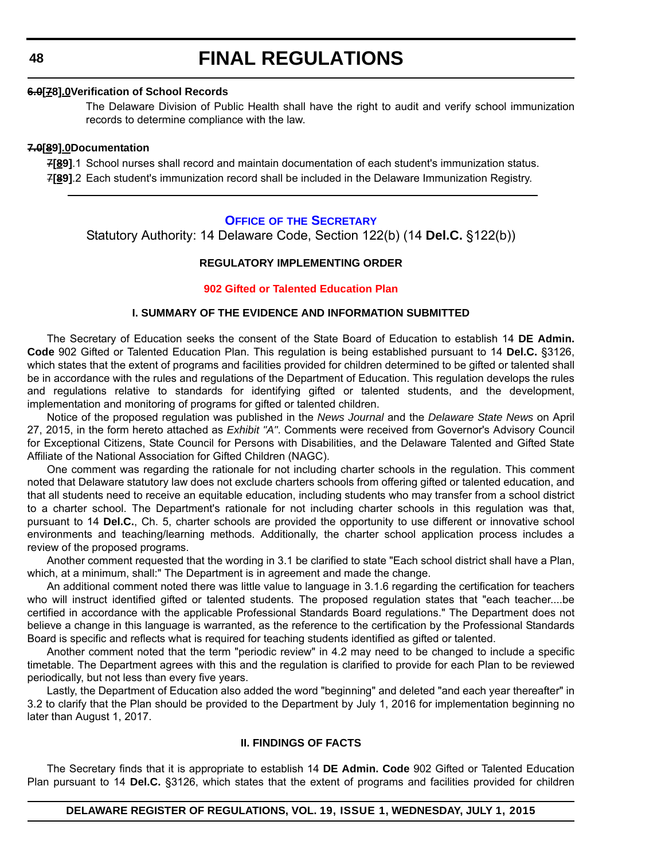### **6.0[78].0Verification of School Records**

The Delaware Division of Public Health shall have the right to audit and verify school immunization records to determine compliance with the law.

#### **7.0[89].0Documentation**

7**[89]**.1 School nurses shall record and maintain documentation of each student's immunization status. 7**[89]**.2 Each student's immunization record shall be included in the Delaware Immunization Registry.

## **OFFICE OF [THE SECRETARY](http://www.doe.k12.de.us/site/default.aspx?PageID=1)**

Statutory Authority: 14 Delaware Code, Section 122(b) (14 **Del.C.** §122(b))

## **REGULATORY IMPLEMENTING ORDER**

### **[902 Gifted or Talented Education Plan](#page-4-0)**

### **I. SUMMARY OF THE EVIDENCE AND INFORMATION SUBMITTED**

The Secretary of Education seeks the consent of the State Board of Education to establish 14 **DE Admin. Code** 902 Gifted or Talented Education Plan. This regulation is being established pursuant to 14 **Del.C.** §3126, which states that the extent of programs and facilities provided for children determined to be gifted or talented shall be in accordance with the rules and regulations of the Department of Education. This regulation develops the rules and regulations relative to standards for identifying gifted or talented students, and the development, implementation and monitoring of programs for gifted or talented children.

Notice of the proposed regulation was published in the *News Journal* and the *Delaware State News* on April 27, 2015, in the form hereto attached as *Exhibit "A"*. Comments were received from Governor's Advisory Council for Exceptional Citizens, State Council for Persons with Disabilities, and the Delaware Talented and Gifted State Affiliate of the National Association for Gifted Children (NAGC).

One comment was regarding the rationale for not including charter schools in the regulation. This comment noted that Delaware statutory law does not exclude charters schools from offering gifted or talented education, and that all students need to receive an equitable education, including students who may transfer from a school district to a charter school. The Department's rationale for not including charter schools in this regulation was that, pursuant to 14 **Del.C.**, Ch. 5, charter schools are provided the opportunity to use different or innovative school environments and teaching/learning methods. Additionally, the charter school application process includes a review of the proposed programs.

Another comment requested that the wording in 3.1 be clarified to state "Each school district shall have a Plan, which, at a minimum, shall:" The Department is in agreement and made the change.

An additional comment noted there was little value to language in 3.1.6 regarding the certification for teachers who will instruct identified gifted or talented students. The proposed regulation states that "each teacher....be certified in accordance with the applicable Professional Standards Board regulations." The Department does not believe a change in this language is warranted, as the reference to the certification by the Professional Standards Board is specific and reflects what is required for teaching students identified as gifted or talented.

Another comment noted that the term "periodic review" in 4.2 may need to be changed to include a specific timetable. The Department agrees with this and the regulation is clarified to provide for each Plan to be reviewed periodically, but not less than every five years.

Lastly, the Department of Education also added the word "beginning" and deleted "and each year thereafter" in 3.2 to clarify that the Plan should be provided to the Department by July 1, 2016 for implementation beginning no later than August 1, 2017.

#### **II. FINDINGS OF FACTS**

The Secretary finds that it is appropriate to establish 14 **DE Admin. Code** 902 Gifted or Talented Education Plan pursuant to 14 **Del.C.** §3126, which states that the extent of programs and facilities provided for children

## **DELAWARE REGISTER OF REGULATIONS, VOL. 19, ISSUE 1, WEDNESDAY, JULY 1, 2015**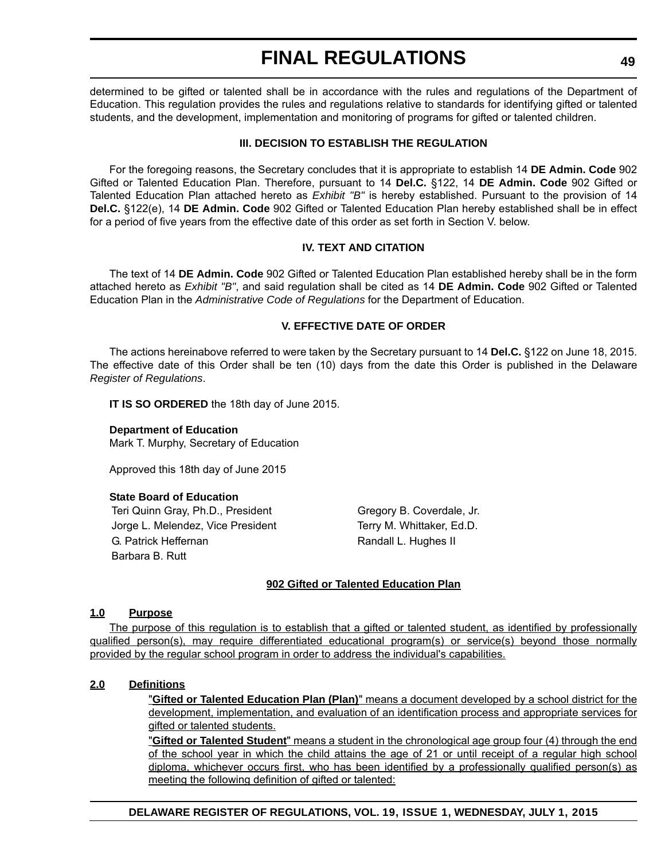determined to be gifted or talented shall be in accordance with the rules and regulations of the Department of Education. This regulation provides the rules and regulations relative to standards for identifying gifted or talented students, and the development, implementation and monitoring of programs for gifted or talented children.

## **III. DECISION TO ESTABLISH THE REGULATION**

For the foregoing reasons, the Secretary concludes that it is appropriate to establish 14 **DE Admin. Code** 902 Gifted or Talented Education Plan. Therefore, pursuant to 14 **Del.C.** §122, 14 **DE Admin. Code** 902 Gifted or Talented Education Plan attached hereto as *Exhibit "B"* is hereby established. Pursuant to the provision of 14 **Del.C.** §122(e), 14 **DE Admin. Code** 902 Gifted or Talented Education Plan hereby established shall be in effect for a period of five years from the effective date of this order as set forth in Section V. below.

## **IV. TEXT AND CITATION**

The text of 14 **DE Admin. Code** 902 Gifted or Talented Education Plan established hereby shall be in the form attached hereto as *Exhibit "B"*, and said regulation shall be cited as 14 **DE Admin. Code** 902 Gifted or Talented Education Plan in the *Administrative Code of Regulations* for the Department of Education.

## **V. EFFECTIVE DATE OF ORDER**

The actions hereinabove referred to were taken by the Secretary pursuant to 14 **Del.C.** §122 on June 18, 2015. The effective date of this Order shall be ten (10) days from the date this Order is published in the Delaware *Register of Regulations*.

**IT IS SO ORDERED** the 18th day of June 2015.

**Department of Education** Mark T. Murphy, Secretary of Education

Approved this 18th day of June 2015

### **State Board of Education**

Teri Quinn Gray, Ph.D., President Gregory B. Coverdale, Jr. Jorge L. Melendez, Vice President Terry M. Whittaker, Ed.D. G. Patrick Heffernan Randall L. Hughes II Barbara B. Rutt

## **902 Gifted or Talented Education Plan**

### **1.0 Purpose**

The purpose of this regulation is to establish that a gifted or talented student, as identified by professionally qualified person(s), may require differentiated educational program(s) or service(s) beyond those normally provided by the regular school program in order to address the individual's capabilities.

### **2.0 Definitions**

"**Gifted or Talented Education Plan (Plan)**" means a document developed by a school district for the development, implementation, and evaluation of an identification process and appropriate services for gifted or talented students.

"**Gifted or Talented Student**" means a student in the chronological age group four (4) through the end of the school year in which the child attains the age of 21 or until receipt of a regular high school diploma, whichever occurs first, who has been identified by a professionally qualified person(s) as meeting the following definition of gifted or talented:

**DELAWARE REGISTER OF REGULATIONS, VOL. 19, ISSUE 1, WEDNESDAY, JULY 1, 2015**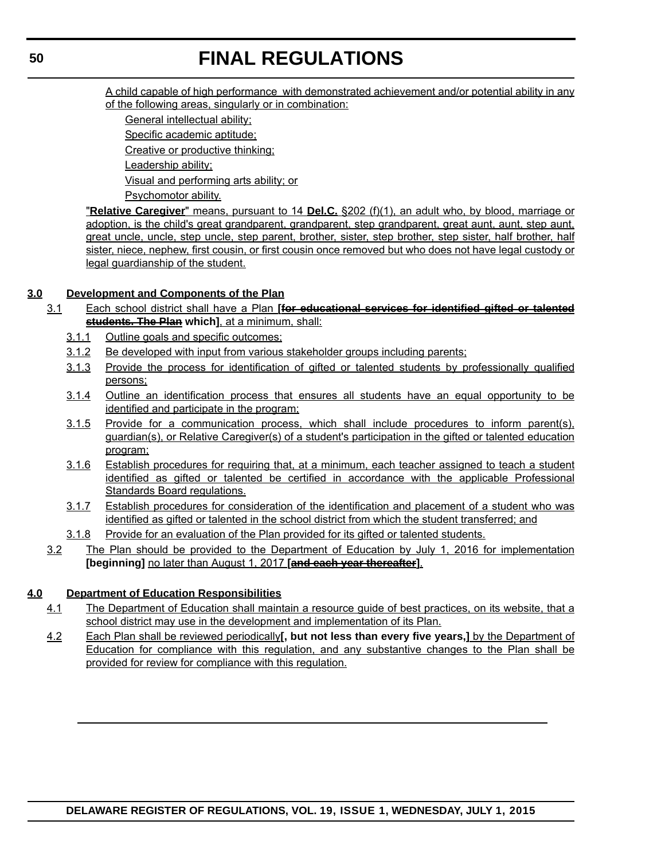A child capable of high performance with demonstrated achievement and/or potential ability in any of the following areas, singularly or in combination:

General intellectual ability;

Specific academic aptitude;

Creative or productive thinking;

Leadership ability;

Visual and performing arts ability; or

Psychomotor ability.

"**Relative Caregiver**" means, pursuant to 14 **Del.C.** §202 (f)(1), an adult who, by blood, marriage or adoption, is the child's great grandparent, grandparent, step grandparent, great aunt, aunt, step aunt, great uncle, uncle, step uncle, step parent, brother, sister, step brother, step sister, half brother, half sister, niece, nephew, first cousin, or first cousin once removed but who does not have legal custody or legal guardianship of the student.

## **3.0 Development and Components of the Plan**

- 3.1 Each school district shall have a Plan **[for educational services for identified gifted or talented students. The Plan which]**, at a minimum, shall:
	- 3.1.1 Outline goals and specific outcomes;
	- 3.1.2 Be developed with input from various stakeholder groups including parents;
	- 3.1.3 Provide the process for identification of gifted or talented students by professionally qualified persons;
	- 3.1.4 Outline an identification process that ensures all students have an equal opportunity to be identified and participate in the program;
	- 3.1.5 Provide for a communication process, which shall include procedures to inform parent(s), guardian(s), or Relative Caregiver(s) of a student's participation in the gifted or talented education program;
	- 3.1.6 Establish procedures for requiring that, at a minimum, each teacher assigned to teach a student identified as gifted or talented be certified in accordance with the applicable Professional Standards Board regulations.
	- 3.1.7 Establish procedures for consideration of the identification and placement of a student who was identified as gifted or talented in the school district from which the student transferred; and
	- 3.1.8 Provide for an evaluation of the Plan provided for its gifted or talented students.
	- 3.2 The Plan should be provided to the Department of Education by July 1, 2016 for implementation **[beginning]** no later than August 1, 2017 **[and each year thereafter]**.

## **4.0 Department of Education Responsibilities**

- 4.1 The Department of Education shall maintain a resource guide of best practices, on its website, that a school district may use in the development and implementation of its Plan.
- 4.2 Each Plan shall be reviewed periodically**[, but not less than every five years,]** by the Department of Education for compliance with this regulation, and any substantive changes to the Plan shall be provided for review for compliance with this regulation.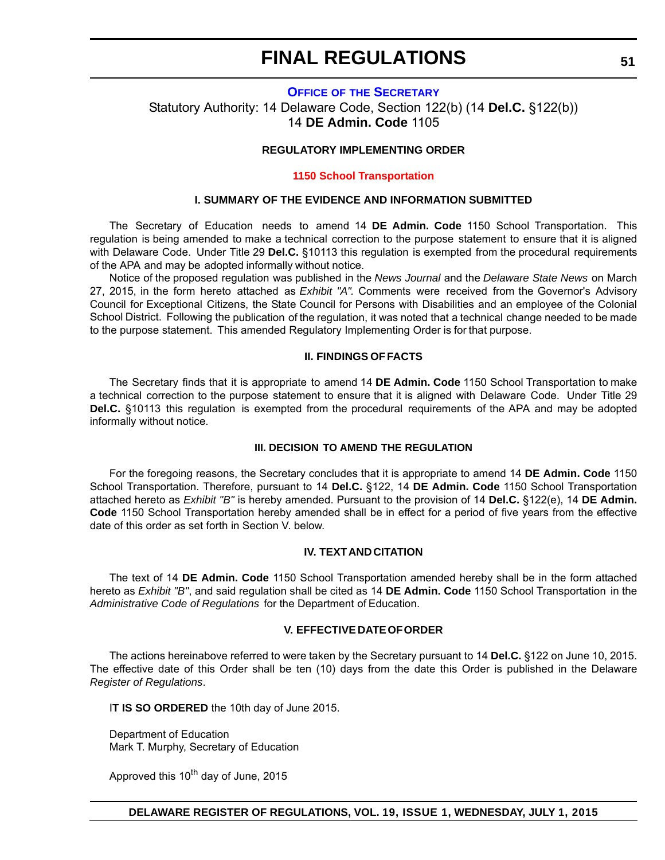## **OFFICE OF [THE SECRETARY](http://www.doe.k12.de.us/site/default.aspx?PageID=1)** Statutory Authority: 14 Delaware Code, Section 122(b) (14 **Del.C.** §122(b)) 14 **DE Admin. Code** 1105

## **REGULATORY IMPLEMENTING ORDER**

#### **[1150 School Transportation](#page-4-0)**

#### **I. SUMMARY OF THE EVIDENCE AND INFORMATION SUBMITTED**

The Secretary of Education needs to amend 14 **DE Admin. Code** 1150 School Transportation. This regulation is being amended to make a technical correction to the purpose statement to ensure that it is aligned with Delaware Code. Under Title 29 **Del.C.** §10113 this regulation is exempted from the procedural requirements of the APA and may be adopted informally without notice.

Notice of the proposed regulation was published in the *News Journal* and the *Delaware State News* on March 27, 2015, in the form hereto attached as *Exhibit "A".* Comments were received from the Governor's Advisory Council for Exceptional Citizens, the State Council for Persons with Disabilities and an employee of the Colonial School District. Following the publication of the regulation, it was noted that a technical change needed to be made to the purpose statement. This amended Regulatory Implementing Order is for that purpose.

#### **II. FINDINGS OF FACTS**

The Secretary finds that it is appropriate to amend 14 **DE Admin. Code** 1150 School Transportation to make a technical correction to the purpose statement to ensure that it is aligned with Delaware Code. Under Title 29 **Del.C.** §10113 this regulation is exempted from the procedural requirements of the APA and may be adopted informally without notice.

#### **III. DECISION TO AMEND THE REGULATION**

For the foregoing reasons, the Secretary concludes that it is appropriate to amend 14 **DE Admin. Code** 1150 School Transportation. Therefore, pursuant to 14 **Del.C.** §122, 14 **DE Admin. Code** 1150 School Transportation attached hereto as *Exhibit "B"* is hereby amended. Pursuant to the provision of 14 **Del.C.** §122(e), 14 **DE Admin. Code** 1150 School Transportation hereby amended shall be in effect for a period of five years from the effective date of this order as set forth in Section V. below.

### **IV. TEXT AND CITATION**

The text of 14 **DE Admin. Code** 1150 School Transportation amended hereby shall be in the form attached hereto as *Exhibit "B"*, and said regulation shall be cited as 14 **DE Admin. Code** 1150 School Transportation in the *Administrative Code of Regulations* for the Department of Education.

#### **V. EFFECTIVE DATE OF ORDER**

The actions hereinabove referred to were taken by the Secretary pursuant to 14 **Del.C.** §122 on June 10, 2015. The effective date of this Order shall be ten (10) days from the date this Order is published in the Delaware *Register of Regulations*.

I**T IS SO ORDERED** the 10th day of June 2015.

Department of Education Mark T. Murphy, Secretary of Education

Approved this 10<sup>th</sup> day of June, 2015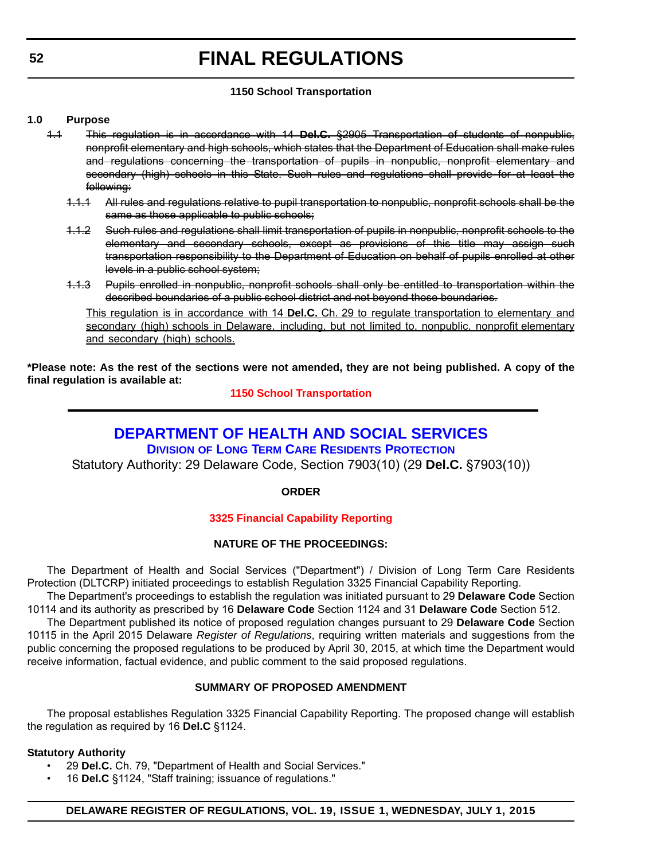## **1150 School Transportation**

## **1.0 Purpose**

- 1.1 This regulation is in accordance with 14 **Del.C.** §2905 Transportation of students of nonpublic, nonprofit elementary and high schools, which states that the Department of Education shall make rules and regulations concerning the transportation of pupils in nonpublic, nonprofit elementary and secondary (high) schools in this State. Such rules and regulations shall provide for at least the following:
	- 1.1.1 All rules and regulations relative to pupil transportation to nonpublic, nonprofit schools shall be the same as those applicable to public schools;
	- 1.1.2 Such rules and regulations shall limit transportation of pupils in nonpublic, nonprofit schools to the elementary and secondary schools, except as provisions of this title may assign such transportation responsibility to the Department of Education on behalf of pupils enrolled at other levels in a public school system;
	- 1.1.3 Pupils enrolled in nonpublic, nonprofit schools shall only be entitled to transportation within the described boundaries of a public school district and not beyond those boundaries.

This regulation is in accordance with 14 **Del.C.** Ch. 29 to regulate transportation to elementary and secondary (high) schools in Delaware, including, but not limited to, nonpublic, nonprofit elementary and secondary (high) schools.

**\*Please note: As the rest of the sections were not amended, they are not being published. A copy of the final regulation is available at:**

**[1150 School Transportation](http://regulations.delaware.gov/register/july2015/final/19 DE Reg 51 07-01-15.htm)**

## **[DEPARTMENT OF HEALTH AND SOCIAL SERVICES](http://www.dhss.delaware.gov/dhss/dltcrp/)**

**DIVISION OF LONG TERM CARE RESIDENTS PROTECTION**

Statutory Authority: 29 Delaware Code, Section 7903(10) (29 **Del.C.** §7903(10))

**ORDER**

## **[3325 Financial Capability Reporting](#page-4-0)**

## **NATURE OF THE PROCEEDINGS:**

The Department of Health and Social Services ("Department") / Division of Long Term Care Residents Protection (DLTCRP) initiated proceedings to establish Regulation 3325 Financial Capability Reporting.

The Department's proceedings to establish the regulation was initiated pursuant to 29 **Delaware Code** Section 10114 and its authority as prescribed by 16 **Delaware Code** Section 1124 and 31 **Delaware Code** Section 512.

The Department published its notice of proposed regulation changes pursuant to 29 **Delaware Code** Section 10115 in the April 2015 Delaware *Register of Regulations*, requiring written materials and suggestions from the public concerning the proposed regulations to be produced by April 30, 2015, at which time the Department would receive information, factual evidence, and public comment to the said proposed regulations.

## **SUMMARY OF PROPOSED AMENDMENT**

The proposal establishes Regulation 3325 Financial Capability Reporting. The proposed change will establish the regulation as required by 16 **Del.C** §1124.

## **Statutory Authority**

- 29 **Del.C.** Ch. 79, "Department of Health and Social Services."
- 16 **Del.C** §1124, "Staff training; issuance of regulations."

## **DELAWARE REGISTER OF REGULATIONS, VOL. 19, ISSUE 1, WEDNESDAY, JULY 1, 2015**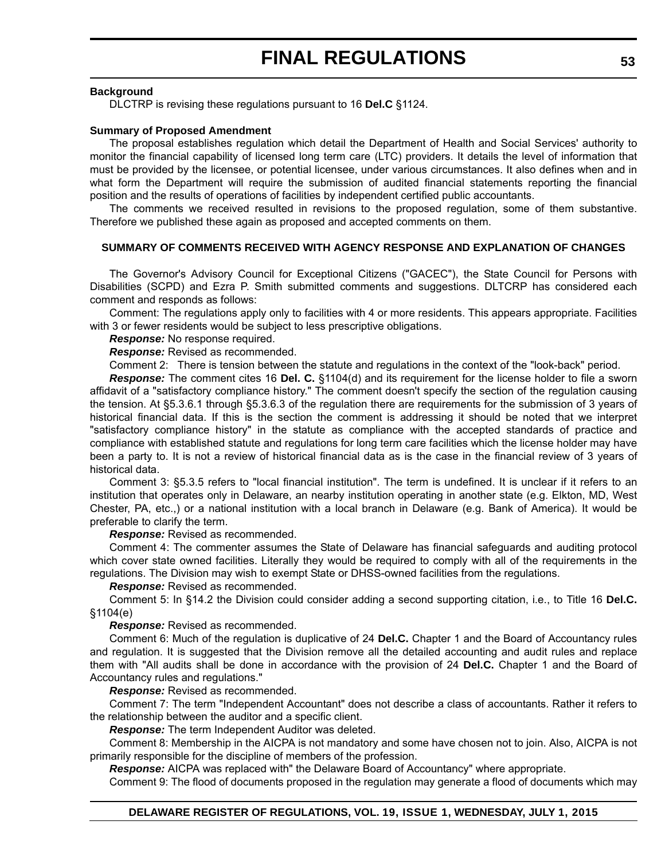### **Background**

DLCTRP is revising these regulations pursuant to 16 **Del.C** §1124.

### **Summary of Proposed Amendment**

The proposal establishes regulation which detail the Department of Health and Social Services' authority to monitor the financial capability of licensed long term care (LTC) providers. It details the level of information that must be provided by the licensee, or potential licensee, under various circumstances. It also defines when and in what form the Department will require the submission of audited financial statements reporting the financial position and the results of operations of facilities by independent certified public accountants.

The comments we received resulted in revisions to the proposed regulation, some of them substantive. Therefore we published these again as proposed and accepted comments on them.

## **SUMMARY OF COMMENTS RECEIVED WITH AGENCY RESPONSE AND EXPLANATION OF CHANGES**

The Governor's Advisory Council for Exceptional Citizens ("GACEC"), the State Council for Persons with Disabilities (SCPD) and Ezra P. Smith submitted comments and suggestions. DLTCRP has considered each comment and responds as follows:

Comment: The regulations apply only to facilities with 4 or more residents. This appears appropriate. Facilities with 3 or fewer residents would be subject to less prescriptive obligations.

### *Response:* No response required.

*Response:* Revised as recommended.

Comment 2: There is tension between the statute and regulations in the context of the "look-back" period.

*Response:* The comment cites 16 **Del. C.** §1104(d) and its requirement for the license holder to file a sworn affidavit of a "satisfactory compliance history." The comment doesn't specify the section of the regulation causing the tension. At §5.3.6.1 through §5.3.6.3 of the regulation there are requirements for the submission of 3 years of historical financial data. If this is the section the comment is addressing it should be noted that we interpret "satisfactory compliance history" in the statute as compliance with the accepted standards of practice and compliance with established statute and regulations for long term care facilities which the license holder may have been a party to. It is not a review of historical financial data as is the case in the financial review of 3 years of historical data.

Comment 3: §5.3.5 refers to "local financial institution". The term is undefined. It is unclear if it refers to an institution that operates only in Delaware, an nearby institution operating in another state (e.g. Elkton, MD, West Chester, PA, etc.,) or a national institution with a local branch in Delaware (e.g. Bank of America). It would be preferable to clarify the term.

### *Response:* Revised as recommended.

Comment 4: The commenter assumes the State of Delaware has financial safeguards and auditing protocol which cover state owned facilities. Literally they would be required to comply with all of the requirements in the regulations. The Division may wish to exempt State or DHSS-owned facilities from the regulations.

*Response:* Revised as recommended.

Comment 5: In §14.2 the Division could consider adding a second supporting citation, i.e., to Title 16 **Del.C.** §1104(e)

### *Response:* Revised as recommended.

Comment 6: Much of the regulation is duplicative of 24 **Del.C.** Chapter 1 and the Board of Accountancy rules and regulation. It is suggested that the Division remove all the detailed accounting and audit rules and replace them with "All audits shall be done in accordance with the provision of 24 **Del.C.** Chapter 1 and the Board of Accountancy rules and regulations."

*Response:* Revised as recommended.

Comment 7: The term "Independent Accountant" does not describe a class of accountants. Rather it refers to the relationship between the auditor and a specific client.

*Response:* The term Independent Auditor was deleted.

Comment 8: Membership in the AICPA is not mandatory and some have chosen not to join. Also, AICPA is not primarily responsible for the discipline of members of the profession.

*Response:* AICPA was replaced with" the Delaware Board of Accountancy" where appropriate.

Comment 9: The flood of documents proposed in the regulation may generate a flood of documents which may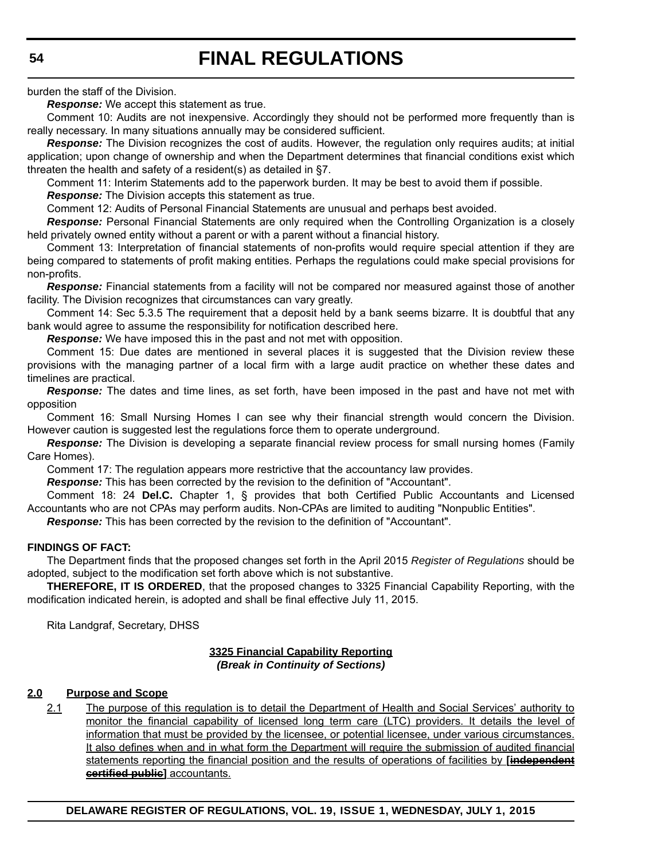burden the staff of the Division.

*Response:* We accept this statement as true.

Comment 10: Audits are not inexpensive. Accordingly they should not be performed more frequently than is really necessary. In many situations annually may be considered sufficient.

*Response:* The Division recognizes the cost of audits. However, the regulation only requires audits; at initial application; upon change of ownership and when the Department determines that financial conditions exist which threaten the health and safety of a resident(s) as detailed in §7.

Comment 11: Interim Statements add to the paperwork burden. It may be best to avoid them if possible.

*Response:* The Division accepts this statement as true.

Comment 12: Audits of Personal Financial Statements are unusual and perhaps best avoided.

*Response:* Personal Financial Statements are only required when the Controlling Organization is a closely held privately owned entity without a parent or with a parent without a financial history.

Comment 13: Interpretation of financial statements of non-profits would require special attention if they are being compared to statements of profit making entities. Perhaps the regulations could make special provisions for non-profits.

*Response:* Financial statements from a facility will not be compared nor measured against those of another facility. The Division recognizes that circumstances can vary greatly.

Comment 14: Sec 5.3.5 The requirement that a deposit held by a bank seems bizarre. It is doubtful that any bank would agree to assume the responsibility for notification described here.

*Response:* We have imposed this in the past and not met with opposition.

Comment 15: Due dates are mentioned in several places it is suggested that the Division review these provisions with the managing partner of a local firm with a large audit practice on whether these dates and timelines are practical.

*Response:* The dates and time lines, as set forth, have been imposed in the past and have not met with opposition

Comment 16: Small Nursing Homes I can see why their financial strength would concern the Division. However caution is suggested lest the regulations force them to operate underground.

**Response:** The Division is developing a separate financial review process for small nursing homes (Family Care Homes).

Comment 17: The regulation appears more restrictive that the accountancy law provides.

*Response:* This has been corrected by the revision to the definition of "Accountant".

Comment 18: 24 **Del.C.** Chapter 1, § provides that both Certified Public Accountants and Licensed Accountants who are not CPAs may perform audits. Non-CPAs are limited to auditing "Nonpublic Entities".

*Response:* This has been corrected by the revision to the definition of "Accountant".

## **FINDINGS OF FACT:**

The Department finds that the proposed changes set forth in the April 2015 *Register of Regulations* should be adopted, subject to the modification set forth above which is not substantive.

**THEREFORE, IT IS ORDERED**, that the proposed changes to 3325 Financial Capability Reporting, with the modification indicated herein, is adopted and shall be final effective July 11, 2015.

Rita Landgraf, Secretary, DHSS

## **3325 Financial Capability Reporting** *(Break in Continuity of Sections)*

## **2.0 Purpose and Scope**

2.1 The purpose of this regulation is to detail the Department of Health and Social Services' authority to monitor the financial capability of licensed long term care (LTC) providers. It details the level of information that must be provided by the licensee, or potential licensee, under various circumstances. It also defines when and in what form the Department will require the submission of audited financial statements reporting the financial position and the results of operations of facilities by **[independent certified public]** accountants.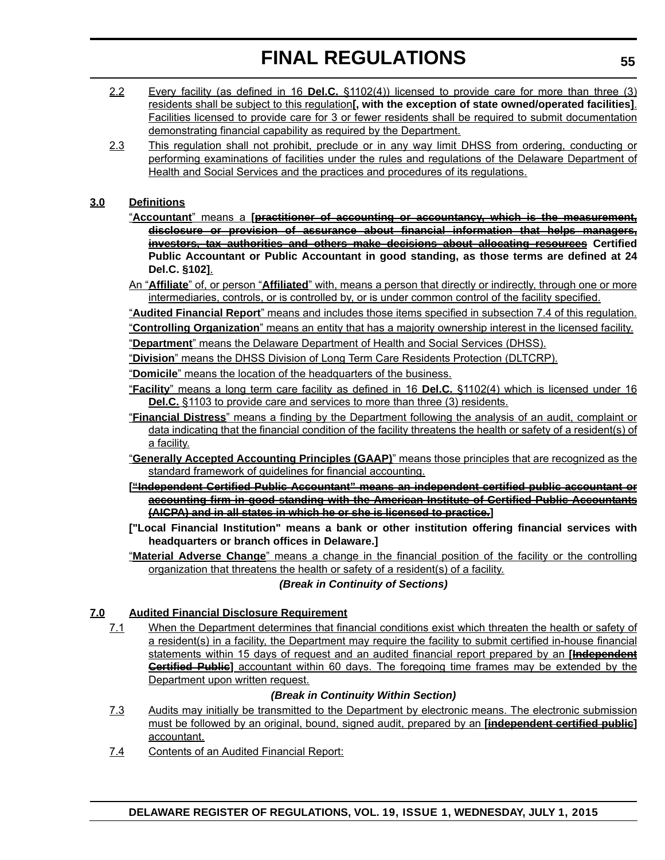- 2.2 Every facility (as defined in 16 **Del.C.** §1102(4)) licensed to provide care for more than three (3) residents shall be subject to this regulation**[, with the exception of state owned/operated facilities]**. Facilities licensed to provide care for 3 or fewer residents shall be required to submit documentation demonstrating financial capability as required by the Department.
- 2.3 This regulation shall not prohibit, preclude or in any way limit DHSS from ordering, conducting or performing examinations of facilities under the rules and regulations of the Delaware Department of Health and Social Services and the practices and procedures of its regulations.

## **3.0 Definitions**

- "**Accountant**" means a **[practitioner of accounting or accountancy, which is the measurement, disclosure or provision of assurance about financial information that helps managers, investors, tax authorities and others make decisions about allocating resources Certified Public Accountant or Public Accountant in good standing, as those terms are defined at 24 Del.C. §102]**.
- An "**Affiliate**" of, or person "**Affiliated**" with, means a person that directly or indirectly, through one or more intermediaries, controls, or is controlled by, or is under common control of the facility specified.

"**Audited Financial Report**" means and includes those items specified in subsection 7.4 of this regulation.

"**Controlling Organization**" means an entity that has a majority ownership interest in the licensed facility.

- "**Department**" means the Delaware Department of Health and Social Services (DHSS).
- "**Division**" means the DHSS Division of Long Term Care Residents Protection (DLTCRP).
- "**Domicile**" means the location of the headquarters of the business.
- "**Facility**" means a long term care facility as defined in 16 **Del.C.** §1102(4) which is licensed under 16 **Del.C.** §1103 to provide care and services to more than three (3) residents.
- "**Financial Distress**" means a finding by the Department following the analysis of an audit, complaint or data indicating that the financial condition of the facility threatens the health or safety of a resident(s) of a facility.
- "**Generally Accepted Accounting Principles (GAAP)**" means those principles that are recognized as the standard framework of guidelines for financial accounting.
- **["Independent Certified Public Accountant" means an independent certified public accountant or accounting firm in good standing with the American Institute of Certified Public Accountants (AICPA) and in all states in which he or she is licensed to practice.]**
- **["Local Financial Institution" means a bank or other institution offering financial services with headquarters or branch offices in Delaware.]**
- "**Material Adverse Change**" means a change in the financial position of the facility or the controlling organization that threatens the health or safety of a resident(s) of a facility.

*(Break in Continuity of Sections)*

## **7.0 Audited Financial Disclosure Requirement**

7.1 When the Department determines that financial conditions exist which threaten the health or safety of a resident(s) in a facility, the Department may require the facility to submit certified in-house financial statements within 15 days of request and an audited financial report prepared by an **[Independent Certified Public** accountant within 60 days. The foregoing time frames may be extended by the Department upon written request.

## *(Break in Continuity Within Section)*

- 7.3 Audits may initially be transmitted to the Department by electronic means. The electronic submission must be followed by an original, bound, signed audit, prepared by an **[independent certified public]** accountant.
- 7.4 Contents of an Audited Financial Report: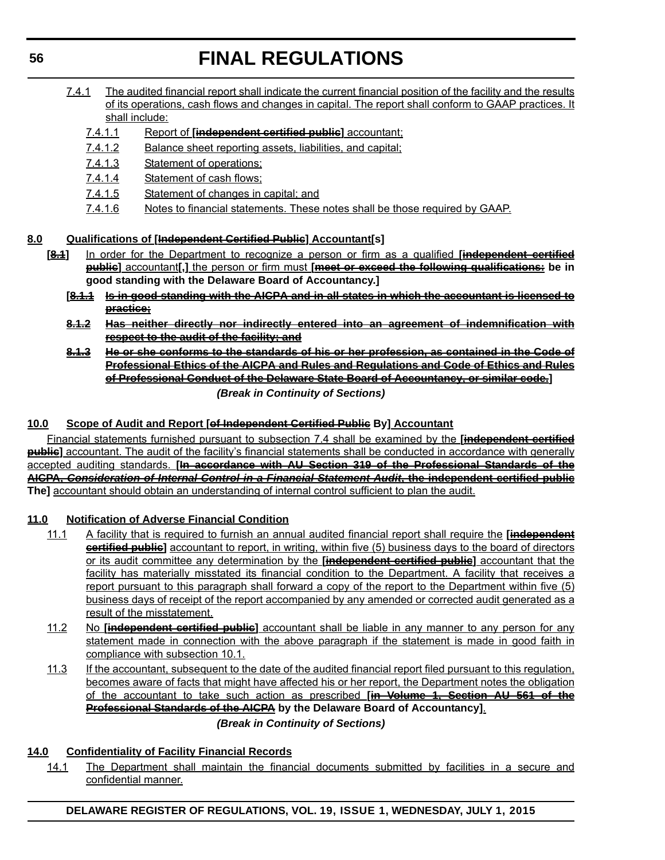- 7.4.1 The audited financial report shall indicate the current financial position of the facility and the results of its operations, cash flows and changes in capital. The report shall conform to GAAP practices. It shall include:
	- 7.4.1.1 Report of **[independent certified public]** accountant;
	- 7.4.1.2 Balance sheet reporting assets, liabilities, and capital;
	- 7.4.1.3 Statement of operations;
	- 7.4.1.4 Statement of cash flows;
	- 7.4.1.5 Statement of changes in capital; and
	- 7.4.1.6 Notes to financial statements. These notes shall be those required by GAAP.

## **8.0 Qualifications of [Independent Certified Public] Accountant[s]**

- **[8.1]** In order for the Department to recognize a person or firm as a qualified **[independent certified public]** accountant**[,]** the person or firm must **[meet or exceed the following qualifications: be in good standing with the Delaware Board of Accountancy.]**
	- **[8.1.1 Is in good standing with the AICPA and in all states in which the accountant is licensed to practice;**
	- **8.1.2 Has neither directly nor indirectly entered into an agreement of indemnification with respect to the audit of the facility; and**
	- **8.1.3 He or she conforms to the standards of his or her profession, as contained in the Code of Professional Ethics of the AICPA and Rules and Regulations and Code of Ethics and Rules of Professional Conduct of the Delaware State Board of Accountancy, or similar code.]**

*(Break in Continuity of Sections)*

## **10.0 Scope of Audit and Report [of Independent Certified Public By] Accountant**

Financial statements furnished pursuant to subsection 7.4 shall be examined by the **[independent certified public]** accountant. The audit of the facility's financial statements shall be conducted in accordance with generally accepted auditing standards. **[In accordance with AU Section 319 of the Professional Standards of the AICPA,** *Consideration of Internal Control in a Financial Statement Audit***, the independent certified public The]** accountant should obtain an understanding of internal control sufficient to plan the audit.

## **11.0 Notification of Adverse Financial Condition**

- 11.1 A facility that is required to furnish an annual audited financial report shall require the **[independent certified public]** accountant to report, in writing, within five (5) business days to the board of directors or its audit committee any determination by the **[independent certified public]** accountant that the facility has materially misstated its financial condition to the Department. A facility that receives a report pursuant to this paragraph shall forward a copy of the report to the Department within five (5) business days of receipt of the report accompanied by any amended or corrected audit generated as a result of the misstatement.
- 11.2 No **[independent certified public]** accountant shall be liable in any manner to any person for any statement made in connection with the above paragraph if the statement is made in good faith in compliance with subsection 10.1.
- 11.3 If the accountant, subsequent to the date of the audited financial report filed pursuant to this regulation, becomes aware of facts that might have affected his or her report, the Department notes the obligation of the accountant to take such action as prescribed **[in Volume 1, Section AU 561 of the Professional Standards of the AICPA by the Delaware Board of Accountancy]**.

## *(Break in Continuity of Sections)*

## **14.0 Confidentiality of Facility Financial Records**

14.1 The Department shall maintain the financial documents submitted by facilities in a secure and confidential manner.

**DELAWARE REGISTER OF REGULATIONS, VOL. 19, ISSUE 1, WEDNESDAY, JULY 1, 2015**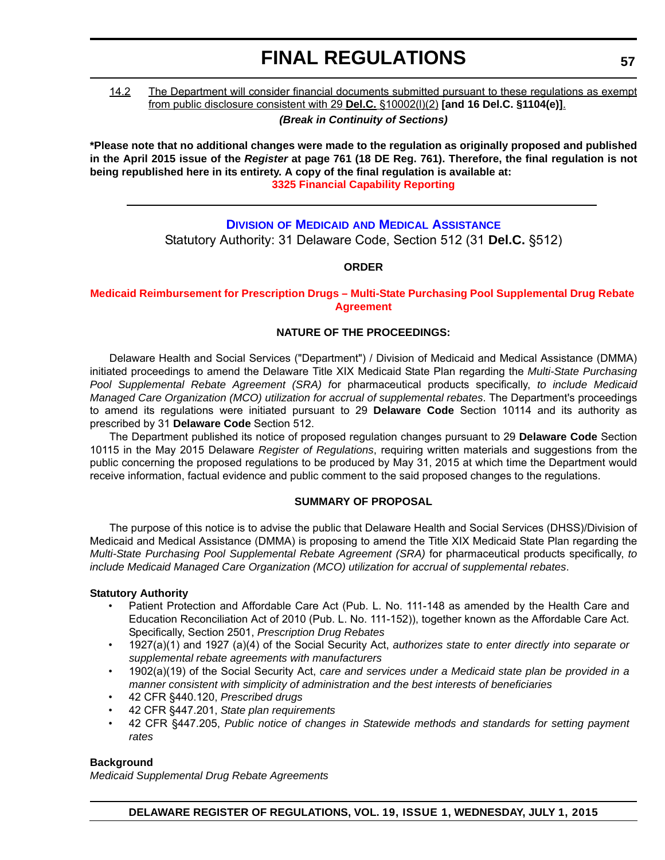## 14.2 The Department will consider financial documents submitted pursuant to these regulations as exempt from public disclosure consistent with 29 **Del.C.** §10002(l)(2) **[and 16 Del.C. §1104(e)]**.

*(Break in Continuity of Sections)*

**\*Please note that no additional changes were made to the regulation as originally proposed and published in the April 2015 issue of the** *Register* **at page 761 (18 DE Reg. 761). Therefore, the final regulation is not being republished here in its entirety. A copy of the final regulation is available at: [3325 Financial Capability Reporting](http://regulations.delaware.gov/register/july2015/final/19 DE Reg 52 07-01-15.htm)**

## **DIVISION OF MEDICAID [AND MEDICAL ASSISTANCE](http://www.dhss.delaware.gov/dhss/dmma/)** Statutory Authority: 31 Delaware Code, Section 512 (31 **Del.C.** §512)

## **ORDER**

**[Medicaid Reimbursement for Prescription Drugs – Multi-State Purchasing Pool Supplemental Drug Rebate](#page-4-0) Agreement**

## **NATURE OF THE PROCEEDINGS:**

Delaware Health and Social Services ("Department") / Division of Medicaid and Medical Assistance (DMMA) initiated proceedings to amend the Delaware Title XIX Medicaid State Plan regarding the *Multi-State Purchasing Pool Supplemental Rebate Agreement (SRA) f*or pharmaceutical products specifically, *to include Medicaid Managed Care Organization (MCO) utilization for accrual of supplemental rebates*. The Department's proceedings to amend its regulations were initiated pursuant to 29 **Delaware Code** Section 10114 and its authority as prescribed by 31 **Delaware Code** Section 512.

The Department published its notice of proposed regulation changes pursuant to 29 **Delaware Code** Section 10115 in the May 2015 Delaware *Register of Regulations*, requiring written materials and suggestions from the public concerning the proposed regulations to be produced by May 31, 2015 at which time the Department would receive information, factual evidence and public comment to the said proposed changes to the regulations.

## **SUMMARY OF PROPOSAL**

The purpose of this notice is to advise the public that Delaware Health and Social Services (DHSS)/Division of Medicaid and Medical Assistance (DMMA) is proposing to amend the Title XIX Medicaid State Plan regarding the *Multi-State Purchasing Pool Supplemental Rebate Agreement (SRA)* for pharmaceutical products specifically, *to include Medicaid Managed Care Organization (MCO) utilization for accrual of supplemental rebates*.

### **Statutory Authority**

- Patient Protection and Affordable Care Act (Pub. L. No. 111-148 as amended by the Health Care and Education Reconciliation Act of 2010 (Pub. L. No. 111-152)), together known as the Affordable Care Act. Specifically, Section 2501, *Prescription Drug Rebates*
- 1927(a)(1) and 1927 (a)(4) of the Social Security Act, *authorizes state to enter directly into separate or supplemental rebate agreements with manufacturers*
- 1902(a)(19) of the Social Security Act, *care and services under a Medicaid state plan be provided in a manner consistent with simplicity of administration and the best interests of beneficiaries*
- 42 CFR §440.120, *Prescribed drugs*
- 42 CFR §447.201, *State plan requirements*
- 42 CFR §447.205, *Public notice of changes in Statewide methods and standards for setting payment rates*

## **Background**

*Medicaid Supplemental Drug Rebate Agreements*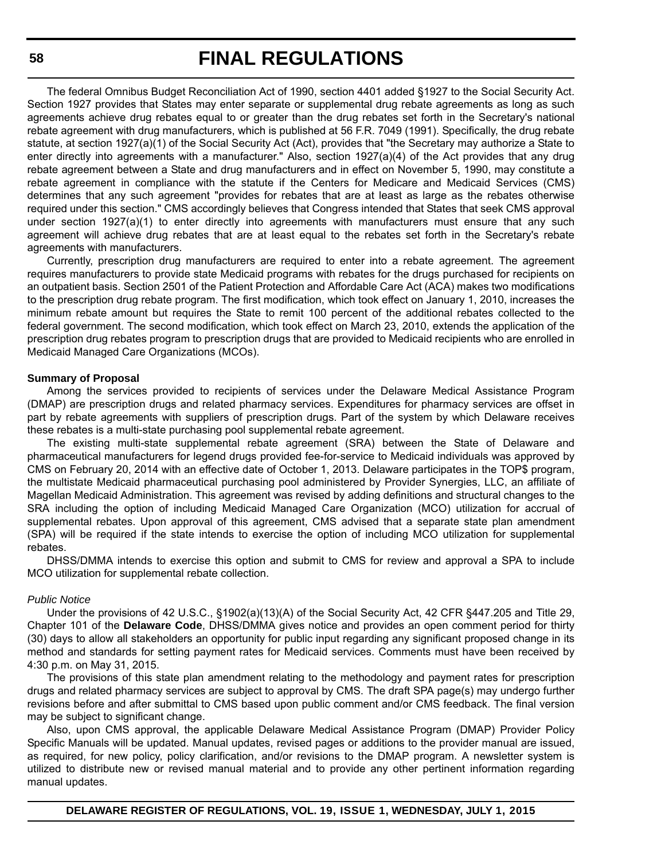The federal Omnibus Budget Reconciliation Act of 1990, section 4401 added §1927 to the Social Security Act. Section 1927 provides that States may enter separate or supplemental drug rebate agreements as long as such agreements achieve drug rebates equal to or greater than the drug rebates set forth in the Secretary's national rebate agreement with drug manufacturers, which is published at 56 F.R. 7049 (1991). Specifically, the drug rebate statute, at section 1927(a)(1) of the Social Security Act (Act), provides that "the Secretary may authorize a State to enter directly into agreements with a manufacturer." Also, section 1927(a)(4) of the Act provides that any drug rebate agreement between a State and drug manufacturers and in effect on November 5, 1990, may constitute a rebate agreement in compliance with the statute if the Centers for Medicare and Medicaid Services (CMS) determines that any such agreement "provides for rebates that are at least as large as the rebates otherwise required under this section." CMS accordingly believes that Congress intended that States that seek CMS approval under section 1927(a)(1) to enter directly into agreements with manufacturers must ensure that any such agreement will achieve drug rebates that are at least equal to the rebates set forth in the Secretary's rebate agreements with manufacturers.

Currently, prescription drug manufacturers are required to enter into a rebate agreement. The agreement requires manufacturers to provide state Medicaid programs with rebates for the drugs purchased for recipients on an outpatient basis. Section 2501 of the Patient Protection and Affordable Care Act (ACA) makes two modifications to the prescription drug rebate program. The first modification, which took effect on January 1, 2010, increases the minimum rebate amount but requires the State to remit 100 percent of the additional rebates collected to the federal government. The second modification, which took effect on March 23, 2010, extends the application of the prescription drug rebates program to prescription drugs that are provided to Medicaid recipients who are enrolled in Medicaid Managed Care Organizations (MCOs).

#### **Summary of Proposal**

Among the services provided to recipients of services under the Delaware Medical Assistance Program (DMAP) are prescription drugs and related pharmacy services. Expenditures for pharmacy services are offset in part by rebate agreements with suppliers of prescription drugs. Part of the system by which Delaware receives these rebates is a multi-state purchasing pool supplemental rebate agreement.

The existing multi-state supplemental rebate agreement (SRA) between the State of Delaware and pharmaceutical manufacturers for legend drugs provided fee-for-service to Medicaid individuals was approved by CMS on February 20, 2014 with an effective date of October 1, 2013. Delaware participates in the TOP\$ program, the multistate Medicaid pharmaceutical purchasing pool administered by Provider Synergies, LLC, an affiliate of Magellan Medicaid Administration. This agreement was revised by adding definitions and structural changes to the SRA including the option of including Medicaid Managed Care Organization (MCO) utilization for accrual of supplemental rebates. Upon approval of this agreement, CMS advised that a separate state plan amendment (SPA) will be required if the state intends to exercise the option of including MCO utilization for supplemental rebates.

DHSS/DMMA intends to exercise this option and submit to CMS for review and approval a SPA to include MCO utilization for supplemental rebate collection.

#### *Public Notice*

Under the provisions of 42 U.S.C., §1902(a)(13)(A) of the Social Security Act, 42 CFR §447.205 and Title 29, Chapter 101 of the **Delaware Code**, DHSS/DMMA gives notice and provides an open comment period for thirty (30) days to allow all stakeholders an opportunity for public input regarding any significant proposed change in its method and standards for setting payment rates for Medicaid services. Comments must have been received by 4:30 p.m. on May 31, 2015.

The provisions of this state plan amendment relating to the methodology and payment rates for prescription drugs and related pharmacy services are subject to approval by CMS. The draft SPA page(s) may undergo further revisions before and after submittal to CMS based upon public comment and/or CMS feedback. The final version may be subject to significant change.

Also, upon CMS approval, the applicable Delaware Medical Assistance Program (DMAP) Provider Policy Specific Manuals will be updated. Manual updates, revised pages or additions to the provider manual are issued, as required, for new policy, policy clarification, and/or revisions to the DMAP program. A newsletter system is utilized to distribute new or revised manual material and to provide any other pertinent information regarding manual updates.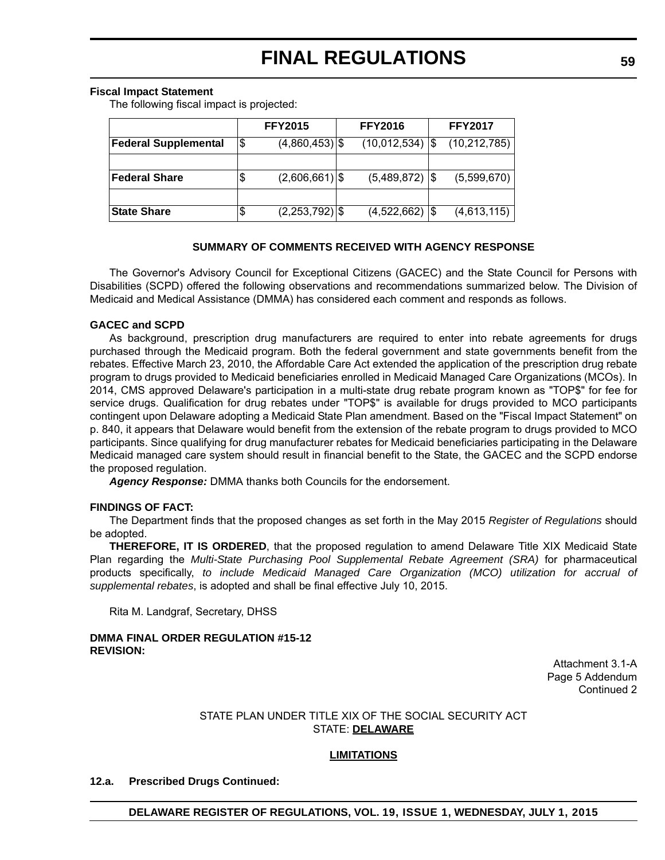#### **Fiscal Impact Statement**

The following fiscal impact is projected:

|                             | <b>FFY2015</b>         | <b>FFY2016</b>    |     | <b>FFY2017</b> |
|-----------------------------|------------------------|-------------------|-----|----------------|
| <b>Federal Supplemental</b> | \$<br>$(4,860,453)$ \$ | (10,012,534)      | 1\$ | (10, 212, 785) |
|                             |                        |                   |     |                |
| Federal Share               | \$<br>$(2,606,661)$ \$ | $(5,489,872)$ \\$ |     | (5,599,670)    |
|                             |                        |                   |     |                |
| <b>State Share</b>          | \$<br>$(2,253,792)$ \$ | $(4,522,662)$ \$  |     | (4,613,115)    |

## **SUMMARY OF COMMENTS RECEIVED WITH AGENCY RESPONSE**

The Governor's Advisory Council for Exceptional Citizens (GACEC) and the State Council for Persons with Disabilities (SCPD) offered the following observations and recommendations summarized below. The Division of Medicaid and Medical Assistance (DMMA) has considered each comment and responds as follows.

### **GACEC and SCPD**

As background, prescription drug manufacturers are required to enter into rebate agreements for drugs purchased through the Medicaid program. Both the federal government and state governments benefit from the rebates. Effective March 23, 2010, the Affordable Care Act extended the application of the prescription drug rebate program to drugs provided to Medicaid beneficiaries enrolled in Medicaid Managed Care Organizations (MCOs). In 2014, CMS approved Delaware's participation in a multi-state drug rebate program known as "TOP\$" for fee for service drugs. Qualification for drug rebates under "TOP\$" is available for drugs provided to MCO participants contingent upon Delaware adopting a Medicaid State Plan amendment. Based on the "Fiscal Impact Statement" on p. 840, it appears that Delaware would benefit from the extension of the rebate program to drugs provided to MCO participants. Since qualifying for drug manufacturer rebates for Medicaid beneficiaries participating in the Delaware Medicaid managed care system should result in financial benefit to the State, the GACEC and the SCPD endorse the proposed regulation.

*Agency Response:* DMMA thanks both Councils for the endorsement.

### **FINDINGS OF FACT:**

The Department finds that the proposed changes as set forth in the May 2015 *Register of Regulations* should be adopted.

**THEREFORE, IT IS ORDERED**, that the proposed regulation to amend Delaware Title XIX Medicaid State Plan regarding the *Multi-State Purchasing Pool Supplemental Rebate Agreement (SRA)* for pharmaceutical products specifically, *to include Medicaid Managed Care Organization (MCO) utilization for accrual of supplemental rebates*, is adopted and shall be final effective July 10, 2015.

Rita M. Landgraf, Secretary, DHSS

### **DMMA FINAL ORDER REGULATION #15-12 REVISION:**

Attachment 3.1-A Page 5 Addendum Continued 2

## STATE PLAN UNDER TITLE XIX OF THE SOCIAL SECURITY ACT STATE: **DELAWARE**

### **LIMITATIONS**

### **12.a. Prescribed Drugs Continued:**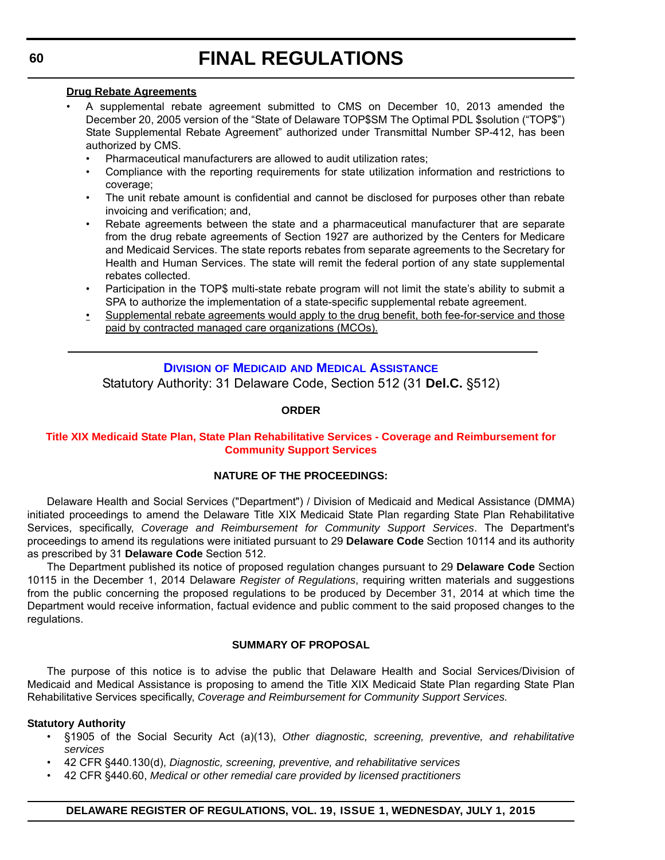### **Drug Rebate Agreements**

- A supplemental rebate agreement submitted to CMS on December 10, 2013 amended the December 20, 2005 version of the "State of Delaware TOP\$SM The Optimal PDL \$solution ("TOP\$") State Supplemental Rebate Agreement" authorized under Transmittal Number SP-412, has been authorized by CMS.
	- Pharmaceutical manufacturers are allowed to audit utilization rates;
	- Compliance with the reporting requirements for state utilization information and restrictions to coverage;
	- The unit rebate amount is confidential and cannot be disclosed for purposes other than rebate invoicing and verification; and,
	- Rebate agreements between the state and a pharmaceutical manufacturer that are separate from the drug rebate agreements of Section 1927 are authorized by the Centers for Medicare and Medicaid Services. The state reports rebates from separate agreements to the Secretary for Health and Human Services. The state will remit the federal portion of any state supplemental rebates collected.
	- Participation in the TOP\$ multi-state rebate program will not limit the state's ability to submit a SPA to authorize the implementation of a state-specific supplemental rebate agreement.
	- Supplemental rebate agreements would apply to the drug benefit, both fee-for-service and those paid by contracted managed care organizations (MCOs).

## **DIVISION OF MEDICAID [AND MEDICAL ASSISTANCE](http://www.dhss.delaware.gov/dhss/dmma/)**

Statutory Authority: 31 Delaware Code, Section 512 (31 **Del.C.** §512)

## **ORDER**

## **[Title XIX Medicaid State Plan, State Plan Rehabilitative Services - Coverage and Reimbursement for](#page-4-0)  Community Support Services**

## **NATURE OF THE PROCEEDINGS:**

Delaware Health and Social Services ("Department") / Division of Medicaid and Medical Assistance (DMMA) initiated proceedings to amend the Delaware Title XIX Medicaid State Plan regarding State Plan Rehabilitative Services, specifically, *Coverage and Reimbursement for Community Support Services*. The Department's proceedings to amend its regulations were initiated pursuant to 29 **Delaware Code** Section 10114 and its authority as prescribed by 31 **Delaware Code** Section 512.

The Department published its notice of proposed regulation changes pursuant to 29 **Delaware Code** Section 10115 in the December 1, 2014 Delaware *Register of Regulations*, requiring written materials and suggestions from the public concerning the proposed regulations to be produced by December 31, 2014 at which time the Department would receive information, factual evidence and public comment to the said proposed changes to the regulations.

## **SUMMARY OF PROPOSAL**

The purpose of this notice is to advise the public that Delaware Health and Social Services/Division of Medicaid and Medical Assistance is proposing to amend the Title XIX Medicaid State Plan regarding State Plan Rehabilitative Services specifically, *Coverage and Reimbursement for Community Support Services.*

## **Statutory Authority**

- §1905 of the Social Security Act (a)(13), *Other diagnostic, screening, preventive, and rehabilitative services*
- 42 CFR §440.130(d), *Diagnostic, screening, preventive, and rehabilitative services*
- 42 CFR §440.60, *Medical or other remedial care provided by licensed practitioners*

## **DELAWARE REGISTER OF REGULATIONS, VOL. 19, ISSUE 1, WEDNESDAY, JULY 1, 2015**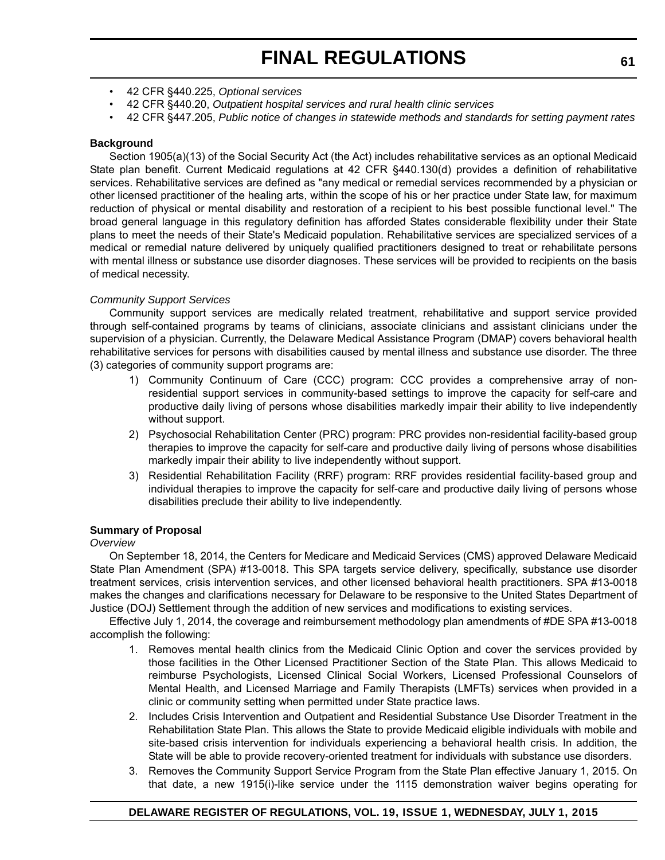- 42 CFR §440.225, *Optional services*
- 42 CFR §440.20, *Outpatient hospital services and rural health clinic services*
- 42 CFR §447.205, *Public notice of changes in statewide methods and standards for setting payment rates*

### **Background**

Section 1905(a)(13) of the Social Security Act (the Act) includes rehabilitative services as an optional Medicaid State plan benefit. Current Medicaid regulations at 42 CFR §440.130(d) provides a definition of rehabilitative services. Rehabilitative services are defined as "any medical or remedial services recommended by a physician or other licensed practitioner of the healing arts, within the scope of his or her practice under State law, for maximum reduction of physical or mental disability and restoration of a recipient to his best possible functional level." The broad general language in this regulatory definition has afforded States considerable flexibility under their State plans to meet the needs of their State's Medicaid population. Rehabilitative services are specialized services of a medical or remedial nature delivered by uniquely qualified practitioners designed to treat or rehabilitate persons with mental illness or substance use disorder diagnoses. These services will be provided to recipients on the basis of medical necessity.

## *Community Support Services*

Community support services are medically related treatment, rehabilitative and support service provided through self-contained programs by teams of clinicians, associate clinicians and assistant clinicians under the supervision of a physician. Currently, the Delaware Medical Assistance Program (DMAP) covers behavioral health rehabilitative services for persons with disabilities caused by mental illness and substance use disorder. The three (3) categories of community support programs are:

- 1) Community Continuum of Care (CCC) program: CCC provides a comprehensive array of nonresidential support services in community-based settings to improve the capacity for self-care and productive daily living of persons whose disabilities markedly impair their ability to live independently without support.
- 2) Psychosocial Rehabilitation Center (PRC) program: PRC provides non-residential facility-based group therapies to improve the capacity for self-care and productive daily living of persons whose disabilities markedly impair their ability to live independently without support.
- 3) Residential Rehabilitation Facility (RRF) program: RRF provides residential facility-based group and individual therapies to improve the capacity for self-care and productive daily living of persons whose disabilities preclude their ability to live independently.

### **Summary of Proposal**

### *Overview*

On September 18, 2014, the Centers for Medicare and Medicaid Services (CMS) approved Delaware Medicaid State Plan Amendment (SPA) #13-0018. This SPA targets service delivery, specifically, substance use disorder treatment services, crisis intervention services, and other licensed behavioral health practitioners. SPA #13-0018 makes the changes and clarifications necessary for Delaware to be responsive to the United States Department of Justice (DOJ) Settlement through the addition of new services and modifications to existing services.

Effective July 1, 2014, the coverage and reimbursement methodology plan amendments of #DE SPA #13-0018 accomplish the following:

- 1. Removes mental health clinics from the Medicaid Clinic Option and cover the services provided by those facilities in the Other Licensed Practitioner Section of the State Plan. This allows Medicaid to reimburse Psychologists, Licensed Clinical Social Workers, Licensed Professional Counselors of Mental Health, and Licensed Marriage and Family Therapists (LMFTs) services when provided in a clinic or community setting when permitted under State practice laws.
- 2. Includes Crisis Intervention and Outpatient and Residential Substance Use Disorder Treatment in the Rehabilitation State Plan. This allows the State to provide Medicaid eligible individuals with mobile and site-based crisis intervention for individuals experiencing a behavioral health crisis. In addition, the State will be able to provide recovery-oriented treatment for individuals with substance use disorders.
- 3. Removes the Community Support Service Program from the State Plan effective January 1, 2015. On that date, a new 1915(i)-like service under the 1115 demonstration waiver begins operating for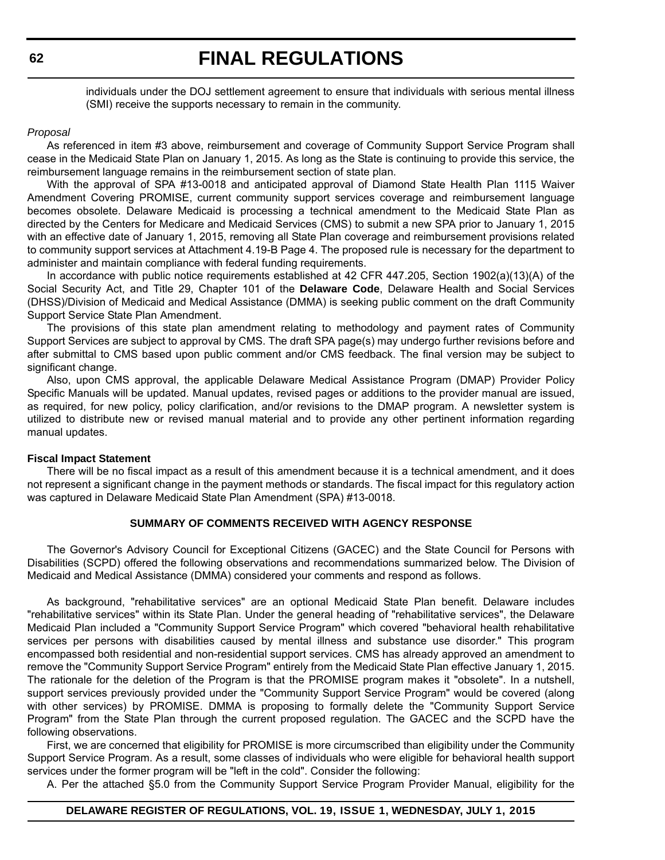individuals under the DOJ settlement agreement to ensure that individuals with serious mental illness (SMI) receive the supports necessary to remain in the community.

#### *Proposal*

As referenced in item #3 above, reimbursement and coverage of Community Support Service Program shall cease in the Medicaid State Plan on January 1, 2015. As long as the State is continuing to provide this service, the reimbursement language remains in the reimbursement section of state plan.

With the approval of SPA #13-0018 and anticipated approval of Diamond State Health Plan 1115 Waiver Amendment Covering PROMISE, current community support services coverage and reimbursement language becomes obsolete. Delaware Medicaid is processing a technical amendment to the Medicaid State Plan as directed by the Centers for Medicare and Medicaid Services (CMS) to submit a new SPA prior to January 1, 2015 with an effective date of January 1, 2015, removing all State Plan coverage and reimbursement provisions related to community support services at Attachment 4.19-B Page 4. The proposed rule is necessary for the department to administer and maintain compliance with federal funding requirements.

In accordance with public notice requirements established at 42 CFR 447.205, Section 1902(a)(13)(A) of the Social Security Act, and Title 29, Chapter 101 of the **Delaware Code**, Delaware Health and Social Services (DHSS)/Division of Medicaid and Medical Assistance (DMMA) is seeking public comment on the draft Community Support Service State Plan Amendment.

The provisions of this state plan amendment relating to methodology and payment rates of Community Support Services are subject to approval by CMS. The draft SPA page(s) may undergo further revisions before and after submittal to CMS based upon public comment and/or CMS feedback. The final version may be subject to significant change.

Also, upon CMS approval, the applicable Delaware Medical Assistance Program (DMAP) Provider Policy Specific Manuals will be updated. Manual updates, revised pages or additions to the provider manual are issued, as required, for new policy, policy clarification, and/or revisions to the DMAP program. A newsletter system is utilized to distribute new or revised manual material and to provide any other pertinent information regarding manual updates.

#### **Fiscal Impact Statement**

There will be no fiscal impact as a result of this amendment because it is a technical amendment, and it does not represent a significant change in the payment methods or standards. The fiscal impact for this regulatory action was captured in Delaware Medicaid State Plan Amendment (SPA) #13-0018.

#### **SUMMARY OF COMMENTS RECEIVED WITH AGENCY RESPONSE**

The Governor's Advisory Council for Exceptional Citizens (GACEC) and the State Council for Persons with Disabilities (SCPD) offered the following observations and recommendations summarized below. The Division of Medicaid and Medical Assistance (DMMA) considered your comments and respond as follows.

As background, "rehabilitative services" are an optional Medicaid State Plan benefit. Delaware includes "rehabilitative services" within its State Plan. Under the general heading of "rehabilitative services", the Delaware Medicaid Plan included a "Community Support Service Program" which covered "behavioral health rehabilitative services per persons with disabilities caused by mental illness and substance use disorder." This program encompassed both residential and non-residential support services. CMS has already approved an amendment to remove the "Community Support Service Program" entirely from the Medicaid State Plan effective January 1, 2015. The rationale for the deletion of the Program is that the PROMISE program makes it "obsolete". In a nutshell, support services previously provided under the "Community Support Service Program" would be covered (along with other services) by PROMISE. DMMA is proposing to formally delete the "Community Support Service Program" from the State Plan through the current proposed regulation. The GACEC and the SCPD have the following observations.

First, we are concerned that eligibility for PROMISE is more circumscribed than eligibility under the Community Support Service Program. As a result, some classes of individuals who were eligible for behavioral health support services under the former program will be "left in the cold". Consider the following:

A. Per the attached §5.0 from the Community Support Service Program Provider Manual, eligibility for the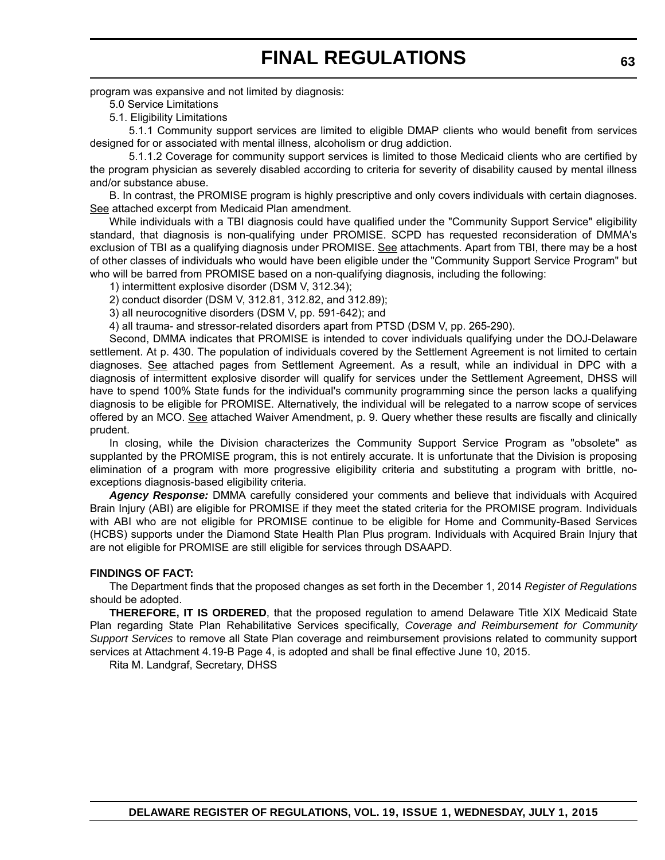program was expansive and not limited by diagnosis:

5.0 Service Limitations

5.1. Eligibility Limitations

5.1.1 Community support services are limited to eligible DMAP clients who would benefit from services designed for or associated with mental illness, alcoholism or drug addiction.

5.1.1.2 Coverage for community support services is limited to those Medicaid clients who are certified by the program physician as severely disabled according to criteria for severity of disability caused by mental illness and/or substance abuse.

B. In contrast, the PROMISE program is highly prescriptive and only covers individuals with certain diagnoses. See attached excerpt from Medicaid Plan amendment.

While individuals with a TBI diagnosis could have qualified under the "Community Support Service" eligibility standard, that diagnosis is non-qualifying under PROMISE. SCPD has requested reconsideration of DMMA's exclusion of TBI as a qualifying diagnosis under PROMISE. See attachments. Apart from TBI, there may be a host of other classes of individuals who would have been eligible under the "Community Support Service Program" but who will be barred from PROMISE based on a non-qualifying diagnosis, including the following:

- 1) intermittent explosive disorder (DSM V, 312.34);
- 2) conduct disorder (DSM V, 312.81, 312.82, and 312.89);
- 3) all neurocognitive disorders (DSM V, pp. 591-642); and

4) all trauma- and stressor-related disorders apart from PTSD (DSM V, pp. 265-290).

Second, DMMA indicates that PROMISE is intended to cover individuals qualifying under the DOJ-Delaware settlement. At p. 430. The population of individuals covered by the Settlement Agreement is not limited to certain diagnoses. See attached pages from Settlement Agreement. As a result, while an individual in DPC with a diagnosis of intermittent explosive disorder will qualify for services under the Settlement Agreement, DHSS will have to spend 100% State funds for the individual's community programming since the person lacks a qualifying diagnosis to be eligible for PROMISE. Alternatively, the individual will be relegated to a narrow scope of services offered by an MCO. See attached Waiver Amendment, p. 9. Query whether these results are fiscally and clinically prudent.

In closing, while the Division characterizes the Community Support Service Program as "obsolete" as supplanted by the PROMISE program, this is not entirely accurate. It is unfortunate that the Division is proposing elimination of a program with more progressive eligibility criteria and substituting a program with brittle, noexceptions diagnosis-based eligibility criteria.

*Agency Response:* DMMA carefully considered your comments and believe that individuals with Acquired Brain Injury (ABI) are eligible for PROMISE if they meet the stated criteria for the PROMISE program. Individuals with ABI who are not eligible for PROMISE continue to be eligible for Home and Community-Based Services (HCBS) supports under the Diamond State Health Plan Plus program. Individuals with Acquired Brain Injury that are not eligible for PROMISE are still eligible for services through DSAAPD.

### **FINDINGS OF FACT:**

The Department finds that the proposed changes as set forth in the December 1, 2014 *Register of Regulations* should be adopted.

**THEREFORE, IT IS ORDERED**, that the proposed regulation to amend Delaware Title XIX Medicaid State Plan regarding State Plan Rehabilitative Services specifically, *Coverage and Reimbursement for Community Support Services* to remove all State Plan coverage and reimbursement provisions related to community support services at Attachment 4.19-B Page 4, is adopted and shall be final effective June 10, 2015.

Rita M. Landgraf, Secretary, DHSS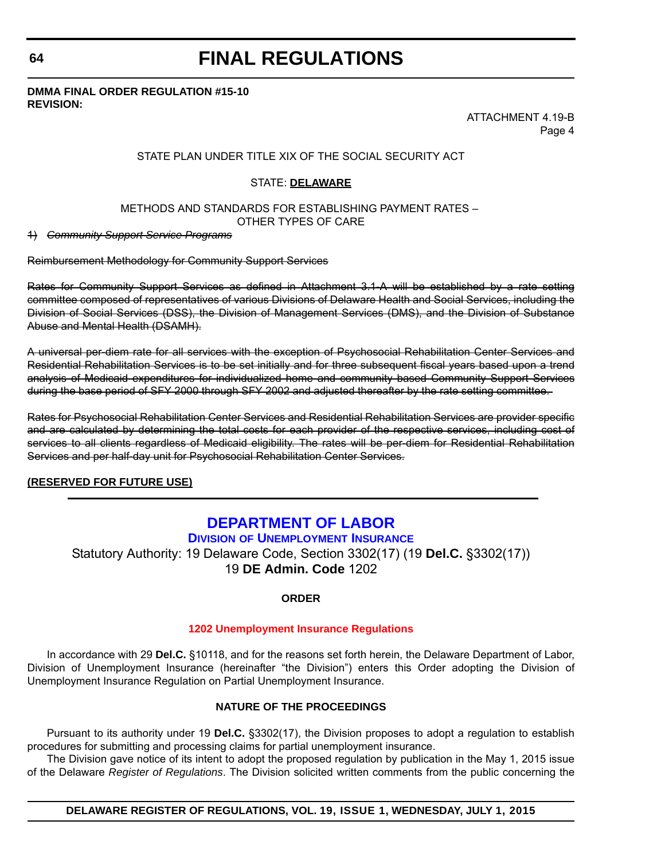## **64**

## **FINAL REGULATIONS**

## **DMMA FINAL ORDER REGULATION #15-10 REVISION:**

ATTACHMENT 4.19-B Page 4

## STATE PLAN UNDER TITLE XIX OF THE SOCIAL SECURITY ACT

## STATE: **DELAWARE**

## METHODS AND STANDARDS FOR ESTABLISHING PAYMENT RATES – OTHER TYPES OF CARE

1) *Community Support Service Programs*

Reimbursement Methodology for Community Support Services

Rates for Community Support Services as defined in Attachment 3.1 A will be established by a rate setting committee composed of representatives of various Divisions of Delaware Health and Social Services, including the Division of Social Services (DSS), the Division of Management Services (DMS), and the Division of Substance Abuse and Mental Health (DSAMH).

A universal per-diem rate for all services with the exception of Psychosocial Rehabilitation Center Services and Residential Rehabilitation Services is to be set initially and for three subsequent fiscal years based upon a trend analysis of Medicaid expenditures for individualized home and community based Community Support Services during the base period of SFY 2000 through SFY 2002 and adjusted thereafter by the rate setting committee.

Rates for Psychosocial Rehabilitation Center Services and Residential Rehabilitation Services are provider specific and are calculated by determining the total costs for each provider of the respective services, including cost of services to all clients regardless of Medicaid eligibility. The rates will be per-diem for Residential Rehabilitation Services and per half-day unit for Psychosocial Rehabilitation Center Services.

## **(RESERVED FOR FUTURE USE)**

## **[DEPARTMENT OF LABOR](http://ui.delawareworks.com/)**

**DIVISION OF UNEMPLOYMENT INSURANCE** Statutory Authority: 19 Delaware Code, Section 3302(17) (19 **Del.C.** §3302(17)) 19 **DE Admin. Code** 1202

## **ORDER**

## **[1202 Unemployment Insurance Regulations](#page-4-0)**

In accordance with 29 **Del.C.** §10118, and for the reasons set forth herein, the Delaware Department of Labor, Division of Unemployment Insurance (hereinafter "the Division") enters this Order adopting the Division of Unemployment Insurance Regulation on Partial Unemployment Insurance.

## **NATURE OF THE PROCEEDINGS**

Pursuant to its authority under 19 **Del.C.** §3302(17), the Division proposes to adopt a regulation to establish procedures for submitting and processing claims for partial unemployment insurance.

The Division gave notice of its intent to adopt the proposed regulation by publication in the May 1, 2015 issue of the Delaware *Register of Regulations*. The Division solicited written comments from the public concerning the

**DELAWARE REGISTER OF REGULATIONS, VOL. 19, ISSUE 1, WEDNESDAY, JULY 1, 2015**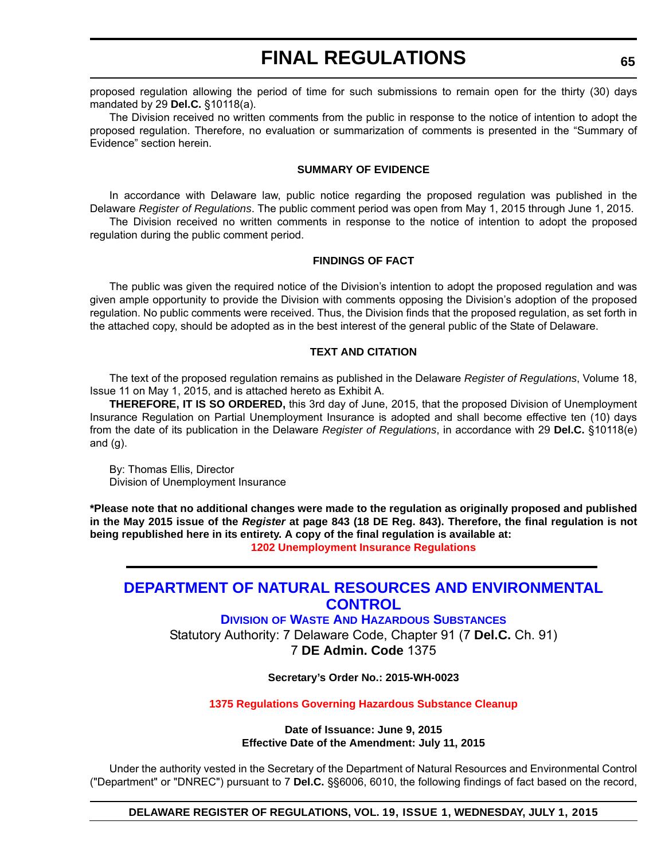proposed regulation allowing the period of time for such submissions to remain open for the thirty (30) days mandated by 29 **Del.C.** §10118(a).

The Division received no written comments from the public in response to the notice of intention to adopt the proposed regulation. Therefore, no evaluation or summarization of comments is presented in the "Summary of Evidence" section herein.

### **SUMMARY OF EVIDENCE**

In accordance with Delaware law, public notice regarding the proposed regulation was published in the Delaware *Register of Regulations*. The public comment period was open from May 1, 2015 through June 1, 2015. The Division received no written comments in response to the notice of intention to adopt the proposed

regulation during the public comment period.

## **FINDINGS OF FACT**

The public was given the required notice of the Division's intention to adopt the proposed regulation and was given ample opportunity to provide the Division with comments opposing the Division's adoption of the proposed regulation. No public comments were received. Thus, the Division finds that the proposed regulation, as set forth in the attached copy, should be adopted as in the best interest of the general public of the State of Delaware.

## **TEXT AND CITATION**

The text of the proposed regulation remains as published in the Delaware *Register of Regulations*, Volume 18, Issue 11 on May 1, 2015, and is attached hereto as Exhibit A.

**THEREFORE, IT IS SO ORDERED,** this 3rd day of June, 2015, that the proposed Division of Unemployment Insurance Regulation on Partial Unemployment Insurance is adopted and shall become effective ten (10) days from the date of its publication in the Delaware *Register of Regulations*, in accordance with 29 **Del.C.** §10118(e) and  $(g)$ .

By: Thomas Ellis, Director Division of Unemployment Insurance

**\*Please note that no additional changes were made to the regulation as originally proposed and published in the May 2015 issue of the** *Register* **at page 843 (18 DE Reg. 843). Therefore, the final regulation is not being republished here in its entirety. A copy of the final regulation is available at: [1202 Unemployment Insurance Regulations](http://regulations.delaware.gov/register/july2015/final/19 DE Reg 64 07-01-15.htm)**

## **[DEPARTMENT OF NATURAL RESOURCES AND ENVIRONMENTAL](http://www.dnrec.delaware.gov/dwhs/Pages/default.aspx)  CONTROL**

**DIVISION OF WASTE AND HAZARDOUS SUBSTANCES**

Statutory Authority: 7 Delaware Code, Chapter 91 (7 **Del.C.** Ch. 91) 7 **DE Admin. Code** 1375

**Secretary's Order No.: 2015-WH-0023**

## **[1375 Regulations Governing Hazardous Substance Cleanup](#page-4-0)**

**Date of Issuance: June 9, 2015 Effective Date of the Amendment: July 11, 2015**

Under the authority vested in the Secretary of the Department of Natural Resources and Environmental Control ("Department" or "DNREC") pursuant to 7 **Del.C.** §§6006, 6010, the following findings of fact based on the record,

**DELAWARE REGISTER OF REGULATIONS, VOL. 19, ISSUE 1, WEDNESDAY, JULY 1, 2015**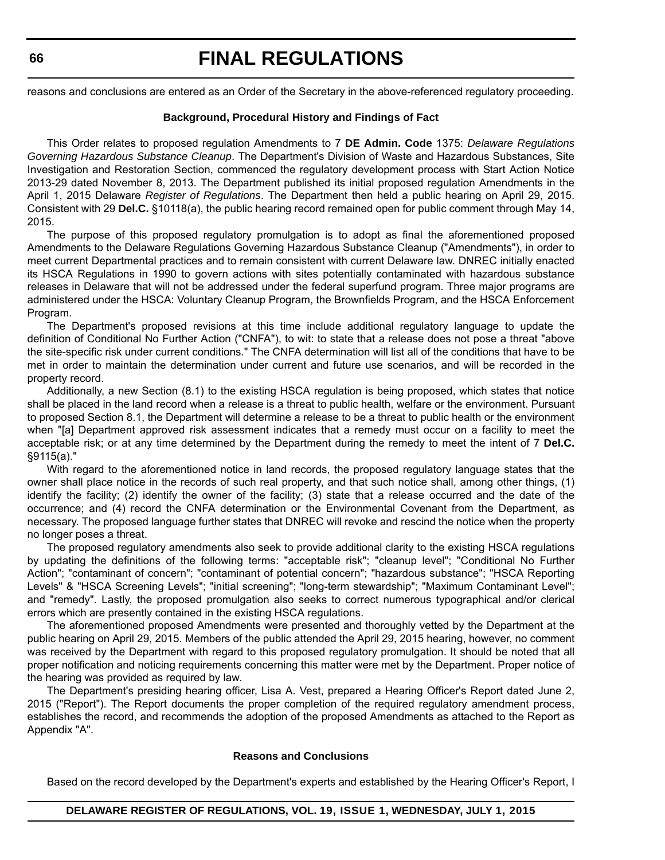reasons and conclusions are entered as an Order of the Secretary in the above-referenced regulatory proceeding.

#### **Background, Procedural History and Findings of Fact**

This Order relates to proposed regulation Amendments to 7 **DE Admin. Code** 1375: *Delaware Regulations Governing Hazardous Substance Cleanup*. The Department's Division of Waste and Hazardous Substances, Site Investigation and Restoration Section, commenced the regulatory development process with Start Action Notice 2013-29 dated November 8, 2013. The Department published its initial proposed regulation Amendments in the April 1, 2015 Delaware *Register of Regulations*. The Department then held a public hearing on April 29, 2015. Consistent with 29 **Del.C.** §10118(a), the public hearing record remained open for public comment through May 14, 2015.

The purpose of this proposed regulatory promulgation is to adopt as final the aforementioned proposed Amendments to the Delaware Regulations Governing Hazardous Substance Cleanup ("Amendments"), in order to meet current Departmental practices and to remain consistent with current Delaware law. DNREC initially enacted its HSCA Regulations in 1990 to govern actions with sites potentially contaminated with hazardous substance releases in Delaware that will not be addressed under the federal superfund program. Three major programs are administered under the HSCA: Voluntary Cleanup Program, the Brownfields Program, and the HSCA Enforcement Program.

The Department's proposed revisions at this time include additional regulatory language to update the definition of Conditional No Further Action ("CNFA"), to wit: to state that a release does not pose a threat "above the site-specific risk under current conditions." The CNFA determination will list all of the conditions that have to be met in order to maintain the determination under current and future use scenarios, and will be recorded in the property record.

Additionally, a new Section (8.1) to the existing HSCA regulation is being proposed, which states that notice shall be placed in the land record when a release is a threat to public health, welfare or the environment. Pursuant to proposed Section 8.1, the Department will determine a release to be a threat to public health or the environment when "[a] Department approved risk assessment indicates that a remedy must occur on a facility to meet the acceptable risk; or at any time determined by the Department during the remedy to meet the intent of 7 **Del.C.** §9115(a)."

With regard to the aforementioned notice in land records, the proposed regulatory language states that the owner shall place notice in the records of such real property, and that such notice shall, among other things, (1) identify the facility; (2) identify the owner of the facility; (3) state that a release occurred and the date of the occurrence; and (4) record the CNFA determination or the Environmental Covenant from the Department, as necessary. The proposed language further states that DNREC will revoke and rescind the notice when the property no longer poses a threat.

The proposed regulatory amendments also seek to provide additional clarity to the existing HSCA regulations by updating the definitions of the following terms: "acceptable risk"; "cleanup level"; "Conditional No Further Action"; "contaminant of concern"; "contaminant of potential concern"; "hazardous substance"; "HSCA Reporting Levels" & "HSCA Screening Levels"; "initial screening"; "long-term stewardship"; "Maximum Contaminant Level"; and "remedy". Lastly, the proposed promulgation also seeks to correct numerous typographical and/or clerical errors which are presently contained in the existing HSCA regulations.

The aforementioned proposed Amendments were presented and thoroughly vetted by the Department at the public hearing on April 29, 2015. Members of the public attended the April 29, 2015 hearing, however, no comment was received by the Department with regard to this proposed regulatory promulgation. It should be noted that all proper notification and noticing requirements concerning this matter were met by the Department. Proper notice of the hearing was provided as required by law.

The Department's presiding hearing officer, Lisa A. Vest, prepared a Hearing Officer's Report dated June 2, 2015 ("Report"). The Report documents the proper completion of the required regulatory amendment process, establishes the record, and recommends the adoption of the proposed Amendments as attached to the Report as Appendix "A".

## **Reasons and Conclusions**

Based on the record developed by the Department's experts and established by the Hearing Officer's Report, I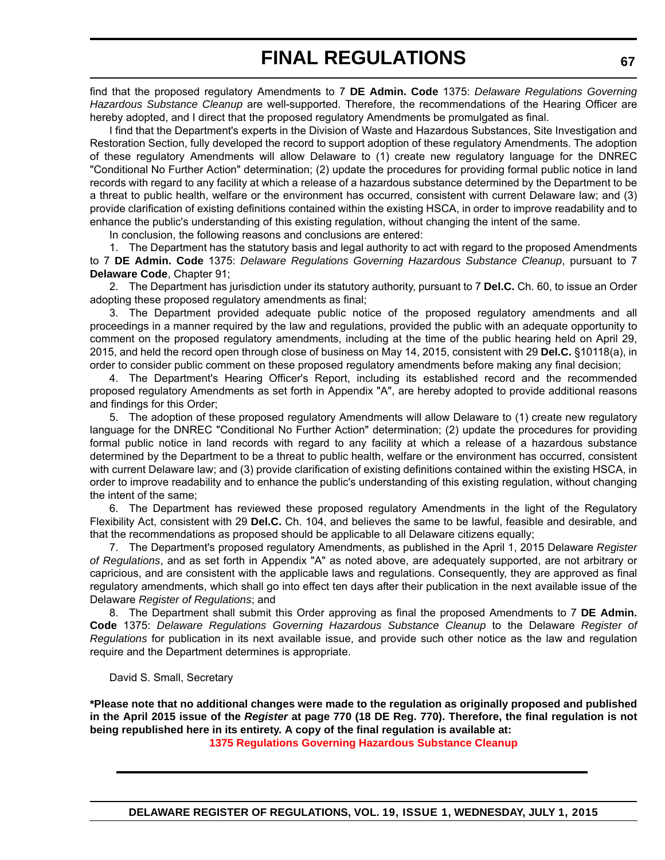find that the proposed regulatory Amendments to 7 **DE Admin. Code** 1375: *Delaware Regulations Governing Hazardous Substance Cleanup* are well-supported. Therefore, the recommendations of the Hearing Officer are hereby adopted, and I direct that the proposed regulatory Amendments be promulgated as final.

I find that the Department's experts in the Division of Waste and Hazardous Substances, Site Investigation and Restoration Section, fully developed the record to support adoption of these regulatory Amendments. The adoption of these regulatory Amendments will allow Delaware to (1) create new regulatory language for the DNREC "Conditional No Further Action" determination; (2) update the procedures for providing formal public notice in land records with regard to any facility at which a release of a hazardous substance determined by the Department to be a threat to public health, welfare or the environment has occurred, consistent with current Delaware law; and (3) provide clarification of existing definitions contained within the existing HSCA, in order to improve readability and to enhance the public's understanding of this existing regulation, without changing the intent of the same.

In conclusion, the following reasons and conclusions are entered:

1. The Department has the statutory basis and legal authority to act with regard to the proposed Amendments to 7 **DE Admin. Code** 1375: *Delaware Regulations Governing Hazardous Substance Cleanup*, pursuant to 7 **Delaware Code**, Chapter 91;

2. The Department has jurisdiction under its statutory authority, pursuant to 7 **Del.C.** Ch. 60, to issue an Order adopting these proposed regulatory amendments as final;

3. The Department provided adequate public notice of the proposed regulatory amendments and all proceedings in a manner required by the law and regulations, provided the public with an adequate opportunity to comment on the proposed regulatory amendments, including at the time of the public hearing held on April 29, 2015, and held the record open through close of business on May 14, 2015, consistent with 29 **Del.C.** §10118(a), in order to consider public comment on these proposed regulatory amendments before making any final decision;

4. The Department's Hearing Officer's Report, including its established record and the recommended proposed regulatory Amendments as set forth in Appendix "A", are hereby adopted to provide additional reasons and findings for this Order;

5. The adoption of these proposed regulatory Amendments will allow Delaware to (1) create new regulatory language for the DNREC "Conditional No Further Action" determination; (2) update the procedures for providing formal public notice in land records with regard to any facility at which a release of a hazardous substance determined by the Department to be a threat to public health, welfare or the environment has occurred, consistent with current Delaware law; and (3) provide clarification of existing definitions contained within the existing HSCA, in order to improve readability and to enhance the public's understanding of this existing regulation, without changing the intent of the same;

6. The Department has reviewed these proposed regulatory Amendments in the light of the Regulatory Flexibility Act, consistent with 29 **Del.C.** Ch. 104, and believes the same to be lawful, feasible and desirable, and that the recommendations as proposed should be applicable to all Delaware citizens equally;

7. The Department's proposed regulatory Amendments, as published in the April 1, 2015 Delaware *Register of Regulations*, and as set forth in Appendix "A" as noted above, are adequately supported, are not arbitrary or capricious, and are consistent with the applicable laws and regulations. Consequently, they are approved as final regulatory amendments, which shall go into effect ten days after their publication in the next available issue of the Delaware *Register of Regulations*; and

8. The Department shall submit this Order approving as final the proposed Amendments to 7 **DE Admin. Code** 1375: *Delaware Regulations Governing Hazardous Substance Cleanup* to the Delaware *Register of Regulations* for publication in its next available issue, and provide such other notice as the law and regulation require and the Department determines is appropriate.

David S. Small, Secretary

**\*Please note that no additional changes were made to the regulation as originally proposed and published in the April 2015 issue of the** *Register* **at page 770 (18 DE Reg. 770). Therefore, the final regulation is not being republished here in its entirety. A copy of the final regulation is available at:**

**[1375 Regulations Governing Hazardous Substance Cleanup](http://regulations.delaware.gov/register/july2015/final/19 DE Reg 65 07-01-15.htm)**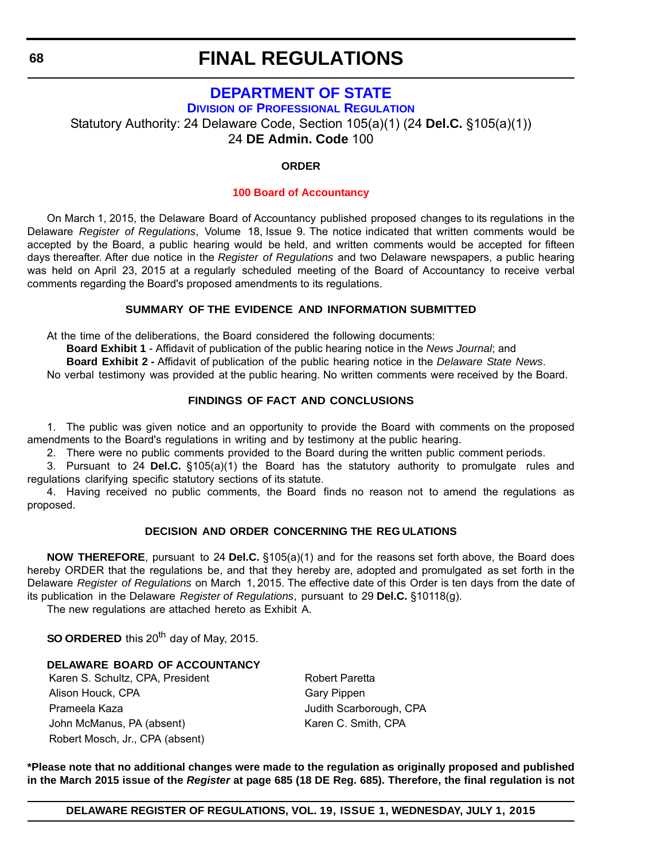## **[DEPARTMENT OF STATE](http://dpr.delaware.gov/)**

**DIVISION OF PROFESSIONAL REGULATION**

Statutory Authority: 24 Delaware Code, Section 105(a)(1) (24 **Del.C.** §105(a)(1))

24 **DE Admin. Code** 100

## **ORDER**

## **[100 Board of Accountancy](#page-4-0)**

On March 1, 2015, the Delaware Board of Accountancy published proposed changes to its regulations in the Delaware *Register of Regulations*, Volume 18, Issue 9. The notice indicated that written comments would be accepted by the Board, a public hearing would be held, and written comments would be accepted for fifteen days thereafter. After due notice in the *Register of Regulations* and two Delaware newspapers, a public hearing was held on April 23, 2015 at a regularly scheduled meeting of the Board of Accountancy to receive verbal comments regarding the Board's proposed amendments to its regulations.

## **SUMMARY OF THE EVIDENCE AND INFORMATION SUBMITTED**

At the time of the deliberations, the Board considered the following documents:

**Board Exhibit 1** - Affidavit of publication of the public hearing notice in the *News Journal*; and

**Board Exhibit 2 -** Affidavit of publication of the public hearing notice in the *Delaware State News*.

No verbal testimony was provided at the public hearing. No written comments were received by the Board.

## **FINDINGS OF FACT AND CONCLUSIONS**

1. The public was given notice and an opportunity to provide the Board with comments on the proposed amendments to the Board's regulations in writing and by testimony at the public hearing.

2. There were no public comments provided to the Board during the written public comment periods.

3. Pursuant to 24 **Del.C.** §105(a)(1) the Board has the statutory authority to promulgate rules and regulations clarifying specific statutory sections of its statute.

4. Having received no public comments, the Board finds no reason not to amend the regulations as proposed.

## **DECISION AND ORDER CONCERNING THE REG ULATIONS**

**NOW THEREFORE**, pursuant to 24 **Del.C.** §105(a)(1) and for the reasons set forth above, the Board does hereby ORDER that the regulations be, and that they hereby are, adopted and promulgated as set forth in the Delaware *Register of Regulations* on March 1, 2015. The effective date of this Order is ten days from the date of its publication in the Delaware *Register of Regulations*, pursuant to 29 **Del.C.** §10118(g).

The new regulations are attached hereto as Exhibit A.

**SO ORDERED** this 20<sup>th</sup> day of May, 2015.

## **DELAWARE BOARD OF ACCOUNTANCY**

Karen S. Schultz, CPA, President Robert Paretta Alison Houck, CPA Gary Pippen Prameela Kaza Judith Scarborough, CPA John McManus, PA (absent) Karen C. Smith, CPA Robert Mosch, Jr., CPA (absent)

**\*Please note that no additional changes were made to the regulation as originally proposed and published in the March 2015 issue of the** *Register* **at page 685 (18 DE Reg. 685). Therefore, the final regulation is not**

**DELAWARE REGISTER OF REGULATIONS, VOL. 19, ISSUE 1, WEDNESDAY, JULY 1, 2015**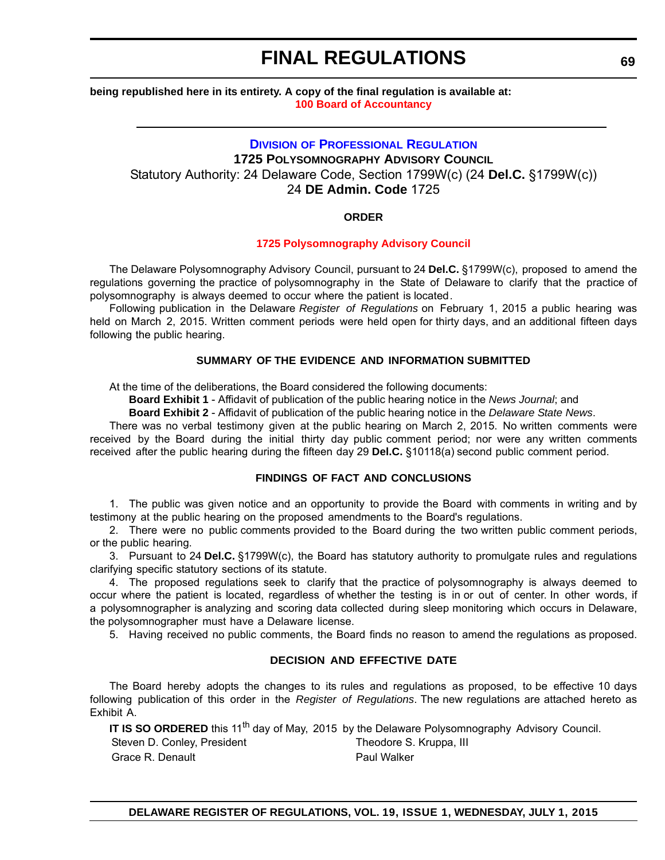## **being republished here in its entirety. A copy of the final regulation is available at: [100 Board of Accountancy](http://regulations.delaware.gov/register/july2015/final/19 DE Reg 68 07-01-15.htm)**

## **DIVISION [OF PROFESSIONAL REGULATION](http://dpr.delaware.gov/) 1725 POLYSOMNOGRAPHY ADVISORY COUNCIL**

Statutory Authority: 24 Delaware Code, Section 1799W(c) (24 **Del.C.** §1799W(c)) 24 **DE Admin. Code** 1725

## **ORDER**

## **[1725 Polysomnography Advisory Council](#page-4-0)**

The Delaware Polysomnography Advisory Council, pursuant to 24 **Del.C.** §1799W(c), proposed to amend the regulations governing the practice of polysomnography in the State of Delaware to clarify that the practice of polysomnography is always deemed to occur where the patient is located.

Following publication in the Delaware *Register of Regulations* on February 1, 2015 a public hearing was held on March 2, 2015. Written comment periods were held open for thirty days, and an additional fifteen days following the public hearing.

## **SUMMARY OF THE EVIDENCE AND INFORMATION SUBMITTED**

At the time of the deliberations, the Board considered the following documents:

**Board Exhibit 1** - Affidavit of publication of the public hearing notice in the *News Journal*; and

**Board Exhibit 2** - Affidavit of publication of the public hearing notice in the *Delaware State News*.

There was no verbal testimony given at the public hearing on March 2, 2015. No written comments were received by the Board during the initial thirty day public comment period; nor were any written comments received after the public hearing during the fifteen day 29 **Del.C.** §10118(a) second public comment period.

## **FINDINGS OF FACT AND CONCLUSIONS**

1. The public was given notice and an opportunity to provide the Board with comments in writing and by testimony at the public hearing on the proposed amendments to the Board's regulations.

2. There were no public comments provided to the Board during the two written public comment periods, or the public hearing.

3. Pursuant to 24 **Del.C.** §1799W(c), the Board has statutory authority to promulgate rules and regulations clarifying specific statutory sections of its statute.

4. The proposed regulations seek to clarify that the practice of polysomnography is always deemed to occur where the patient is located, regardless of whether the testing is in or out of center. In other words, if a polysomnographer is analyzing and scoring data collected during sleep monitoring which occurs in Delaware, the polysomnographer must have a Delaware license.

5. Having received no public comments, the Board finds no reason to amend the regulations as proposed.

## **DECISION AND EFFECTIVE DATE**

The Board hereby adopts the changes to its rules and regulations as proposed, to be effective 10 days following publication of this order in the *Register of Regulations*. The new regulations are attached hereto as Exhibit A.

IT IS SO ORDERED this 11<sup>th</sup> day of May, 2015 by the Delaware Polysomnography Advisory Council. Steven D. Conley, President Theodore S. Kruppa, III Grace R. Denault **Paul Walker**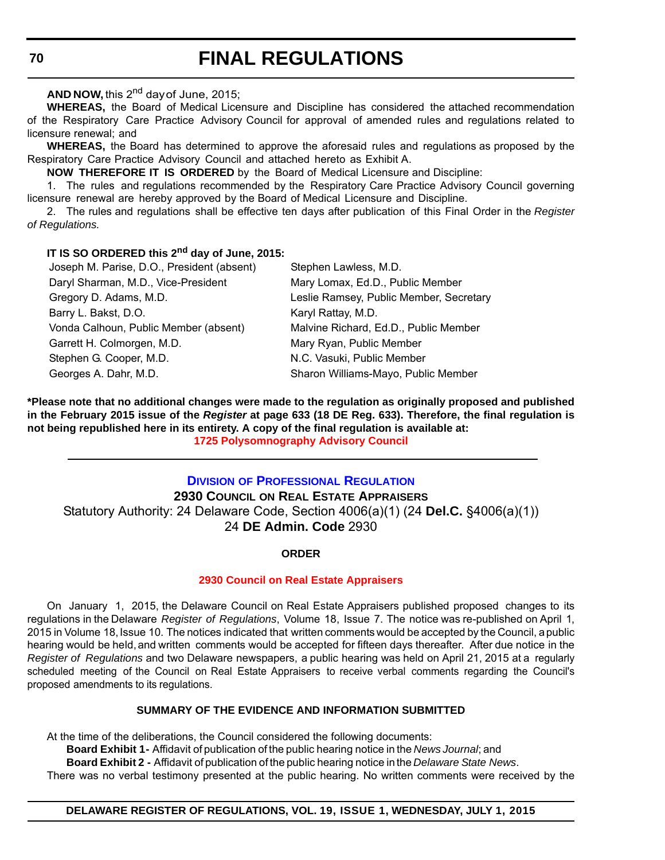**AND NOW,** this 2nd day of June, 2015;

**WHEREAS,** the Board of Medical Licensure and Discipline has considered the attached recommendation of the Respiratory Care Practice Advisory Council for approval of amended rules and regulations related to licensure renewal; and

**WHEREAS,** the Board has determined to approve the aforesaid rules and regulations as proposed by the Respiratory Care Practice Advisory Council and attached hereto as Exhibit A.

**NOW THEREFORE IT IS ORDERED** by the Board of Medical Licensure and Discipline:

1. The rules and regulations recommended by the Respiratory Care Practice Advisory Council governing licensure renewal are hereby approved by the Board of Medical Licensure and Discipline.

2. The rules and regulations shall be effective ten days after publication of this Final Order in the *Register of Regulations.*

## **IT IS SO ORDERED this 2nd day of June, 2015:**

| Joseph M. Parise, D.O., President (absent) | Stephen Lawless, M.D.                   |
|--------------------------------------------|-----------------------------------------|
| Daryl Sharman, M.D., Vice-President        | Mary Lomax, Ed.D., Public Member        |
| Gregory D. Adams, M.D.                     | Leslie Ramsey, Public Member, Secretary |
| Barry L. Bakst, D.O.                       | Karyl Rattay, M.D.                      |
| Vonda Calhoun, Public Member (absent)      | Malvine Richard, Ed.D., Public Member   |
| Garrett H. Colmorgen, M.D.                 | Mary Ryan, Public Member                |
| Stephen G. Cooper, M.D.                    | N.C. Vasuki, Public Member              |
| Georges A. Dahr, M.D.                      | Sharon Williams-Mayo, Public Member     |

**\*Please note that no additional changes were made to the regulation as originally proposed and published in the February 2015 issue of the** *Register* **at page 633 (18 DE Reg. 633). Therefore, the final regulation is not being republished here in its entirety. A copy of the final regulation is available at: [1725 Polysomnography Advisory Council](http://regulations.delaware.gov/register/july2015/final/19 DE Reg 69 07-01-15.htm)**

## **DIVISION [OF PROFESSIONAL REGULATION](http://dpr.delaware.gov/)**

**2930 COUNCIL ON REAL ESTATE APPRAISERS** Statutory Authority: 24 Delaware Code, Section 4006(a)(1) (24 **Del.C.** §4006(a)(1)) 24 **DE Admin. Code** 2930

## **ORDER**

## **[2930 Council on Real Estate Appraisers](#page-4-0)**

On January 1, 2015, the Delaware Council on Real Estate Appraisers published proposed changes to its regulations in the Delaware *Register of Regulations*, Volume 18, Issue 7. The notice was re-published on April 1, 2015 in Volume 18, Issue 10. The notices indicated that written comments would be accepted by the Council, a public hearing would be held, and written comments would be accepted for fifteen days thereafter. After due notice in the *Register of Regulations* and two Delaware newspapers, a public hearing was held on April 21, 2015 at a regularly scheduled meeting of the Council on Real Estate Appraisers to receive verbal comments regarding the Council's proposed amendments to its regulations.

## **SUMMARY OF THE EVIDENCE AND INFORMATION SUBMITTED**

At the time of the deliberations, the Council considered the following documents:

**Board Exhibit 1 -** Affidavit of publication of the public hearing notice in the *News Journal*; and

**Board Exhibit 2 -** Affidavit of publication of the public hearing notice in the *Delaware State News*.

There was no verbal testimony presented at the public hearing. No written comments were received by the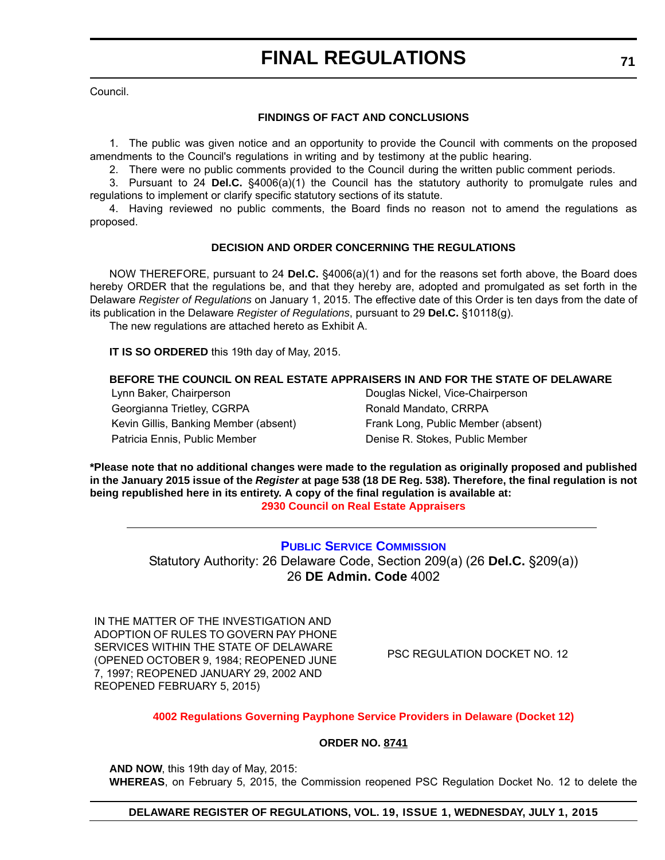Council.

## **FINDINGS OF FACT AND CONCLUSIONS**

1. The public was given notice and an opportunity to provide the Council with comments on the proposed amendments to the Council's regulations in writing and by testimony at the public hearing.

2. There were no public comments provided to the Council during the written public comment periods.

3. Pursuant to 24 **Del.C.** §4006(a)(1) the Council has the statutory authority to promulgate rules and regulations to implement or clarify specific statutory sections of its statute.

4. Having reviewed no public comments, the Board finds no reason not to amend the regulations as proposed.

## **DECISION AND ORDER CONCERNING THE REGULATIONS**

NOW THEREFORE, pursuant to 24 **Del.C.** §4006(a)(1) and for the reasons set forth above, the Board does hereby ORDER that the regulations be, and that they hereby are, adopted and promulgated as set forth in the Delaware *Register of Regulations* on January 1, 2015. The effective date of this Order is ten days from the date of its publication in the Delaware *Register of Regulations*, pursuant to 29 **Del.C.** §10118(g).

The new regulations are attached hereto as Exhibit A.

**IT IS SO ORDERED** this 19th day of May, 2015.

## **BEFORE THE COUNCIL ON REAL ESTATE APPRAISERS IN AND FOR THE STATE OF DELAWARE**

Lynn Baker, Chairperson Douglas Nickel, Vice-Chairperson Georgianna Trietley, CGRPA Ronald Mandato, CRRPA Kevin Gillis, Banking Member (absent) Frank Long, Public Member (absent) Patricia Ennis, Public Member Denise R. Stokes, Public Member

**\*Please note that no additional changes were made to the regulation as originally proposed and published in the January 2015 issue of the** *Register* **at page 538 (18 DE Reg. 538). Therefore, the final regulation is not being republished here in its entirety. A copy of the final regulation is available at: [2930 Council on Real Estate Appraisers](http://regulations.delaware.gov/register/july2015/final/19 DE Reg 70 07-01-15.htm)**

> **[PUBLIC SERVICE COMMISSION](http://depsc.delaware.gov/)** Statutory Authority: 26 Delaware Code, Section 209(a) (26 **Del.C.** §209(a)) 26 **DE Admin. Code** 4002

IN THE MATTER OF THE INVESTIGATION AND ADOPTION OF RULES TO GOVERN PAY PHONE SERVICES WITHIN THE STATE OF DELAWARE (OPENED OCTOBER 9, 1984; REOPENED JUNE 7, 1997; REOPENED JANUARY 29, 2002 AND REOPENED FEBRUARY 5, 2015)

PSC REGULATION DOCKET NO. 12

### **[4002 Regulations Governing Payphone Service Providers in Delaware \(Docket 12\)](#page-4-0)**

### **ORDER NO. 8741**

**AND NOW**, this 19th day of May, 2015: **WHEREAS**, on February 5, 2015, the Commission reopened PSC Regulation Docket No. 12 to delete the

## **DELAWARE REGISTER OF REGULATIONS, VOL. 19, ISSUE 1, WEDNESDAY, JULY 1, 2015**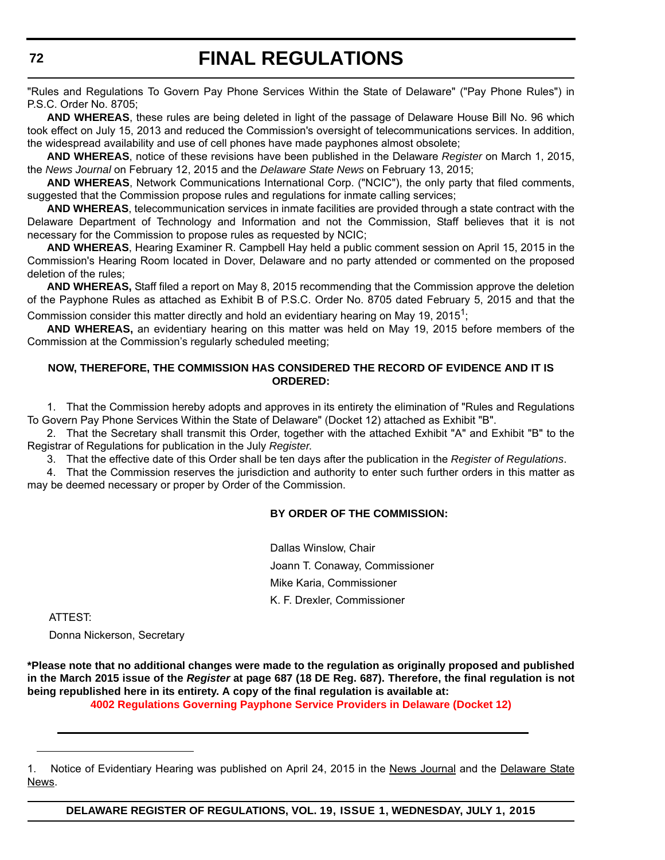"Rules and Regulations To Govern Pay Phone Services Within the State of Delaware" ("Pay Phone Rules") in P.S.C. Order No. 8705;

**AND WHEREAS**, these rules are being deleted in light of the passage of Delaware House Bill No. 96 which took effect on July 15, 2013 and reduced the Commission's oversight of telecommunications services. In addition, the widespread availability and use of cell phones have made payphones almost obsolete;

**AND WHEREAS**, notice of these revisions have been published in the Delaware *Register* on March 1, 2015, the *News Journal* on February 12, 2015 and the *Delaware State News* on February 13, 2015;

**AND WHEREAS**, Network Communications International Corp. ("NCIC"), the only party that filed comments, suggested that the Commission propose rules and regulations for inmate calling services;

**AND WHEREAS**, telecommunication services in inmate facilities are provided through a state contract with the Delaware Department of Technology and Information and not the Commission, Staff believes that it is not necessary for the Commission to propose rules as requested by NCIC;

**AND WHEREAS**, Hearing Examiner R. Campbell Hay held a public comment session on April 15, 2015 in the Commission's Hearing Room located in Dover, Delaware and no party attended or commented on the proposed deletion of the rules;

**AND WHEREAS,** Staff filed a report on May 8, 2015 recommending that the Commission approve the deletion of the Payphone Rules as attached as Exhibit B of P.S.C. Order No. 8705 dated February 5, 2015 and that the Commission consider this matter directly and hold an evidentiary hearing on May 19, 2015<sup>1</sup>;

**AND WHEREAS,** an evidentiary hearing on this matter was held on May 19, 2015 before members of the Commission at the Commission's regularly scheduled meeting;

## **NOW, THEREFORE, THE COMMISSION HAS CONSIDERED THE RECORD OF EVIDENCE AND IT IS ORDERED:**

1. That the Commission hereby adopts and approves in its entirety the elimination of "Rules and Regulations To Govern Pay Phone Services Within the State of Delaware" (Docket 12) attached as Exhibit "B".

2. That the Secretary shall transmit this Order, together with the attached Exhibit "A" and Exhibit "B" to the Registrar of Regulations for publication in the July *Register*.

3. That the effective date of this Order shall be ten days after the publication in the *Register of Regulations*.

4. That the Commission reserves the jurisdiction and authority to enter such further orders in this matter as may be deemed necessary or proper by Order of the Commission.

## **BY ORDER OF THE COMMISSION:**

Dallas Winslow, Chair Joann T. Conaway, Commissioner Mike Karia, Commissioner K. F. Drexler, Commissioner

ATTEST:

Donna Nickerson, Secretary

**\*Please note that no additional changes were made to the regulation as originally proposed and published in the March 2015 issue of the** *Register* **at page 687 (18 DE Reg. 687). Therefore, the final regulation is not being republished here in its entirety. A copy of the final regulation is available at: [4002 Regulations Governing Payphone Service Providers in Delaware \(Docket 12\)](http://regulations.delaware.gov/register/july2015/final/19 DE Reg 71 07-01-15.htm)**

<sup>1.</sup> Notice of Evidentiary Hearing was published on April 24, 2015 in the News Journal and the Delaware State News.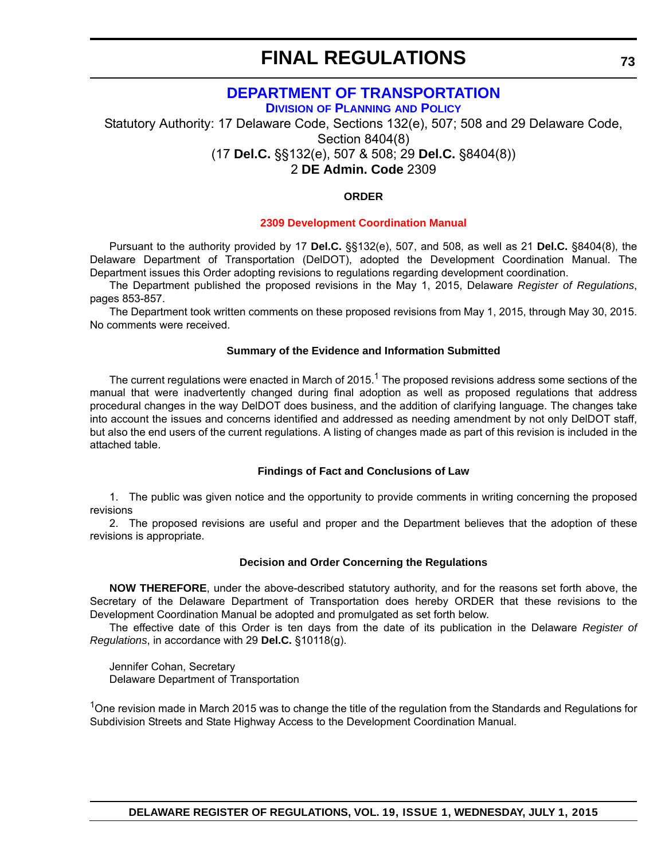## **[DEPARTMENT OF TRANSPORTATION](http://www.deldot.gov/home/divisions/)**

**DIVISION OF PLANNING AND POLICY**

Statutory Authority: 17 Delaware Code, Sections 132(e), 507; 508 and 29 Delaware Code, Section 8404(8)

(17 **Del.C.** §§132(e), 507 & 508; 29 **Del.C.** §8404(8))

2 **DE Admin. Code** 2309

## **ORDER**

## **[2309 Development Coordination Manual](#page-4-0)**

Pursuant to the authority provided by 17 **Del.C.** §§132(e), 507, and 508, as well as 21 **Del.C.** §8404(8), the Delaware Department of Transportation (DelDOT), adopted the Development Coordination Manual. The Department issues this Order adopting revisions to regulations regarding development coordination.

The Department published the proposed revisions in the May 1, 2015, Delaware *Register of Regulations*, pages 853-857.

The Department took written comments on these proposed revisions from May 1, 2015, through May 30, 2015. No comments were received.

## **Summary of the Evidence and Information Submitted**

The current regulations were enacted in March of 2015.<sup>1</sup> The proposed revisions address some sections of the manual that were inadvertently changed during final adoption as well as proposed regulations that address procedural changes in the way DelDOT does business, and the addition of clarifying language. The changes take into account the issues and concerns identified and addressed as needing amendment by not only DelDOT staff, but also the end users of the current regulations. A listing of changes made as part of this revision is included in the attached table.

#### **Findings of Fact and Conclusions of Law**

1. The public was given notice and the opportunity to provide comments in writing concerning the proposed revisions

2. The proposed revisions are useful and proper and the Department believes that the adoption of these revisions is appropriate.

#### **Decision and Order Concerning the Regulations**

**NOW THEREFORE**, under the above-described statutory authority, and for the reasons set forth above, the Secretary of the Delaware Department of Transportation does hereby ORDER that these revisions to the Development Coordination Manual be adopted and promulgated as set forth below.

The effective date of this Order is ten days from the date of its publication in the Delaware *Register of Regulations*, in accordance with 29 **Del.C.** §10118(g).

Jennifer Cohan, Secretary Delaware Department of Transportation

<sup>1</sup>One revision made in March 2015 was to change the title of the regulation from the Standards and Regulations for Subdivision Streets and State Highway Access to the Development Coordination Manual.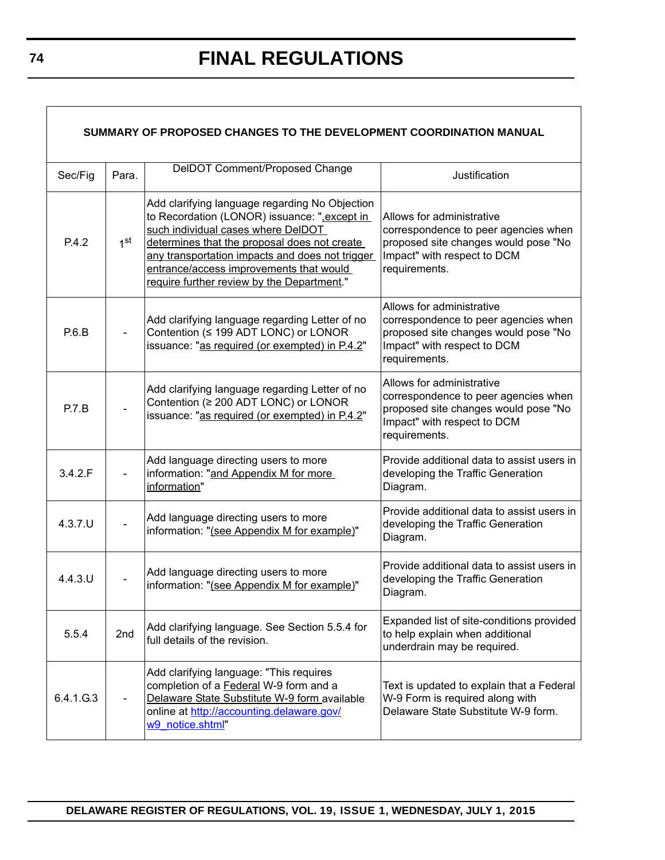| SUMMARY OF PROPOSED CHANGES TO THE DEVELOPMENT COORDINATION MANUAL |                 |                                                                                                                                                                                                                                                                                                                                  |                                                                                                                                                           |  |
|--------------------------------------------------------------------|-----------------|----------------------------------------------------------------------------------------------------------------------------------------------------------------------------------------------------------------------------------------------------------------------------------------------------------------------------------|-----------------------------------------------------------------------------------------------------------------------------------------------------------|--|
| Sec/Fig                                                            | Para.           | DelDOT Comment/Proposed Change                                                                                                                                                                                                                                                                                                   | Justification                                                                                                                                             |  |
| P.4.2                                                              | 1 <sup>st</sup> | Add clarifying language regarding No Objection<br>to Recordation (LONOR) issuance: ",except in<br>such individual cases where DelDOT<br>determines that the proposal does not create<br>any transportation impacts and does not trigger<br>entrance/access improvements that would<br>require further review by the Department." | Allows for administrative<br>correspondence to peer agencies when<br>proposed site changes would pose "No<br>Impact" with respect to DCM<br>requirements. |  |
| P.6.B                                                              |                 | Add clarifying language regarding Letter of no<br>Contention (≤ 199 ADT LONC) or LONOR<br>issuance: "as required (or exempted) in P.4.2"                                                                                                                                                                                         | Allows for administrative<br>correspondence to peer agencies when<br>proposed site changes would pose "No<br>Impact" with respect to DCM<br>requirements. |  |
| P.7.B                                                              |                 | Add clarifying language regarding Letter of no<br>Contention (≥ 200 ADT LONC) or LONOR<br>issuance: "as required (or exempted) in P.4.2"                                                                                                                                                                                         | Allows for administrative<br>correspondence to peer agencies when<br>proposed site changes would pose "No<br>Impact" with respect to DCM<br>requirements. |  |
| 3.4.2.F                                                            |                 | Add language directing users to more<br>information: "and Appendix M for more<br>information"                                                                                                                                                                                                                                    | Provide additional data to assist users in<br>developing the Traffic Generation<br>Diagram.                                                               |  |
| $4.3.7.$ U                                                         |                 | Add language directing users to more<br>information: "(see Appendix M for example)"                                                                                                                                                                                                                                              | Provide additional data to assist users in<br>developing the Traffic Generation<br>Diagram.                                                               |  |
| $4.4.3.$ U                                                         |                 | Add language directing users to more<br>information: "(see Appendix M for example)"                                                                                                                                                                                                                                              | Provide additional data to assist users in<br>developing the Traffic Generation<br>Diagram.                                                               |  |
| 5.5.4                                                              | 2nd             | Add clarifying language. See Section 5.5.4 for<br>full details of the revision.                                                                                                                                                                                                                                                  | Expanded list of site-conditions provided<br>to help explain when additional<br>underdrain may be required.                                               |  |
| 6.4.1.G.3                                                          |                 | Add clarifying language: "This requires<br>completion of a Federal W-9 form and a<br>Delaware State Substitute W-9 form available<br>online at http://accounting.delaware.gov/<br>w9 notice.shtml"                                                                                                                               | Text is updated to explain that a Federal<br>W-9 Form is required along with<br>Delaware State Substitute W-9 form.                                       |  |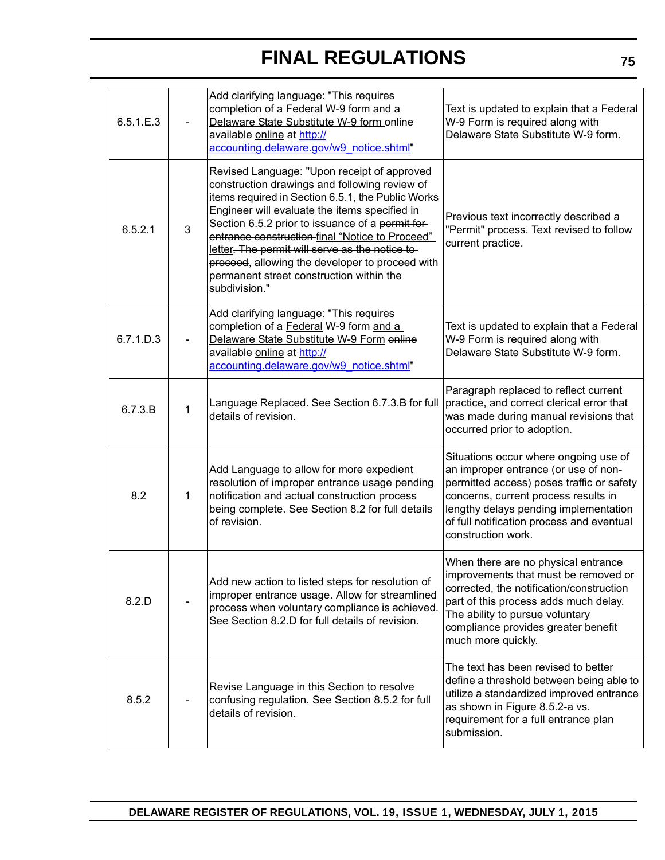| 6.5.1.E.3 |              | Add clarifying language: "This requires<br>completion of a Federal W-9 form and a<br>Delaware State Substitute W-9 form online<br>available online at http://<br>accounting.delaware.gov/w9 notice.shtml"                                                                                                                                                                                                                                                                    | Text is updated to explain that a Federal<br>W-9 Form is required along with<br>Delaware State Substitute W-9 form.                                                                                                                                                            |
|-----------|--------------|------------------------------------------------------------------------------------------------------------------------------------------------------------------------------------------------------------------------------------------------------------------------------------------------------------------------------------------------------------------------------------------------------------------------------------------------------------------------------|--------------------------------------------------------------------------------------------------------------------------------------------------------------------------------------------------------------------------------------------------------------------------------|
| 6.5.2.1   | 3            | Revised Language: "Upon receipt of approved<br>construction drawings and following review of<br>items required in Section 6.5.1, the Public Works<br>Engineer will evaluate the items specified in<br>Section 6.5.2 prior to issuance of a permit for-<br>entrance construction-final "Notice to Proceed"<br>letter. The permit will serve as the notice to-<br>proceed, allowing the developer to proceed with<br>permanent street construction within the<br>subdivision." | Previous text incorrectly described a<br>"Permit" process. Text revised to follow<br>current practice.                                                                                                                                                                         |
| 6.7.1.D.3 |              | Add clarifying language: "This requires<br>completion of a Federal W-9 form and a<br>Delaware State Substitute W-9 Form enline<br>available online at http://<br>accounting.delaware.gov/w9 notice.shtml"                                                                                                                                                                                                                                                                    | Text is updated to explain that a Federal<br>W-9 Form is required along with<br>Delaware State Substitute W-9 form.                                                                                                                                                            |
| 6.7.3.B   | 1            | Language Replaced. See Section 6.7.3.B for full<br>details of revision.                                                                                                                                                                                                                                                                                                                                                                                                      | Paragraph replaced to reflect current<br>practice, and correct clerical error that<br>was made during manual revisions that<br>occurred prior to adoption.                                                                                                                     |
| 8.2       | $\mathbf{1}$ | Add Language to allow for more expedient<br>resolution of improper entrance usage pending<br>notification and actual construction process<br>being complete. See Section 8.2 for full details<br>of revision.                                                                                                                                                                                                                                                                | Situations occur where ongoing use of<br>an improper entrance (or use of non-<br>permitted access) poses traffic or safety<br>concerns, current process results in<br>lengthy delays pending implementation<br>of full notification process and eventual<br>construction work. |
| 8.2.D     |              | Add new action to listed steps for resolution of<br>improper entrance usage. Allow for streamlined<br>process when voluntary compliance is achieved.<br>See Section 8.2.D for full details of revision.                                                                                                                                                                                                                                                                      | When there are no physical entrance<br>improvements that must be removed or<br>corrected, the notification/construction<br>part of this process adds much delay.<br>The ability to pursue voluntary<br>compliance provides greater benefit<br>much more quickly.               |
| 8.5.2     |              | Revise Language in this Section to resolve<br>confusing regulation. See Section 8.5.2 for full<br>details of revision.                                                                                                                                                                                                                                                                                                                                                       | The text has been revised to better<br>define a threshold between being able to<br>utilize a standardized improved entrance<br>as shown in Figure 8.5.2-a vs.<br>requirement for a full entrance plan<br>submission.                                                           |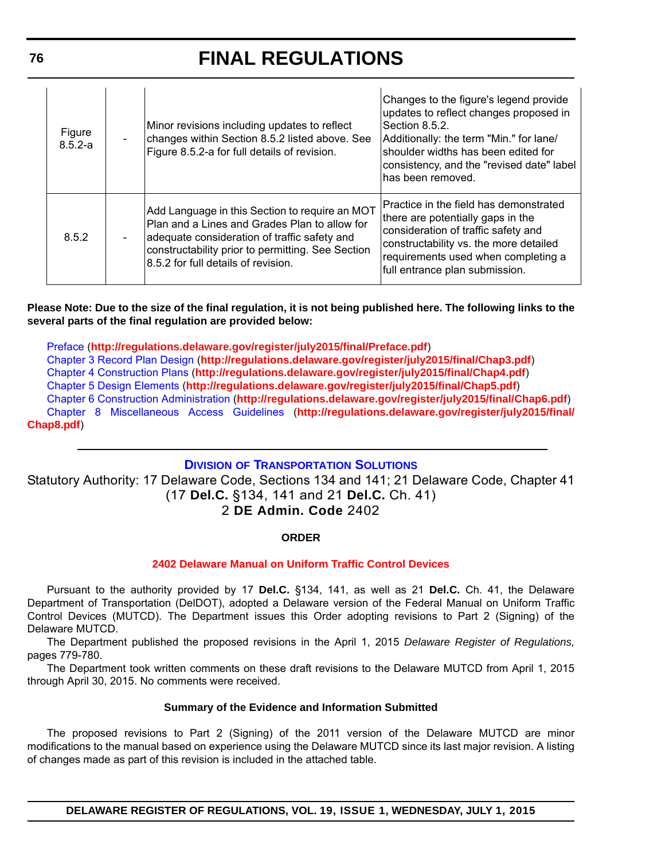| Figure<br>$8.5.2 - a$ |                                                                                                                                                                                                                                             | Minor revisions including updates to reflect<br>changes within Section 8.5.2 listed above. See<br>Figure 8.5.2-a for full details of revision. | Changes to the figure's legend provide<br>updates to reflect changes proposed in<br>Section 8.5.2.<br>Additionally: the term "Min." for lane/<br>shoulder widths has been edited for<br>consistency, and the "revised date" label<br>Ihas been removed. |
|-----------------------|---------------------------------------------------------------------------------------------------------------------------------------------------------------------------------------------------------------------------------------------|------------------------------------------------------------------------------------------------------------------------------------------------|---------------------------------------------------------------------------------------------------------------------------------------------------------------------------------------------------------------------------------------------------------|
| 8.5.2                 | Add Language in this Section to require an MOT<br>Plan and a Lines and Grades Plan to allow for<br>adequate consideration of traffic safety and<br>constructability prior to permitting. See Section<br>8.5.2 for full details of revision. |                                                                                                                                                | IPractice in the field has demonstrated<br>there are potentially gaps in the<br>consideration of traffic safety and<br>constructability vs. the more detailed<br>requirements used when completing a<br>full entrance plan submission.                  |

**Please Note: Due to the size of the final regulation, it is not being published here. The following links to the several parts of the final regulation are provided below:**

[Preface](http://regulations.delaware.gov/register/july2015/final/Preface.pdf) (**http://regulations.delaware.gov/register/july2015/final/Preface.pdf**) [Chapter 3 Record Plan Design](http://regulations.delaware.gov/register/july2015/final/Chap3.pdf) (**http://regulations.delaware.gov/register/july2015/final/Chap3.pdf**) [Chapter 4 Construction Plans](http://regulations.delaware.gov/register/july2015/final/Chap4.pdf) (**http://regulations.delaware.gov/register/july2015/final/Chap4.pdf**) [Chapter 5 Design Elements](http://regulations.delaware.gov/register/july2015/final/Chap5.pdf) (**http://regulations.delaware.gov/register/july2015/final/Chap5.pdf**) [Chapter 6 Construction Administration](http://regulations.delaware.gov/register/july2015/final/Chap6.pdf) (**http://regulations.delaware.gov/register/july2015/final/Chap6.pdf**) [Chapter 8 Miscellaneous Access Guidelines](http://regulations.delaware.gov/register/july2015/final/Chap8.pdf) (**http://regulations.delaware.gov/register/july2015/final/ Chap8.pdf**)

## **DIVISION [OF TRANSPORTATION SOLUTIONS](http://www.deldot.gov/home/divisions/)**

Statutory Authority: 17 Delaware Code, Sections 134 and 141; 21 Delaware Code, Chapter 41 (17 **Del.C.** §134, 141 and 21 **Del.C.** Ch. 41) 2 **DE Admin. Code** 2402

## **ORDER**

## **[2402 Delaware Manual on Uniform Traffic Control Devices](#page-4-0)**

Pursuant to the authority provided by 17 **Del.C.** §134, 141, as well as 21 **Del.C.** Ch. 41, the Delaware Department of Transportation (DelDOT), adopted a Delaware version of the Federal Manual on Uniform Traffic Control Devices (MUTCD). The Department issues this Order adopting revisions to Part 2 (Signing) of the Delaware MUTCD.

The Department published the proposed revisions in the April 1, 2015 *Delaware Register of Regulations,* pages 779-780.

The Department took written comments on these draft revisions to the Delaware MUTCD from April 1, 2015 through April 30, 2015. No comments were received.

## **Summary of the Evidence and Information Submitted**

The proposed revisions to Part 2 (Signing) of the 2011 version of the Delaware MUTCD are minor modifications to the manual based on experience using the Delaware MUTCD since its last major revision. A listing of changes made as part of this revision is included in the attached table.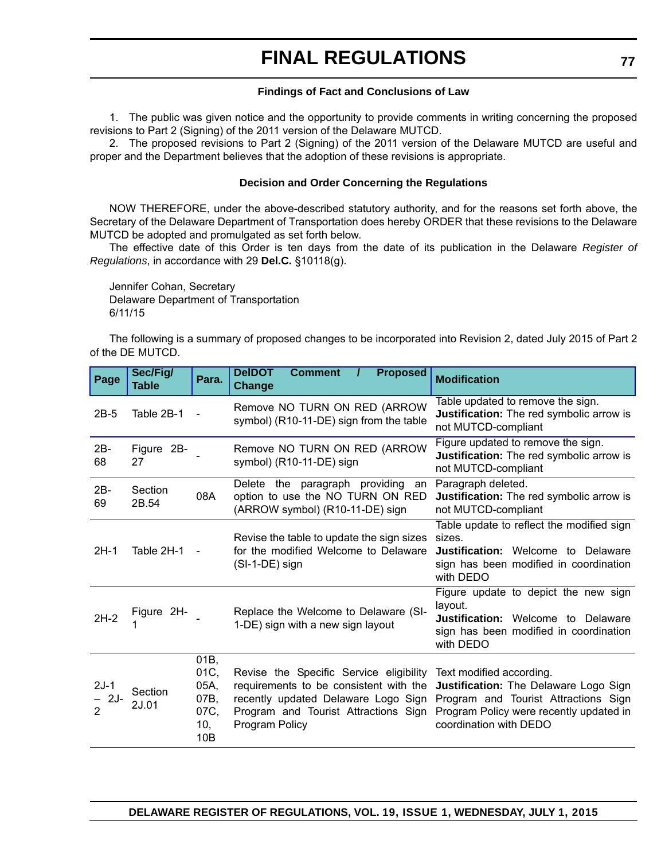## **Findings of Fact and Conclusions of Law**

1. The public was given notice and the opportunity to provide comments in writing concerning the proposed revisions to Part 2 (Signing) of the 2011 version of the Delaware MUTCD.

2. The proposed revisions to Part 2 (Signing) of the 2011 version of the Delaware MUTCD are useful and proper and the Department believes that the adoption of these revisions is appropriate.

## **Decision and Order Concerning the Regulations**

NOW THEREFORE, under the above-described statutory authority, and for the reasons set forth above, the Secretary of the Delaware Department of Transportation does hereby ORDER that these revisions to the Delaware MUTCD be adopted and promulgated as set forth below.

The effective date of this Order is ten days from the date of its publication in the Delaware *Register of Regulations*, in accordance with 29 **Del.C.** §10118(g).

Jennifer Cohan, Secretary Delaware Department of Transportation 6/11/15

The following is a summary of proposed changes to be incorporated into Revision 2, dated July 2015 of Part 2 of the DE MUTCD.

| Page                            | Sec/Fig/<br><b>Table</b> | Para.                                              | <b>DeIDOT</b><br><b>Comment</b><br><b>Proposed</b><br><b>Change</b>                                         | <b>Modification</b>                                                                                                                                                                                                                                                |
|---------------------------------|--------------------------|----------------------------------------------------|-------------------------------------------------------------------------------------------------------------|--------------------------------------------------------------------------------------------------------------------------------------------------------------------------------------------------------------------------------------------------------------------|
| $2B-5$                          | Table 2B-1               |                                                    | Remove NO TURN ON RED (ARROW<br>symbol) (R10-11-DE) sign from the table                                     | Table updated to remove the sign.<br>Justification: The red symbolic arrow is<br>not MUTCD-compliant                                                                                                                                                               |
| 2B-<br>68                       | Figure 2B-<br>27         |                                                    | Remove NO TURN ON RED (ARROW<br>symbol) (R10-11-DE) sign                                                    | Figure updated to remove the sign.<br>Justification: The red symbolic arrow is<br>not MUTCD-compliant                                                                                                                                                              |
| 2B-<br>69                       | Section<br>2B.54         | 08A                                                | Delete the paragraph providing<br>an<br>option to use the NO TURN ON RED<br>(ARROW symbol) (R10-11-DE) sign | Paragraph deleted.<br>Justification: The red symbolic arrow is<br>not MUTCD-compliant                                                                                                                                                                              |
| $2H-1$                          | Table 2H-1               |                                                    | Revise the table to update the sign sizes<br>for the modified Welcome to Delaware<br>$(SI-1-DE)$ sign       | Table update to reflect the modified sign<br>sizes.<br>Justification: Welcome to Delaware<br>sign has been modified in coordination<br>with DEDO                                                                                                                   |
| $2H-2$                          | Figure 2H-               |                                                    | Replace the Welcome to Delaware (SI-<br>1-DE) sign with a new sign layout                                   | Figure update to depict the new sign<br>layout.<br><b>Justification:</b> Welcome to Delaware<br>sign has been modified in coordination<br>with DEDO                                                                                                                |
| $2J-1$<br>2J-<br>$\overline{2}$ | Section<br>2J.01         | 01B,<br>01C,<br>05A,<br>07B,<br>07C,<br>10,<br>10B | Revise the Specific Service eligibility Text modified according.<br>Program Policy                          | requirements to be consistent with the Justification: The Delaware Logo Sign<br>recently updated Delaware Logo Sign Program and Tourist Attractions Sign<br>Program and Tourist Attractions Sign Program Policy were recently updated in<br>coordination with DEDO |

**DELAWARE REGISTER OF REGULATIONS, VOL. 19, ISSUE 1, WEDNESDAY, JULY 1, 2015**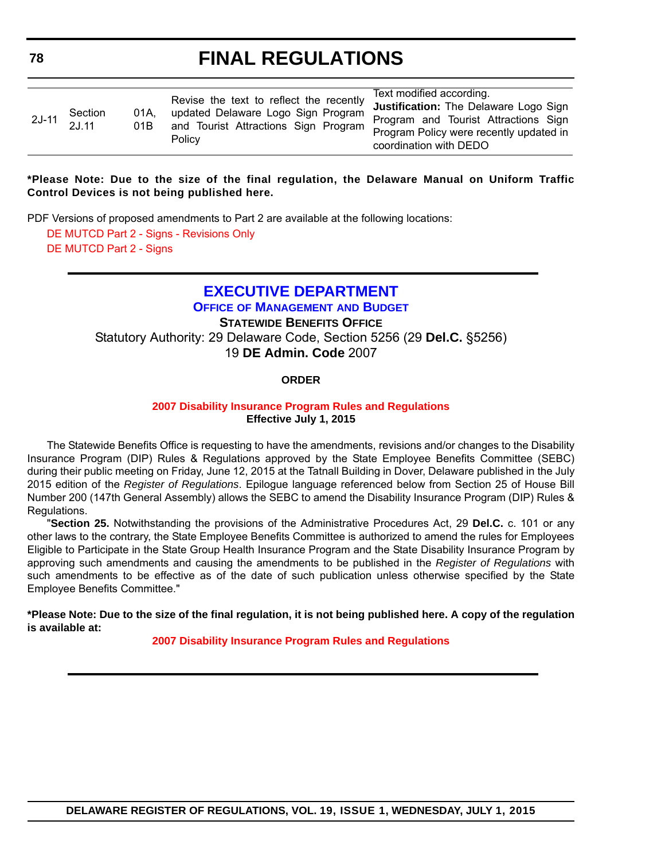|  | 2J-11 Section<br>2J.11 | 01A.<br>01B | Revise the text to reflect the recently<br>updated Delaware Logo Sign Program<br>and Tourist Attractions Sign Program<br>Policy | Text modified according.                |
|--|------------------------|-------------|---------------------------------------------------------------------------------------------------------------------------------|-----------------------------------------|
|  |                        |             |                                                                                                                                 | Justification: The Delaware Logo Sign   |
|  |                        |             |                                                                                                                                 | Program and Tourist Attractions Sign    |
|  |                        |             |                                                                                                                                 | Program Policy were recently updated in |
|  |                        |             |                                                                                                                                 | coordination with DEDO                  |

## **\*Please Note: Due to the size of the final regulation, the Delaware Manual on Uniform Traffic Control Devices is not being published here.**

PDF Versions of proposed amendments to Part 2 are available at the following locations:

[DE MUTCD Part 2 - Signs - Revisions Only](http://regulations.delaware.gov/register/july2015/final/MUTCDPart2SignsRevisions.pdf) [DE MUTCD Part 2 - Signs](http://regulations.delaware.gov/register/july2015/final/MUTCDPart2Signs.pdf)

## **[EXECUTIVE DEPARTMENT](http://omb.delaware.gov/) OFFICE OF MANAGEMENT AND BUDGET**

**STATEWIDE BENEFITS OFFICE** Statutory Authority: 29 Delaware Code, Section 5256 (29 **Del.C.** §5256) 19 **DE Admin. Code** 2007

## **ORDER**

## **[2007 Disability Insurance Program Rules and Regulations](#page-4-0) Effective July 1, 2015**

The Statewide Benefits Office is requesting to have the amendments, revisions and/or changes to the Disability Insurance Program (DIP) Rules & Regulations approved by the State Employee Benefits Committee (SEBC) during their public meeting on Friday, June 12, 2015 at the Tatnall Building in Dover, Delaware published in the July 2015 edition of the *Register of Regulations*. Epilogue language referenced below from Section 25 of House Bill Number 200 (147th General Assembly) allows the SEBC to amend the Disability Insurance Program (DIP) Rules & Regulations.

"**Section 25.** Notwithstanding the provisions of the Administrative Procedures Act, 29 **Del.C.** c. 101 or any other laws to the contrary, the State Employee Benefits Committee is authorized to amend the rules for Employees Eligible to Participate in the State Group Health Insurance Program and the State Disability Insurance Program by approving such amendments and causing the amendments to be published in the *Register of Regulations* with such amendments to be effective as of the date of such publication unless otherwise specified by the State Employee Benefits Committee."

**\*Please Note: Due to the size of the final regulation, it is not being published here. A copy of the regulation is available at:**

**[2007 Disability Insurance Program Rules and Regulations](http://regulations.delaware.gov/register/july2015/final/19 DE Reg 78 07-01-15.htm)**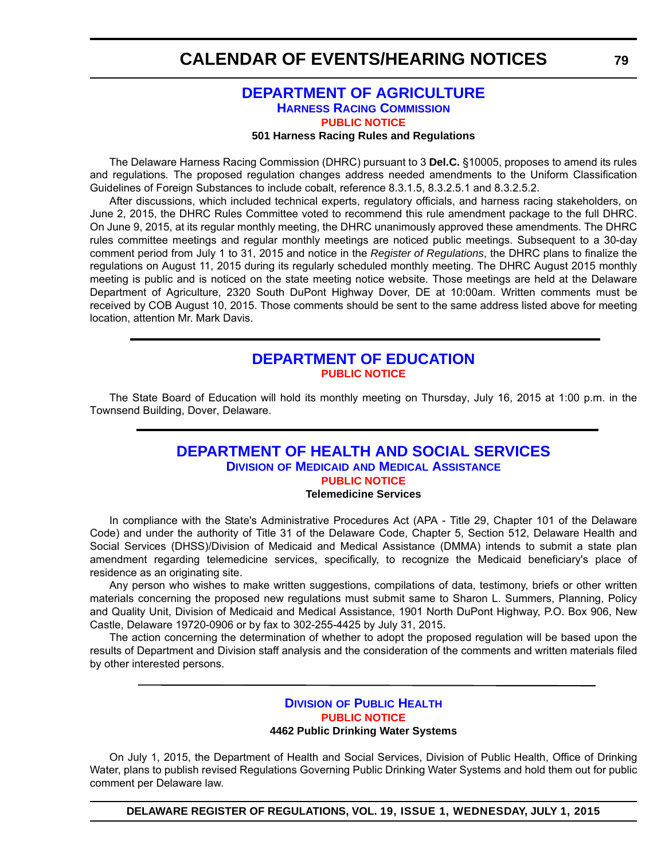## **[DEPARTMENT OF AGRICULTURE](http://dda.delaware.gov/harness/index.shtml) HARNESS RACING COMMISSION [PUBLIC NOTICE](#page-4-0)**

#### **501 Harness Racing Rules and Regulations**

The Delaware Harness Racing Commission (DHRC) pursuant to 3 **Del.C.** §10005, proposes to amend its rules and regulations*.* The proposed regulation changes address needed amendments to the Uniform Classification Guidelines of Foreign Substances to include cobalt, reference 8.3.1.5, 8.3.2.5.1 and 8.3.2.5.2.

After discussions, which included technical experts, regulatory officials, and harness racing stakeholders, on June 2, 2015, the DHRC Rules Committee voted to recommend this rule amendment package to the full DHRC. On June 9, 2015, at its regular monthly meeting, the DHRC unanimously approved these amendments. The DHRC rules committee meetings and regular monthly meetings are noticed public meetings. Subsequent to a 30-day comment period from July 1 to 31, 2015 and notice in the *Register of Regulations*, the DHRC plans to finalize the regulations on August 11, 2015 during its regularly scheduled monthly meeting. The DHRC August 2015 monthly meeting is public and is noticed on the state meeting notice website. Those meetings are held at the Delaware Department of Agriculture, 2320 South DuPont Highway Dover, DE at 10:00am. Written comments must be received by COB August 10, 2015. Those comments should be sent to the same address listed above for meeting location, attention Mr. Mark Davis.

## **[DEPARTMENT OF EDUCATION](http://www.doe.k12.de.us/site/default.aspx?PageID=1) [PUBLIC NOTICE](#page-4-0)**

The State Board of Education will hold its monthly meeting on Thursday, July 16, 2015 at 1:00 p.m. in the Townsend Building, Dover, Delaware.

## **[DEPARTMENT OF HEALTH AND SOCIAL SERVICES](http://www.dhss.delaware.gov/dhss/dmma/) DIVISION OF MEDICAID AND MEDICAL ASSISTANCE [PUBLIC NOTICE](#page-4-0)**

#### **Telemedicine Services**

In compliance with the State's Administrative Procedures Act (APA - Title 29, Chapter 101 of the Delaware Code) and under the authority of Title 31 of the Delaware Code, Chapter 5, Section 512, Delaware Health and Social Services (DHSS)/Division of Medicaid and Medical Assistance (DMMA) intends to submit a state plan amendment regarding telemedicine services, specifically, to recognize the Medicaid beneficiary's place of residence as an originating site.

Any person who wishes to make written suggestions, compilations of data, testimony, briefs or other written materials concerning the proposed new regulations must submit same to Sharon L. Summers, Planning, Policy and Quality Unit, Division of Medicaid and Medical Assistance, 1901 North DuPont Highway, P.O. Box 906, New Castle, Delaware 19720-0906 or by fax to 302-255-4425 by July 31, 2015.

The action concerning the determination of whether to adopt the proposed regulation will be based upon the results of Department and Division staff analysis and the consideration of the comments and written materials filed by other interested persons.

## **DIVISION [OF PUBLIC HEALTH](http://www.dhss.delaware.gov/dhss/dph/index.html) [PUBLIC NOTICE](#page-4-0) 4462 Public Drinking Water Systems**

On July 1, 2015, the Department of Health and Social Services, Division of Public Health, Office of Drinking Water, plans to publish revised Regulations Governing Public Drinking Water Systems and hold them out for public comment per Delaware law.

**DELAWARE REGISTER OF REGULATIONS, VOL. 19, ISSUE 1, WEDNESDAY, JULY 1, 2015**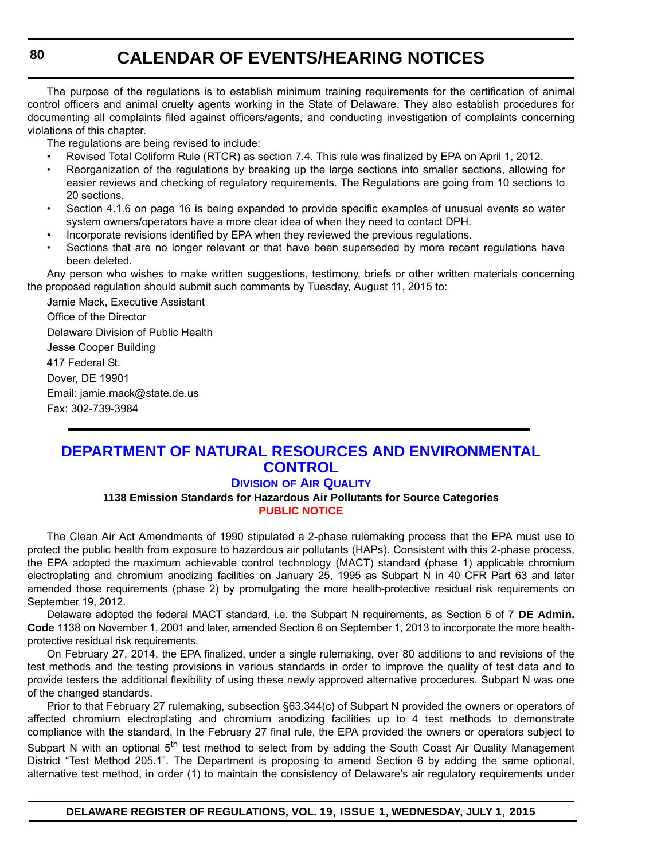The purpose of the regulations is to establish minimum training requirements for the certification of animal control officers and animal cruelty agents working in the State of Delaware. They also establish procedures for documenting all complaints filed against officers/agents, and conducting investigation of complaints concerning violations of this chapter.

The regulations are being revised to include:

- Revised Total Coliform Rule (RTCR) as section 7.4. This rule was finalized by EPA on April 1, 2012.
- Reorganization of the regulations by breaking up the large sections into smaller sections, allowing for easier reviews and checking of regulatory requirements. The Regulations are going from 10 sections to 20 sections.
- Section 4.1.6 on page 16 is being expanded to provide specific examples of unusual events so water system owners/operators have a more clear idea of when they need to contact DPH.
- Incorporate revisions identified by EPA when they reviewed the previous regulations.
- Sections that are no longer relevant or that have been superseded by more recent regulations have been deleted.

Any person who wishes to make written suggestions, testimony, briefs or other written materials concerning the proposed regulation should submit such comments by Tuesday, August 11, 2015 to:

Jamie Mack, Executive Assistant Office of the Director Delaware Division of Public Health Jesse Cooper Building 417 Federal St. Dover, DE 19901 Email: jamie.mack@state.de.us Fax: 302-739-3984

## **[DEPARTMENT OF NATURAL RESOURCES AND ENVIRONMENTAL](http://www.dnrec.delaware.gov/air/Pages/Default.aspx)  CONTROL**

## **DIVISION OF AIR QUALITY**

**1138 Emission Standards for Hazardous Air Pollutants for Source Categories [PUBLIC NOTICE](#page-4-0)**

The Clean Air Act Amendments of 1990 stipulated a 2-phase rulemaking process that the EPA must use to protect the public health from exposure to hazardous air pollutants (HAPs). Consistent with this 2-phase process, the EPA adopted the maximum achievable control technology (MACT) standard (phase 1) applicable chromium electroplating and chromium anodizing facilities on January 25, 1995 as Subpart N in 40 CFR Part 63 and later amended those requirements (phase 2) by promulgating the more health-protective residual risk requirements on September 19, 2012.

Delaware adopted the federal MACT standard, i.e. the Subpart N requirements, as Section 6 of 7 **DE Admin. Code** 1138 on November 1, 2001 and later, amended Section 6 on September 1, 2013 to incorporate the more healthprotective residual risk requirements.

On February 27, 2014, the EPA finalized, under a single rulemaking, over 80 additions to and revisions of the test methods and the testing provisions in various standards in order to improve the quality of test data and to provide testers the additional flexibility of using these newly approved alternative procedures. Subpart N was one of the changed standards.

Prior to that February 27 rulemaking, subsection §63.344(c) of Subpart N provided the owners or operators of affected chromium electroplating and chromium anodizing facilities up to 4 test methods to demonstrate compliance with the standard. In the February 27 final rule, the EPA provided the owners or operators subject to Subpart N with an optional 5<sup>th</sup> test method to select from by adding the South Coast Air Quality Management District "Test Method 205.1". The Department is proposing to amend Section 6 by adding the same optional, alternative test method, in order (1) to maintain the consistency of Delaware's air regulatory requirements under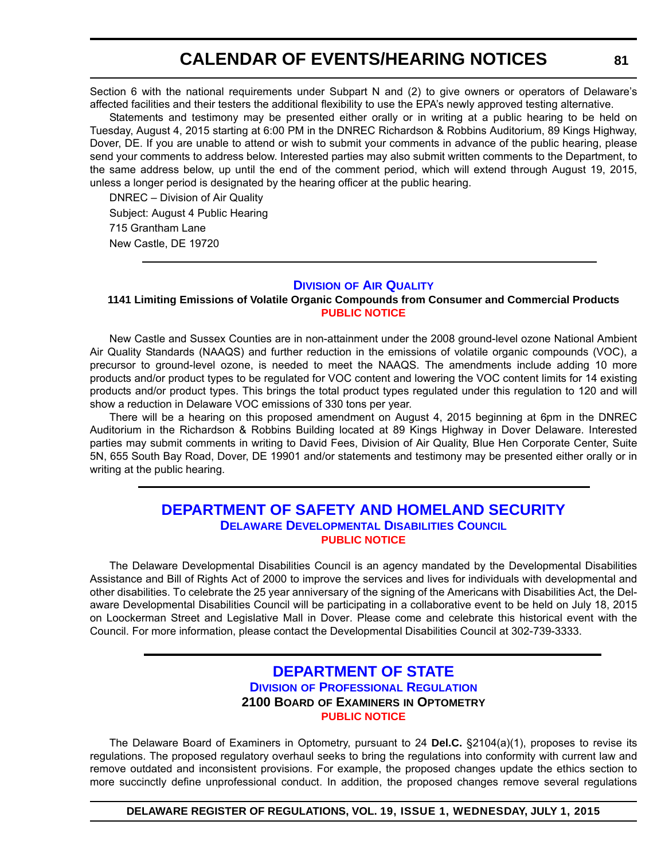Section 6 with the national requirements under Subpart N and (2) to give owners or operators of Delaware's affected facilities and their testers the additional flexibility to use the EPA's newly approved testing alternative.

Statements and testimony may be presented either orally or in writing at a public hearing to be held on Tuesday, August 4, 2015 starting at 6:00 PM in the DNREC Richardson & Robbins Auditorium, 89 Kings Highway, Dover, DE. If you are unable to attend or wish to submit your comments in advance of the public hearing, please send your comments to address below. Interested parties may also submit written comments to the Department, to the same address below, up until the end of the comment period, which will extend through August 19, 2015, unless a longer period is designated by the hearing officer at the public hearing.

DNREC – Division of Air Quality Subject: August 4 Public Hearing 715 Grantham Lane New Castle, DE 19720

#### **DIVISION [OF AIR QUALITY](http://www.dnrec.delaware.gov/air/Pages/Default.aspx)**

## **1141 Limiting Emissions of Volatile Organic Compounds from Consumer and Commercial Products [PUBLIC NOTICE](#page-4-0)**

New Castle and Sussex Counties are in non-attainment under the 2008 ground-level ozone National Ambient Air Quality Standards (NAAQS) and further reduction in the emissions of volatile organic compounds (VOC), a precursor to ground-level ozone, is needed to meet the NAAQS. The amendments include adding 10 more products and/or product types to be regulated for VOC content and lowering the VOC content limits for 14 existing products and/or product types. This brings the total product types regulated under this regulation to 120 and will show a reduction in Delaware VOC emissions of 330 tons per year.

There will be a hearing on this proposed amendment on August 4, 2015 beginning at 6pm in the DNREC Auditorium in the Richardson & Robbins Building located at 89 Kings Highway in Dover Delaware. Interested parties may submit comments in writing to David Fees, Division of Air Quality, Blue Hen Corporate Center, Suite 5N, 655 South Bay Road, Dover, DE 19901 and/or statements and testimony may be presented either orally or in writing at the public hearing.

## **[DEPARTMENT OF SAFETY AND HOMELAND SECURITY](http://ddc.delaware.gov/) DELAWARE DEVELOPMENTAL DISABILITIES COUNCIL [PUBLIC NOTICE](#page-4-0)**

The Delaware Developmental Disabilities Council is an agency mandated by the Developmental Disabilities Assistance and Bill of Rights Act of 2000 to improve the services and lives for individuals with developmental and other disabilities. To celebrate the 25 year anniversary of the signing of the Americans with Disabilities Act, the Delaware Developmental Disabilities Council will be participating in a collaborative event to be held on July 18, 2015 on Loockerman Street and Legislative Mall in Dover. Please come and celebrate this historical event with the Council. For more information, please contact the Developmental Disabilities Council at 302-739-3333.

## **[DEPARTMENT OF STATE](http://dpr.delaware.gov/) DIVISION OF PROFESSIONAL REGULATION 2100 BOARD OF EXAMINERS IN OPTOMETRY [PUBLIC NOTICE](#page-4-0)**

The Delaware Board of Examiners in Optometry, pursuant to 24 **Del.C.** §2104(a)(1), proposes to revise its regulations. The proposed regulatory overhaul seeks to bring the regulations into conformity with current law and remove outdated and inconsistent provisions. For example, the proposed changes update the ethics section to more succinctly define unprofessional conduct. In addition, the proposed changes remove several regulations

**DELAWARE REGISTER OF REGULATIONS, VOL. 19, ISSUE 1, WEDNESDAY, JULY 1, 2015**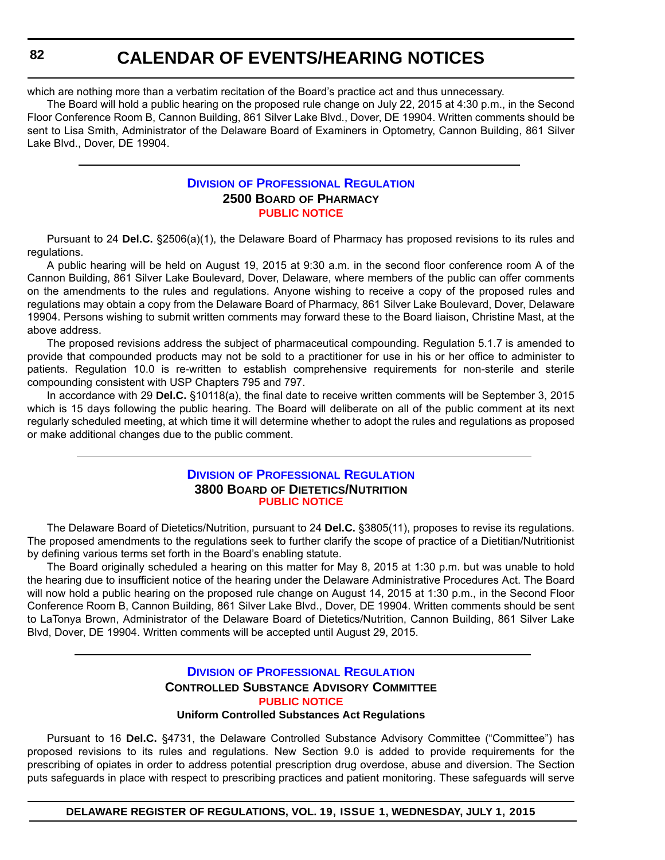which are nothing more than a verbatim recitation of the Board's practice act and thus unnecessary.

The Board will hold a public hearing on the proposed rule change on July 22, 2015 at 4:30 p.m., in the Second Floor Conference Room B, Cannon Building, 861 Silver Lake Blvd., Dover, DE 19904. Written comments should be sent to Lisa Smith, Administrator of the Delaware Board of Examiners in Optometry, Cannon Building, 861 Silver Lake Blvd., Dover, DE 19904.

## **DIVISION [OF PROFESSIONAL REGULATION](http://dpr.delaware.gov/) 2500 BOARD OF PHARMACY [PUBLIC NOTICE](#page-4-0)**

Pursuant to 24 **Del.C.** §2506(a)(1), the Delaware Board of Pharmacy has proposed revisions to its rules and regulations.

A public hearing will be held on August 19, 2015 at 9:30 a.m. in the second floor conference room A of the Cannon Building, 861 Silver Lake Boulevard, Dover, Delaware, where members of the public can offer comments on the amendments to the rules and regulations. Anyone wishing to receive a copy of the proposed rules and regulations may obtain a copy from the Delaware Board of Pharmacy, 861 Silver Lake Boulevard, Dover, Delaware 19904. Persons wishing to submit written comments may forward these to the Board liaison, Christine Mast, at the above address.

The proposed revisions address the subject of pharmaceutical compounding. Regulation 5.1.7 is amended to provide that compounded products may not be sold to a practitioner for use in his or her office to administer to patients. Regulation 10.0 is re-written to establish comprehensive requirements for non-sterile and sterile compounding consistent with USP Chapters 795 and 797.

In accordance with 29 **Del.C.** §10118(a), the final date to receive written comments will be September 3, 2015 which is 15 days following the public hearing. The Board will deliberate on all of the public comment at its next regularly scheduled meeting, at which time it will determine whether to adopt the rules and regulations as proposed or make additional changes due to the public comment.

## **DIVISION [OF PROFESSIONAL REGULATION](http://dpr.delaware.gov/) 3800 BOARD OF DIETETICS/NUTRITION [PUBLIC NOTICE](#page-4-0)**

The Delaware Board of Dietetics/Nutrition, pursuant to 24 **Del.C.** §3805(11), proposes to revise its regulations. The proposed amendments to the regulations seek to further clarify the scope of practice of a Dietitian/Nutritionist by defining various terms set forth in the Board's enabling statute.

The Board originally scheduled a hearing on this matter for May 8, 2015 at 1:30 p.m. but was unable to hold the hearing due to insufficient notice of the hearing under the Delaware Administrative Procedures Act. The Board will now hold a public hearing on the proposed rule change on August 14, 2015 at 1:30 p.m., in the Second Floor Conference Room B, Cannon Building, 861 Silver Lake Blvd., Dover, DE 19904. Written comments should be sent to LaTonya Brown, Administrator of the Delaware Board of Dietetics/Nutrition, Cannon Building, 861 Silver Lake Blvd, Dover, DE 19904. Written comments will be accepted until August 29, 2015.

## **DIVISION [OF PROFESSIONAL REGULATION](http://dpr.delaware.gov/) CONTROLLED SUBSTANCE ADVISORY COMMITTEE [PUBLIC NOTICE](#page-4-0) Uniform Controlled Substances Act Regulations**

Pursuant to 16 **Del.C.** §4731, the Delaware Controlled Substance Advisory Committee ("Committee") has proposed revisions to its rules and regulations. New Section 9.0 is added to provide requirements for the prescribing of opiates in order to address potential prescription drug overdose, abuse and diversion. The Section puts safeguards in place with respect to prescribing practices and patient monitoring. These safeguards will serve

**DELAWARE REGISTER OF REGULATIONS, VOL. 19, ISSUE 1, WEDNESDAY, JULY 1, 2015**